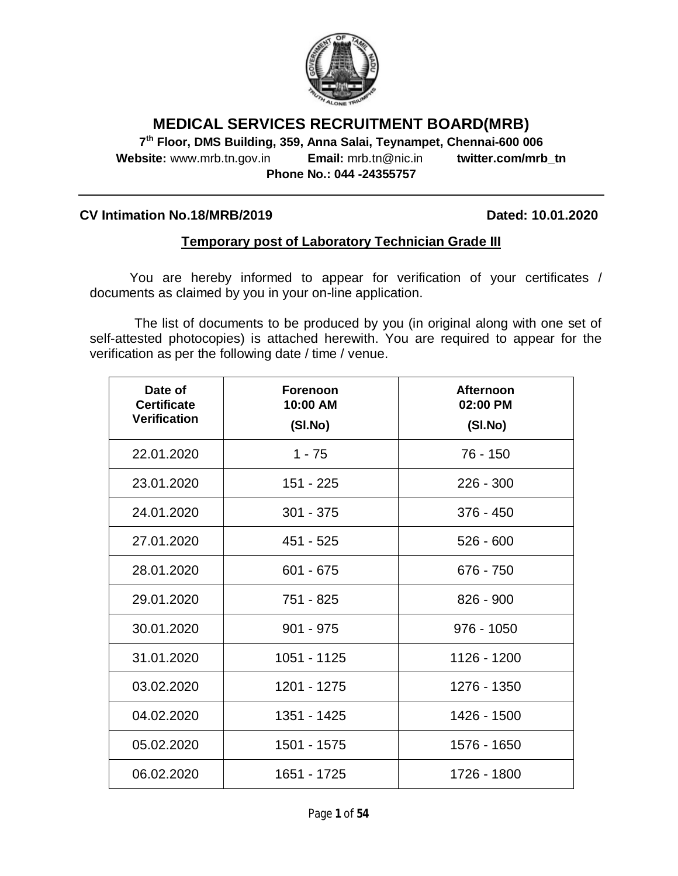

# **MEDICAL SERVICES RECRUITMENT BOARD(MRB)**

**7 th Floor, DMS Building, 359, Anna Salai, Teynampet, Chennai-600 006 Website:** www.mrb.tn.gov.in **Email:** mrb.tn@nic.in **twitter.com/mrb\_tn Phone No.: 044 -24355757**

### **CV Intimation No.18/MRB/2019 Dated: 10.01.2020**

## **Temporary post of Laboratory Technician Grade III**

You are hereby informed to appear for verification of your certificates / documents as claimed by you in your on-line application.

The list of documents to be produced by you (in original along with one set of self-attested photocopies) is attached herewith. You are required to appear for the verification as per the following date / time / venue.

| Date of<br><b>Certificate</b><br><b>Verification</b> | <b>Forenoon</b><br>10:00 AM<br>(SI.No) | <b>Afternoon</b><br>02:00 PM<br>(SI.No) |
|------------------------------------------------------|----------------------------------------|-----------------------------------------|
| 22.01.2020                                           | $1 - 75$                               | 76 - 150                                |
| 23.01.2020                                           | 151 - 225                              | $226 - 300$                             |
| 24.01.2020                                           | $301 - 375$                            | $376 - 450$                             |
| 27.01.2020                                           | 451 - 525                              | $526 - 600$                             |
| 28.01.2020                                           | $601 - 675$                            | 676 - 750                               |
| 29.01.2020                                           | 751 - 825                              | $826 - 900$                             |
| 30.01.2020                                           | $901 - 975$                            | $976 - 1050$                            |
| 31.01.2020                                           | 1051 - 1125                            | 1126 - 1200                             |
| 03.02.2020                                           | 1201 - 1275                            | 1276 - 1350                             |
| 04.02.2020                                           | 1351 - 1425                            | 1426 - 1500                             |
| 05.02.2020                                           | 1501 - 1575                            | 1576 - 1650                             |
| 06.02.2020                                           | 1651 - 1725                            | 1726 - 1800                             |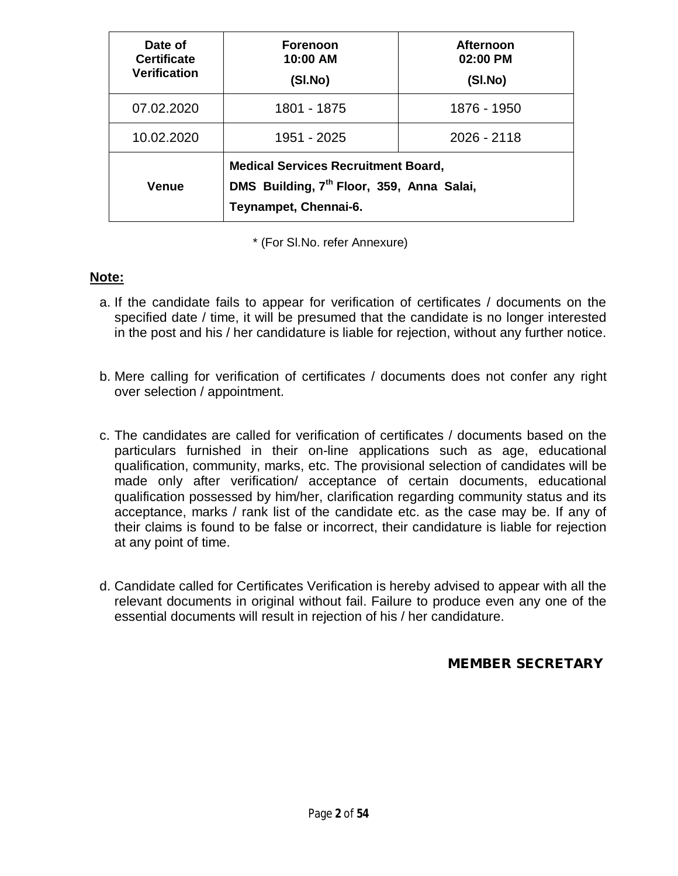| Date of<br><b>Certificate</b><br><b>Verification</b> | <b>Forenoon</b><br>10:00 AM<br>(SI.No)                                                                                       | <b>Afternoon</b><br>02:00 PM<br>(SI.No) |
|------------------------------------------------------|------------------------------------------------------------------------------------------------------------------------------|-----------------------------------------|
| 07.02.2020                                           | 1801 - 1875                                                                                                                  | 1876 - 1950                             |
| 10.02.2020                                           | 1951 - 2025                                                                                                                  | 2026 - 2118                             |
| <b>Venue</b>                                         | <b>Medical Services Recruitment Board,</b><br>DMS Building, 7 <sup>th</sup> Floor, 359, Anna Salai,<br>Teynampet, Chennai-6. |                                         |

\* (For Sl.No. refer Annexure)

## **Note:**

- a. If the candidate fails to appear for verification of certificates / documents on the specified date / time, it will be presumed that the candidate is no longer interested in the post and his / her candidature is liable for rejection, without any further notice.
- b. Mere calling for verification of certificates / documents does not confer any right over selection / appointment.
- c. The candidates are called for verification of certificates / documents based on the particulars furnished in their on-line applications such as age, educational qualification, community, marks, etc. The provisional selection of candidates will be made only after verification/ acceptance of certain documents, educational qualification possessed by him/her, clarification regarding community status and its acceptance, marks / rank list of the candidate etc. as the case may be. If any of their claims is found to be false or incorrect, their candidature is liable for rejection at any point of time.
- d. Candidate called for Certificates Verification is hereby advised to appear with all the relevant documents in original without fail. Failure to produce even any one of the essential documents will result in rejection of his / her candidature.

## **MEMBER SECRETARY**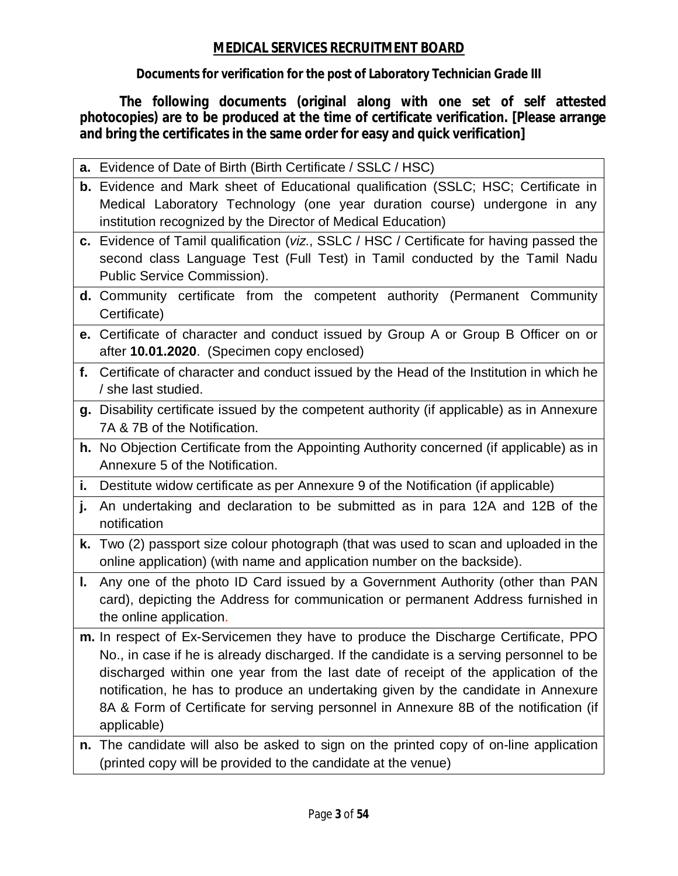## **MEDICAL SERVICES RECRUITMENT BOARD**

**Documents for verification for the post of Laboratory Technician Grade III**

**The following documents (original along with one set of self attested photocopies) are to be produced at the time of certificate verification. [Please arrange and bring the certificates in the same order for easy and quick verification]**

|     | a. Evidence of Date of Birth (Birth Certificate / SSLC / HSC)                                                                                                                                          |
|-----|--------------------------------------------------------------------------------------------------------------------------------------------------------------------------------------------------------|
|     | b. Evidence and Mark sheet of Educational qualification (SSLC; HSC; Certificate in<br>Medical Laboratory Technology (one year duration course) undergone in any                                        |
|     | institution recognized by the Director of Medical Education)                                                                                                                                           |
|     | c. Evidence of Tamil qualification (viz., SSLC / HSC / Certificate for having passed the<br>second class Language Test (Full Test) in Tamil conducted by the Tamil Nadu<br>Public Service Commission). |
|     | <b>d.</b> Community certificate from the competent authority (Permanent Community<br>Certificate)                                                                                                      |
|     | e. Certificate of character and conduct issued by Group A or Group B Officer on or<br>after 10.01.2020. (Specimen copy enclosed)                                                                       |
| f.  | Certificate of character and conduct issued by the Head of the Institution in which he<br>/ she last studied.                                                                                          |
|     | g. Disability certificate issued by the competent authority (if applicable) as in Annexure<br>7A & 7B of the Notification.                                                                             |
|     | h. No Objection Certificate from the Appointing Authority concerned (if applicable) as in<br>Annexure 5 of the Notification.                                                                           |
| i., | Destitute widow certificate as per Annexure 9 of the Notification (if applicable)                                                                                                                      |
| j.  | An undertaking and declaration to be submitted as in para 12A and 12B of the<br>notification                                                                                                           |
| k.  | Two (2) passport size colour photograph (that was used to scan and uploaded in the<br>online application) (with name and application number on the backside).                                          |
| L.  | Any one of the photo ID Card issued by a Government Authority (other than PAN<br>card), depicting the Address for communication or permanent Address furnished in<br>the online application.           |
|     | m. In respect of Ex-Servicemen they have to produce the Discharge Certificate, PPO<br>No., in case if he is already discharged. If the candidate is a serving personnel to be                          |
|     | discharged within one year from the last date of receipt of the application of the                                                                                                                     |
|     | notification, he has to produce an undertaking given by the candidate in Annexure                                                                                                                      |
|     | 8A & Form of Certificate for serving personnel in Annexure 8B of the notification (if<br>applicable)                                                                                                   |
|     | n. The candidate will also be asked to sign on the printed copy of on-line application                                                                                                                 |
|     | (printed copy will be provided to the candidate at the venue)                                                                                                                                          |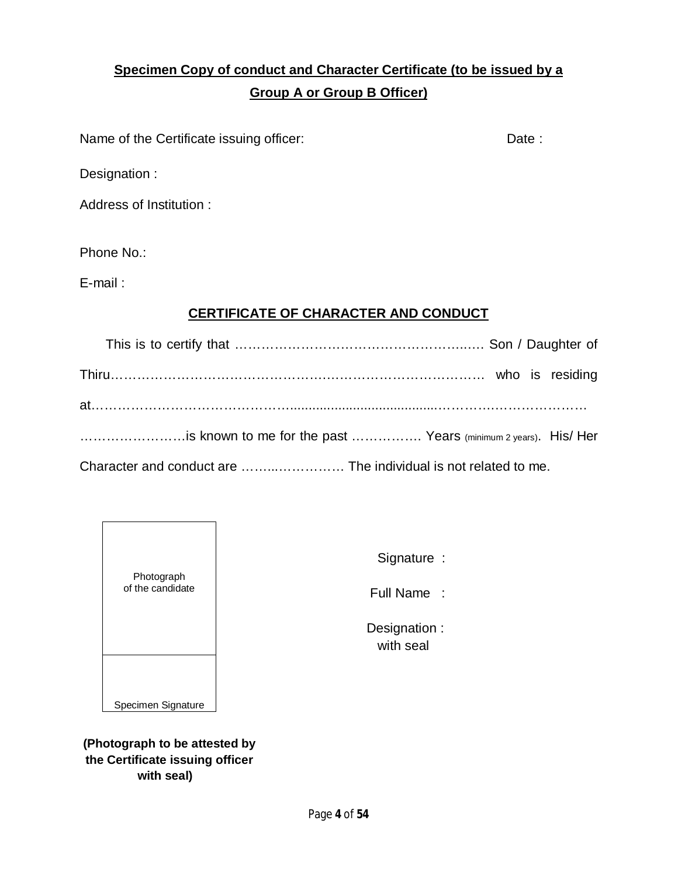# **Specimen Copy of conduct and Character Certificate (to be issued by a Group A or Group B Officer)**

Name of the Certificate issuing officer: Date : Date :

Designation :

Address of Institution :

Phone No.:

E-mail :

## **CERTIFICATE OF CHARACTER AND CONDUCT**

| is known to me for the past  Years (minimum 2 years). His/ Her |  |  |
|----------------------------------------------------------------|--|--|
|                                                                |  |  |

Character and conduct are ……...…………… The individual is not related to me.



Signature :

Full Name :

 Designation : with seal

**(Photograph to be attested by the Certificate issuing officer with seal)**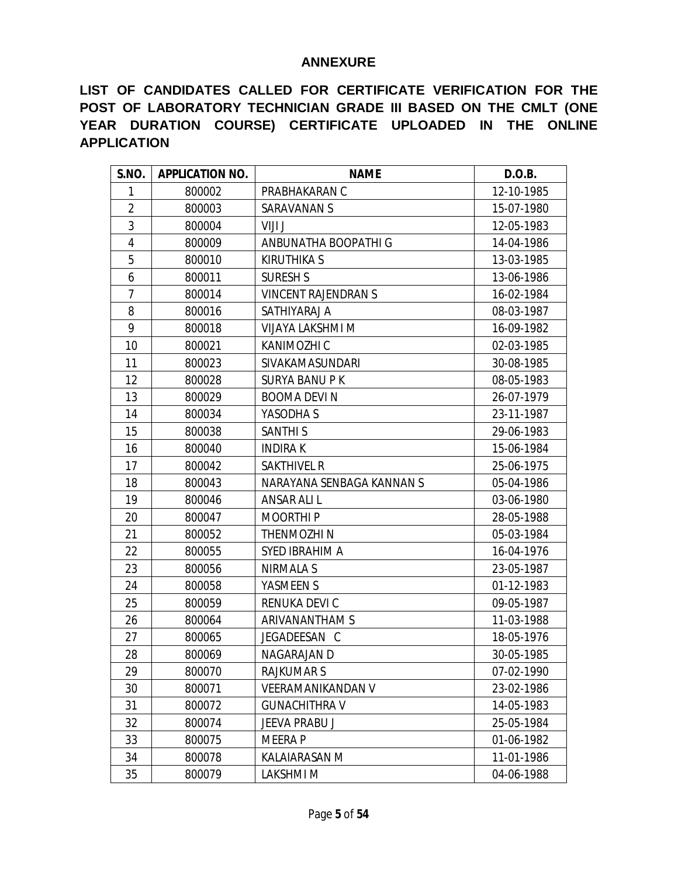## **ANNEXURE**

**LIST OF CANDIDATES CALLED FOR CERTIFICATE VERIFICATION FOR THE POST OF LABORATORY TECHNICIAN GRADE III BASED ON THE CMLT (ONE YEAR DURATION COURSE) CERTIFICATE UPLOADED IN THE ONLINE APPLICATION**

| S.NO.          | <b>APPLICATION NO.</b> | <b>NAME</b>                | D.O.B.     |
|----------------|------------------------|----------------------------|------------|
| 1              | 800002                 | PRABHAKARAN C              | 12-10-1985 |
| $\overline{2}$ | 800003                 | SARAVANAN S                | 15-07-1980 |
| 3              | 800004                 | VIJI J                     | 12-05-1983 |
| 4              | 800009                 | ANBUNATHA BOOPATHI G       | 14-04-1986 |
| 5              | 800010                 | KIRUTHIKA S                | 13-03-1985 |
| 6              | 800011                 | <b>SURESH S</b>            | 13-06-1986 |
| $\overline{7}$ | 800014                 | <b>VINCENT RAJENDRAN S</b> | 16-02-1984 |
| 8              | 800016                 | SATHIYARAJ A               | 08-03-1987 |
| 9              | 800018                 | VIJAYA LAKSHMI M           | 16-09-1982 |
| 10             | 800021                 | KANIMOZHI C                | 02-03-1985 |
| 11             | 800023                 | SIVAKAMASUNDARI            | 30-08-1985 |
| 12             | 800028                 | <b>SURYA BANU PK</b>       | 08-05-1983 |
| 13             | 800029                 | <b>BOOMA DEVIN</b>         | 26-07-1979 |
| 14             | 800034                 | YASODHA S                  | 23-11-1987 |
| 15             | 800038                 | <b>SANTHIS</b>             | 29-06-1983 |
| 16             | 800040                 | <b>INDIRAK</b>             | 15-06-1984 |
| 17             | 800042                 | <b>SAKTHIVEL R</b>         | 25-06-1975 |
| 18             | 800043                 | NARAYANA SENBAGA KANNAN S  | 05-04-1986 |
| 19             | 800046                 | ANSAR ALI L                | 03-06-1980 |
| 20             | 800047                 | <b>MOORTHIP</b>            | 28-05-1988 |
| 21             | 800052                 | THENMOZHI N                | 05-03-1984 |
| 22             | 800055                 | SYED IBRAHIM A             | 16-04-1976 |
| 23             | 800056                 | NIRMALA S                  | 23-05-1987 |
| 24             | 800058                 | YASMEEN S                  | 01-12-1983 |
| 25             | 800059                 | RENUKA DEVI C              | 09-05-1987 |
| 26             | 800064                 | ARIVANANTHAM S             | 11-03-1988 |
| 27             | 800065                 | JEGADEESAN C               | 18-05-1976 |
| 28             | 800069                 | NAGARAJAN D                | 30-05-1985 |
| 29             | 800070                 | <b>RAJKUMARS</b>           | 07-02-1990 |
| 30             | 800071                 | <b>VEERAMANIKANDAN V</b>   | 23-02-1986 |
| 31             | 800072                 | <b>GUNACHITHRA V</b>       | 14-05-1983 |
| 32             | 800074                 | JEEVA PRABU J              | 25-05-1984 |
| 33             | 800075                 | <b>MEERAP</b>              | 01-06-1982 |
| 34             | 800078                 | KALAIARASAN M              | 11-01-1986 |
| 35             | 800079                 | <b>LAKSHMIM</b>            | 04-06-1988 |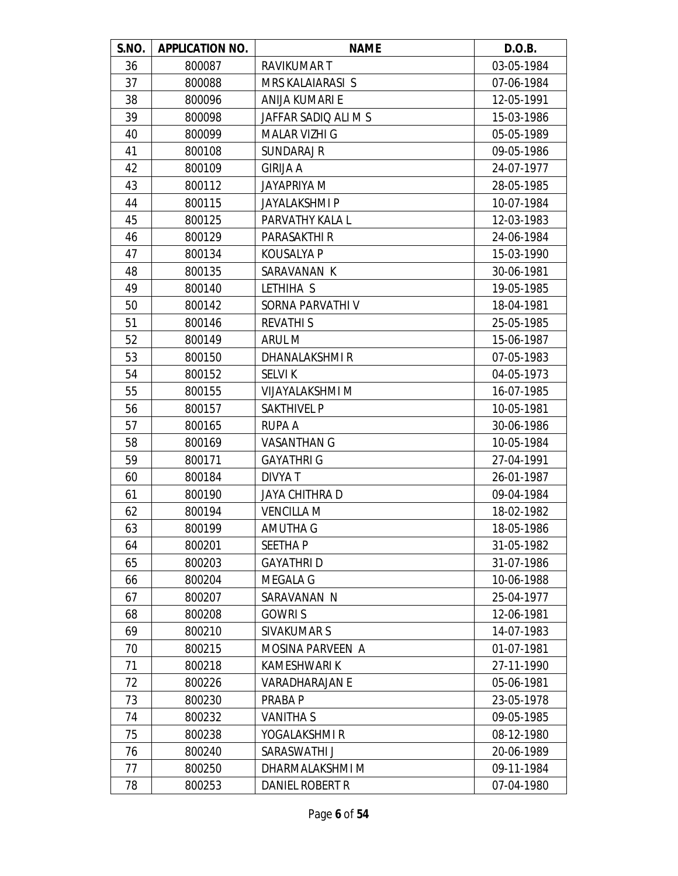| S.NO. | <b>APPLICATION NO.</b> | <b>NAME</b>           | D.O.B.     |
|-------|------------------------|-----------------------|------------|
| 36    | 800087                 | <b>RAVIKUMART</b>     | 03-05-1984 |
| 37    | 800088                 | MRS KALAIARASI S      | 07-06-1984 |
| 38    | 800096                 | ANIJA KUMARI E        | 12-05-1991 |
| 39    | 800098                 | JAFFAR SADIO ALI M S  | 15-03-1986 |
| 40    | 800099                 | <b>MALAR VIZHI G</b>  | 05-05-1989 |
| 41    | 800108                 | <b>SUNDARAJ R</b>     | 09-05-1986 |
| 42    | 800109                 | <b>GIRIJA A</b>       | 24-07-1977 |
| 43    | 800112                 | <b>JAYAPRIYA M</b>    | 28-05-1985 |
| 44    | 800115                 | JAYALAKSHMI P         | 10-07-1984 |
| 45    | 800125                 | PARVATHY KALA L       | 12-03-1983 |
| 46    | 800129                 | PARASAKTHI R          | 24-06-1984 |
| 47    | 800134                 | <b>KOUSALYA P</b>     | 15-03-1990 |
| 48    | 800135                 | SARAVANAN K           | 30-06-1981 |
| 49    | 800140                 | LETHIHA S             | 19-05-1985 |
| 50    | 800142                 | SORNA PARVATHI V      | 18-04-1981 |
| 51    | 800146                 | <b>REVATHIS</b>       | 25-05-1985 |
| 52    | 800149                 | ARUL M                | 15-06-1987 |
| 53    | 800150                 | DHANALAKSHMI R        | 07-05-1983 |
| 54    | 800152                 | <b>SELVIK</b>         | 04-05-1973 |
| 55    | 800155                 | VIJAYALAKSHMI M       | 16-07-1985 |
| 56    | 800157                 | <b>SAKTHIVEL P</b>    | 10-05-1981 |
| 57    | 800165                 | RUPA A                | 30-06-1986 |
| 58    | 800169                 | <b>VASANTHAN G</b>    | 10-05-1984 |
| 59    | 800171                 | <b>GAYATHRI G</b>     | 27-04-1991 |
| 60    | 800184                 | DIVYA T               | 26-01-1987 |
| 61    | 800190                 | JAYA CHITHRA D        | 09-04-1984 |
| 62    | 800194                 | <b>VENCILLA M</b>     | 18-02-1982 |
| 63    | 800199                 | AMUTHA G              | 18-05-1986 |
| 64    | 800201                 | <b>SEETHAP</b>        | 31-05-1982 |
| 65    | 800203                 | <b>GAYATHRID</b>      | 31-07-1986 |
| 66    | 800204                 | <b>MEGALA G</b>       | 10-06-1988 |
| 67    | 800207                 | SARAVANAN N           | 25-04-1977 |
| 68    | 800208                 | <b>GOWRIS</b>         | 12-06-1981 |
| 69    | 800210                 | <b>SIVAKUMAR S</b>    | 14-07-1983 |
| 70    | 800215                 | MOSINA PARVEEN A      | 01-07-1981 |
| 71    | 800218                 | <b>KAMESHWARI K</b>   | 27-11-1990 |
| 72    | 800226                 | <b>VARADHARAJAN E</b> | 05-06-1981 |
| 73    | 800230                 | PRABA P               | 23-05-1978 |
| 74    | 800232                 | <b>VANITHA S</b>      | 09-05-1985 |
| 75    | 800238                 | YOGALAKSHMI R         | 08-12-1980 |
| 76    | 800240                 | SARASWATHI J          | 20-06-1989 |
| 77    | 800250                 | DHARMALAKSHMI M       | 09-11-1984 |
| 78    | 800253                 | DANIEL ROBERT R       | 07-04-1980 |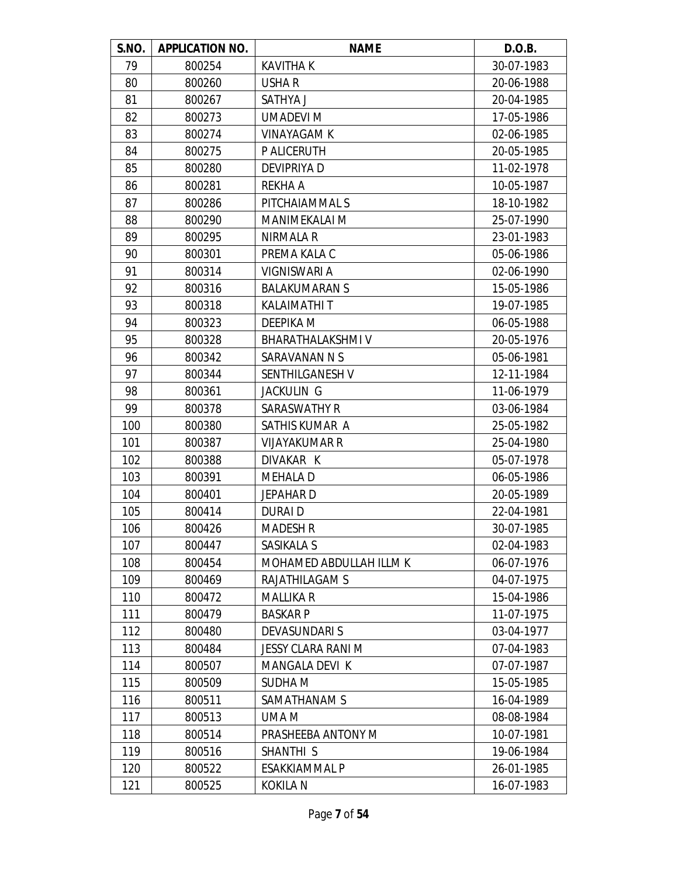| S.NO. | <b>APPLICATION NO.</b> | <b>NAME</b>             | D.O.B.     |
|-------|------------------------|-------------------------|------------|
| 79    | 800254                 | KAVITHA K               | 30-07-1983 |
| 80    | 800260                 | USHA R                  | 20-06-1988 |
| 81    | 800267                 | SATHYA J                | 20-04-1985 |
| 82    | 800273                 | <b>UMADEVI M</b>        | 17-05-1986 |
| 83    | 800274                 | <b>VINAYAGAM K</b>      | 02-06-1985 |
| 84    | 800275                 | P ALICERUTH             | 20-05-1985 |
| 85    | 800280                 | DEVIPRIYA D             | 11-02-1978 |
| 86    | 800281                 | <b>REKHA A</b>          | 10-05-1987 |
| 87    | 800286                 | PITCHAIAMMAL S          | 18-10-1982 |
| 88    | 800290                 | <b>MANIMEKALAI M</b>    | 25-07-1990 |
| 89    | 800295                 | NIRMALA R               | 23-01-1983 |
| 90    | 800301                 | PREMA KALA C            | 05-06-1986 |
| 91    | 800314                 | VIGNISWARI A            | 02-06-1990 |
| 92    | 800316                 | <b>BALAKUMARAN S</b>    | 15-05-1986 |
| 93    | 800318                 | KALAIMATHI T            | 19-07-1985 |
| 94    | 800323                 | DEEPIKA M               | 06-05-1988 |
| 95    | 800328                 | <b>BHARATHALAKSHMIV</b> | 20-05-1976 |
| 96    | 800342                 | SARAVANAN N S           | 05-06-1981 |
| 97    | 800344                 | SENTHILGANESH V         | 12-11-1984 |
| 98    | 800361                 | <b>JACKULIN G</b>       | 11-06-1979 |
| 99    | 800378                 | SARASWATHY R            | 03-06-1984 |
| 100   | 800380                 | SATHIS KUMAR A          | 25-05-1982 |
| 101   | 800387                 | <b>VIJAYAKUMAR R</b>    | 25-04-1980 |
| 102   | 800388                 | DIVAKAR K               | 05-07-1978 |
| 103   | 800391                 | <b>MEHALA D</b>         | 06-05-1986 |
| 104   | 800401                 | <b>JEPAHARD</b>         | 20-05-1989 |
| 105   | 800414                 | DURAI D                 | 22-04-1981 |
| 106   | 800426                 | <b>MADESH R</b>         | 30-07-1985 |
| 107   | 800447                 | SASIKALA S              | 02-04-1983 |
| 108   | 800454                 | MOHAMED ABDULLAH ILLM K | 06-07-1976 |
| 109   | 800469                 | RAJATHILAGAM S          | 04-07-1975 |
| 110   | 800472                 | MALLIKA R               | 15-04-1986 |
| 111   | 800479                 | <b>BASKARP</b>          | 11-07-1975 |
| 112   | 800480                 | <b>DEVASUNDARI S</b>    | 03-04-1977 |
| 113   | 800484                 | JESSY CLARA RANI M      | 07-04-1983 |
| 114   | 800507                 | <b>MANGALA DEVI K</b>   | 07-07-1987 |
| 115   | 800509                 | SUDHA M                 | 15-05-1985 |
| 116   | 800511                 | SAMATHANAM S            | 16-04-1989 |
| 117   | 800513                 | UMA M                   | 08-08-1984 |
| 118   | 800514                 | PRASHEEBA ANTONY M      | 10-07-1981 |
| 119   | 800516                 | SHANTHI <sub>S</sub>    | 19-06-1984 |
| 120   | 800522                 | ESAKKIAMMAL P           | 26-01-1985 |
| 121   | 800525                 | KOKILA N                | 16-07-1983 |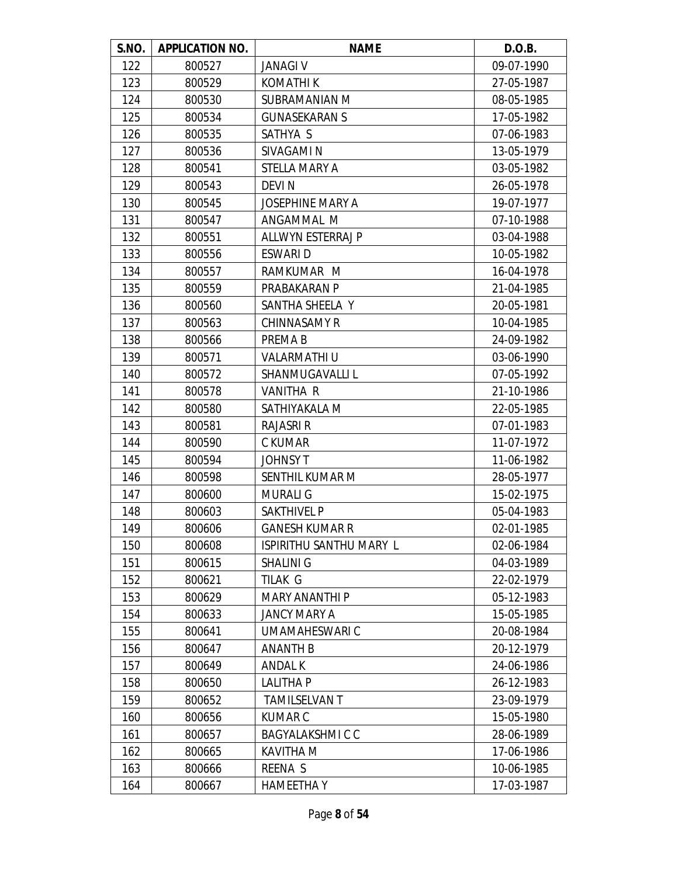| S.NO. | <b>APPLICATION NO.</b> | <b>NAME</b>              | D.O.B.     |
|-------|------------------------|--------------------------|------------|
| 122   | 800527                 | <b>JANAGI V</b>          | 09-07-1990 |
| 123   | 800529                 | KOMATHI K                | 27-05-1987 |
| 124   | 800530                 | SUBRAMANIAN M            | 08-05-1985 |
| 125   | 800534                 | <b>GUNASEKARAN S</b>     | 17-05-1982 |
| 126   | 800535                 | SATHYA S                 | 07-06-1983 |
| 127   | 800536                 | SIVAGAMI N               | 13-05-1979 |
| 128   | 800541                 | STELLA MARY A            | 03-05-1982 |
| 129   | 800543                 | <b>DEVIN</b>             | 26-05-1978 |
| 130   | 800545                 | <b>JOSEPHINE MARY A</b>  | 19-07-1977 |
| 131   | 800547                 | ANGAMMAL M               | 07-10-1988 |
| 132   | 800551                 | <b>ALLWYN ESTERRAJ P</b> | 03-04-1988 |
| 133   | 800556                 | ESWARI D                 | 10-05-1982 |
| 134   | 800557                 | RAMKUMAR M               | 16-04-1978 |
| 135   | 800559                 | PRABAKARAN P             | 21-04-1985 |
| 136   | 800560                 | SANTHA SHEELA Y          | 20-05-1981 |
| 137   | 800563                 | <b>CHINNASAMY R</b>      | 10-04-1985 |
| 138   | 800566                 | PREMA B                  | 24-09-1982 |
| 139   | 800571                 | <b>VALARMATHI U</b>      | 03-06-1990 |
| 140   | 800572                 | SHANMUGAVALLI L          | 07-05-1992 |
| 141   | 800578                 | <b>VANITHA R</b>         | 21-10-1986 |
| 142   | 800580                 | SATHIYAKALA M            | 22-05-1985 |
| 143   | 800581                 | <b>RAJASRI R</b>         | 07-01-1983 |
| 144   | 800590                 | C KUMAR                  | 11-07-1972 |
| 145   | 800594                 | <b>JOHNSY T</b>          | 11-06-1982 |
| 146   | 800598                 | SENTHIL KUMAR M          | 28-05-1977 |
| 147   | 800600                 | <b>MURALI G</b>          | 15-02-1975 |
| 148   | 800603                 | <b>SAKTHIVEL P</b>       | 05-04-1983 |
| 149   | 800606                 | <b>GANESH KUMAR R</b>    | 02-01-1985 |
| 150   | 800608                 | ISPIRITHU SANTHU MARY L  | 02-06-1984 |
| 151   | 800615                 | <b>SHALINI G</b>         | 04-03-1989 |
| 152   | 800621                 | TILAK G                  | 22-02-1979 |
| 153   | 800629                 | <b>MARY ANANTHI P</b>    | 05-12-1983 |
| 154   | 800633                 | JANCY MARY A             | 15-05-1985 |
| 155   | 800641                 | UMAMAHESWARI C           | 20-08-1984 |
| 156   | 800647                 | <b>ANANTH B</b>          | 20-12-1979 |
| 157   | 800649                 | <b>ANDAL K</b>           | 24-06-1986 |
| 158   | 800650                 | <b>LALITHA P</b>         | 26-12-1983 |
| 159   | 800652                 | <b>TAMILSELVAN T</b>     | 23-09-1979 |
| 160   | 800656                 | KUMAR C                  | 15-05-1980 |
| 161   | 800657                 | <b>BAGYALAKSHMICC</b>    | 28-06-1989 |
| 162   | 800665                 | <b>KAVITHA M</b>         | 17-06-1986 |
| 163   | 800666                 | REENA S                  | 10-06-1985 |
| 164   | 800667                 | <b>HAMEETHAY</b>         | 17-03-1987 |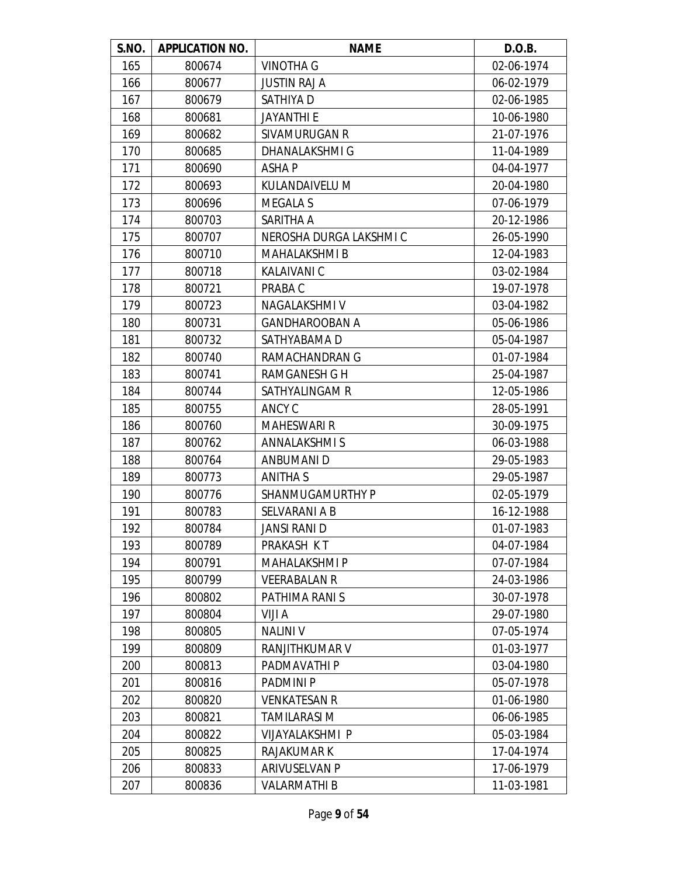| S.NO. | <b>APPLICATION NO.</b> | <b>NAME</b>             | D.O.B.     |
|-------|------------------------|-------------------------|------------|
| 165   | 800674                 | VINOTHA G               | 02-06-1974 |
| 166   | 800677                 | <b>JUSTIN RAJ A</b>     | 06-02-1979 |
| 167   | 800679                 | SATHIYA D               | 02-06-1985 |
| 168   | 800681                 | <b>JAYANTHI E</b>       | 10-06-1980 |
| 169   | 800682                 | SIVAMURUGAN R           | 21-07-1976 |
| 170   | 800685                 | DHANALAKSHMI G          | 11-04-1989 |
| 171   | 800690                 | ASHA P                  | 04-04-1977 |
| 172   | 800693                 | KULANDAIVELU M          | 20-04-1980 |
| 173   | 800696                 | <b>MEGALA S</b>         | 07-06-1979 |
| 174   | 800703                 | SARITHA A               | 20-12-1986 |
| 175   | 800707                 | NEROSHA DURGA LAKSHMI C | 26-05-1990 |
| 176   | 800710                 | <b>MAHALAKSHMI B</b>    | 12-04-1983 |
| 177   | 800718                 | KALAIVANI C             | 03-02-1984 |
| 178   | 800721                 | PRABA C                 | 19-07-1978 |
| 179   | 800723                 | NAGALAKSHMI V           | 03-04-1982 |
| 180   | 800731                 | <b>GANDHAROOBAN A</b>   | 05-06-1986 |
| 181   | 800732                 | SATHYABAMA D            | 05-04-1987 |
| 182   | 800740                 | RAMACHANDRAN G          | 01-07-1984 |
| 183   | 800741                 | <b>RAMGANESH G H</b>    | 25-04-1987 |
| 184   | 800744                 | SATHYALINGAM R          | 12-05-1986 |
| 185   | 800755                 | ANCY C                  | 28-05-1991 |
| 186   | 800760                 | <b>MAHESWARI R</b>      | 30-09-1975 |
| 187   | 800762                 | <b>ANNALAKSHMIS</b>     | 06-03-1988 |
| 188   | 800764                 | ANBUMANI D              | 29-05-1983 |
| 189   | 800773                 | <b>ANITHA S</b>         | 29-05-1987 |
| 190   | 800776                 | SHANMUGAMURTHY P        | 02-05-1979 |
| 191   | 800783                 | SELVARANI A B           | 16-12-1988 |
| 192   | 800784                 | <b>JANSI RANI D</b>     | 01-07-1983 |
| 193   | 800789                 | PRAKASH KT              | 04-07-1984 |
| 194   | 800791                 | <b>MAHALAKSHMI P</b>    | 07-07-1984 |
| 195   | 800799                 | <b>VEERABALAN R</b>     | 24-03-1986 |
| 196   | 800802                 | PATHIMA RANI S          | 30-07-1978 |
| 197   | 800804                 | VIJI A                  | 29-07-1980 |
| 198   | 800805                 | <b>NALINI V</b>         | 07-05-1974 |
| 199   | 800809                 | RANJITHKUMAR V          | 01-03-1977 |
| 200   | 800813                 | PADMAVATHI P            | 03-04-1980 |
| 201   | 800816                 | <b>PADMINIP</b>         | 05-07-1978 |
| 202   | 800820                 | <b>VENKATESAN R</b>     | 01-06-1980 |
| 203   | 800821                 | TAMILARASI M            | 06-06-1985 |
| 204   | 800822                 | VIJAYALAKSHMI P         | 05-03-1984 |
| 205   | 800825                 | <b>RAJAKUMAR K</b>      | 17-04-1974 |
| 206   | 800833                 | <b>ARIVUSELVAN P</b>    | 17-06-1979 |
| 207   | 800836                 | <b>VALARMATHI B</b>     | 11-03-1981 |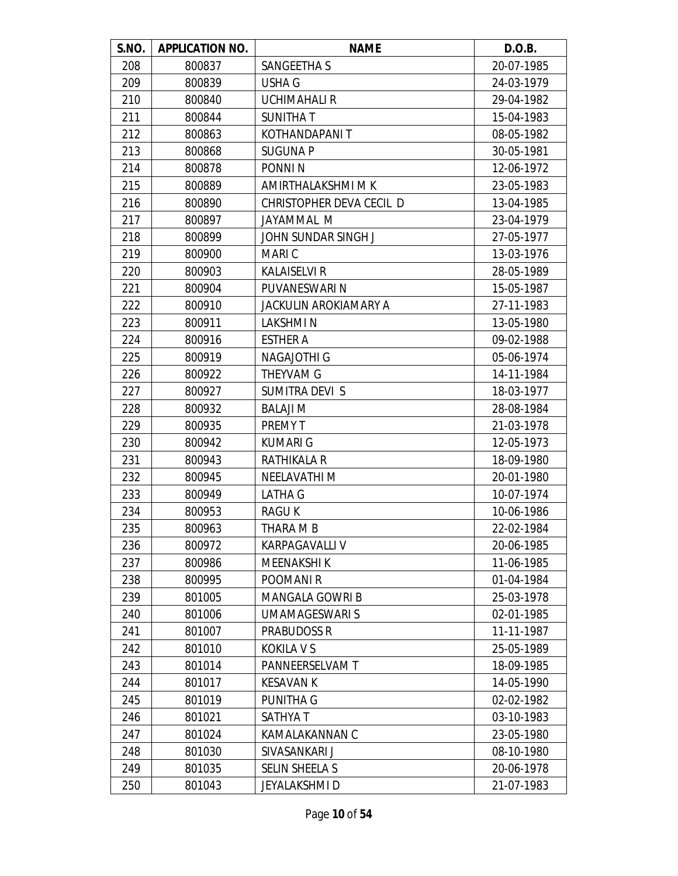| S.NO. | <b>APPLICATION NO.</b> | <b>NAME</b>                  | D.O.B.     |
|-------|------------------------|------------------------------|------------|
| 208   | 800837                 | SANGEETHA S                  | 20-07-1985 |
| 209   | 800839                 | USHA G                       | 24-03-1979 |
| 210   | 800840                 | <b>UCHIMAHALI R</b>          | 29-04-1982 |
| 211   | 800844                 | <b>SUNITHAT</b>              | 15-04-1983 |
| 212   | 800863                 | KOTHANDAPANI T               | 08-05-1982 |
| 213   | 800868                 | <b>SUGUNA P</b>              | 30-05-1981 |
| 214   | 800878                 | PONNI <sub>N</sub>           | 12-06-1972 |
| 215   | 800889                 | AMIRTHALAKSHMI M K           | 23-05-1983 |
| 216   | 800890                 | CHRISTOPHER DEVA CECIL D     | 13-04-1985 |
| 217   | 800897                 | JAYAMMAL M                   | 23-04-1979 |
| 218   | 800899                 | JOHN SUNDAR SINGH J          | 27-05-1977 |
| 219   | 800900                 | <b>MARIC</b>                 | 13-03-1976 |
| 220   | 800903                 | <b>KALAISELVI R</b>          | 28-05-1989 |
| 221   | 800904                 | PUVANESWARI N                | 15-05-1987 |
| 222   | 800910                 | <b>JACKULIN AROKIAMARY A</b> | 27-11-1983 |
| 223   | 800911                 | LAKSHMI N                    | 13-05-1980 |
| 224   | 800916                 | <b>ESTHER A</b>              | 09-02-1988 |
| 225   | 800919                 | <b>NAGAJOTHI G</b>           | 05-06-1974 |
| 226   | 800922                 | <b>THEYVAM G</b>             | 14-11-1984 |
| 227   | 800927                 | SUMITRA DEVI S               | 18-03-1977 |
| 228   | 800932                 | <b>BALAJI M</b>              | 28-08-1984 |
| 229   | 800935                 | PREMY T                      | 21-03-1978 |
| 230   | 800942                 | <b>KUMARI G</b>              | 12-05-1973 |
| 231   | 800943                 | <b>RATHIKALA R</b>           | 18-09-1980 |
| 232   | 800945                 | <b>NEELAVATHIM</b>           | 20-01-1980 |
| 233   | 800949                 | <b>LATHA G</b>               | 10-07-1974 |
| 234   | 800953                 | <b>RAGUK</b>                 | 10-06-1986 |
| 235   | 800963                 | THARA M B                    | 22-02-1984 |
| 236   | 800972                 | <b>KARPAGAVALLI V</b>        | 20-06-1985 |
| 237   | 800986                 | <b>MEENAKSHIK</b>            | 11-06-1985 |
| 238   | 800995                 | POOMANI <sub>R</sub>         | 01-04-1984 |
| 239   | 801005                 | MANGALA GOWRI B              | 25-03-1978 |
| 240   | 801006                 | <b>UMAMAGESWARI S</b>        | 02-01-1985 |
| 241   | 801007                 | <b>PRABUDOSS R</b>           | 11-11-1987 |
| 242   | 801010                 | <b>KOKILA V S</b>            | 25-05-1989 |
| 243   | 801014                 | PANNEERSELVAM T              | 18-09-1985 |
| 244   | 801017                 | <b>KESAVAN K</b>             | 14-05-1990 |
| 245   | 801019                 | PUNITHA G                    | 02-02-1982 |
| 246   | 801021                 | <b>SATHYAT</b>               | 03-10-1983 |
| 247   | 801024                 | KAMALAKANNAN C               | 23-05-1980 |
| 248   | 801030                 | SIVASANKARI J                | 08-10-1980 |
| 249   | 801035                 | <b>SELIN SHEELA S</b>        | 20-06-1978 |
| 250   | 801043                 | JEYALAKSHMI D                | 21-07-1983 |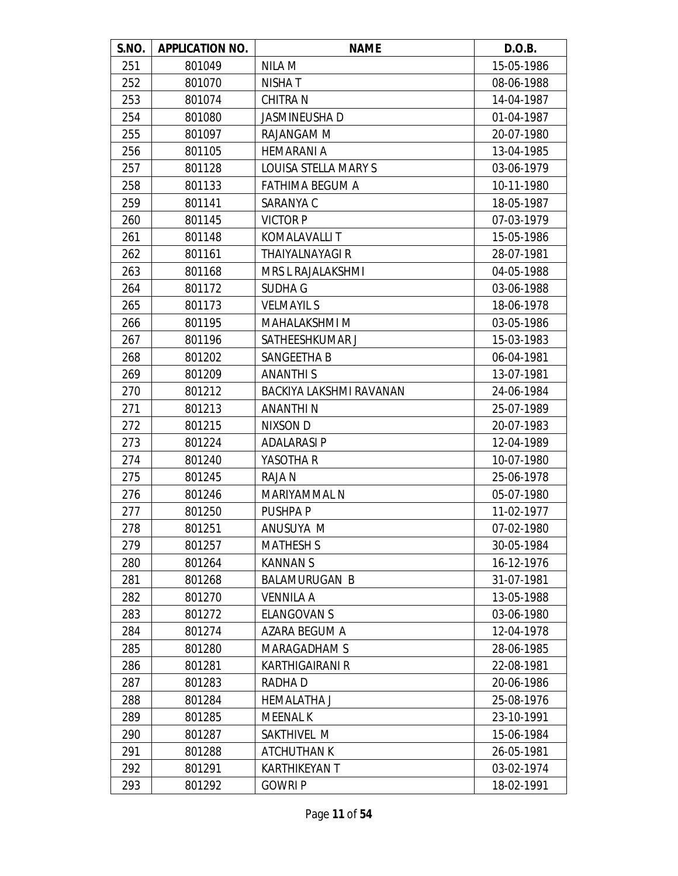| S.NO. | <b>APPLICATION NO.</b> | <b>NAME</b>             | D.O.B.     |
|-------|------------------------|-------------------------|------------|
| 251   | 801049                 | NILA M                  | 15-05-1986 |
| 252   | 801070                 | NISHA T                 | 08-06-1988 |
| 253   | 801074                 | <b>CHITRA N</b>         | 14-04-1987 |
| 254   | 801080                 | JASMINEUSHA D           | 01-04-1987 |
| 255   | 801097                 | RAJANGAM M              | 20-07-1980 |
| 256   | 801105                 | <b>HEMARANI A</b>       | 13-04-1985 |
| 257   | 801128                 | LOUISA STELLA MARY S    | 03-06-1979 |
| 258   | 801133                 | <b>FATHIMA BEGUM A</b>  | 10-11-1980 |
| 259   | 801141                 | SARANYA C               | 18-05-1987 |
| 260   | 801145                 | <b>VICTOR P</b>         | 07-03-1979 |
| 261   | 801148                 | KOMALAVALLI T           | 15-05-1986 |
| 262   | 801161                 | <b>THAIYALNAYAGI R</b>  | 28-07-1981 |
| 263   | 801168                 | MRS L RAJALAKSHMI       | 04-05-1988 |
| 264   | 801172                 | <b>SUDHA G</b>          | 03-06-1988 |
| 265   | 801173                 | <b>VELMAYIL S</b>       | 18-06-1978 |
| 266   | 801195                 | <b>MAHALAKSHMI M</b>    | 03-05-1986 |
| 267   | 801196                 | SATHEESHKUMAR J         | 15-03-1983 |
| 268   | 801202                 | SANGEETHA B             | 06-04-1981 |
| 269   | 801209                 | <b>ANANTHIS</b>         | 13-07-1981 |
| 270   | 801212                 | BACKIYA LAKSHMI RAVANAN | 24-06-1984 |
| 271   | 801213                 | ANANTHI N               | 25-07-1989 |
| 272   | 801215                 | NIXSON D                | 20-07-1983 |
| 273   | 801224                 | <b>ADALARASI P</b>      | 12-04-1989 |
| 274   | 801240                 | YASOTHA R               | 10-07-1980 |
| 275   | 801245                 | <b>RAJAN</b>            | 25-06-1978 |
| 276   | 801246                 | <b>MARIYAMMAL N</b>     | 05-07-1980 |
| 277   | 801250                 | PUSHPA P                | 11-02-1977 |
| 278   | 801251                 | ANUSUYA M               | 07-02-1980 |
| 279   | 801257                 | <b>MATHESH S</b>        | 30-05-1984 |
| 280   | 801264                 | <b>KANNANS</b>          | 16-12-1976 |
| 281   | 801268                 | <b>BALAMURUGAN B</b>    | 31-07-1981 |
| 282   | 801270                 | <b>VENNILA A</b>        | 13-05-1988 |
| 283   | 801272                 | <b>ELANGOVAN S</b>      | 03-06-1980 |
| 284   | 801274                 | AZARA BEGUM A           | 12-04-1978 |
| 285   | 801280                 | <b>MARAGADHAM S</b>     | 28-06-1985 |
| 286   | 801281                 | KARTHIGAIRANI R         | 22-08-1981 |
| 287   | 801283                 | RADHA D                 | 20-06-1986 |
| 288   | 801284                 | <b>HEMALATHA J</b>      | 25-08-1976 |
| 289   | 801285                 | <b>MEENAL K</b>         | 23-10-1991 |
| 290   | 801287                 | SAKTHIVEL M             | 15-06-1984 |
| 291   | 801288                 | <b>ATCHUTHAN K</b>      | 26-05-1981 |
| 292   | 801291                 | <b>KARTHIKEYAN T</b>    | 03-02-1974 |
| 293   | 801292                 | <b>GOWRIP</b>           | 18-02-1991 |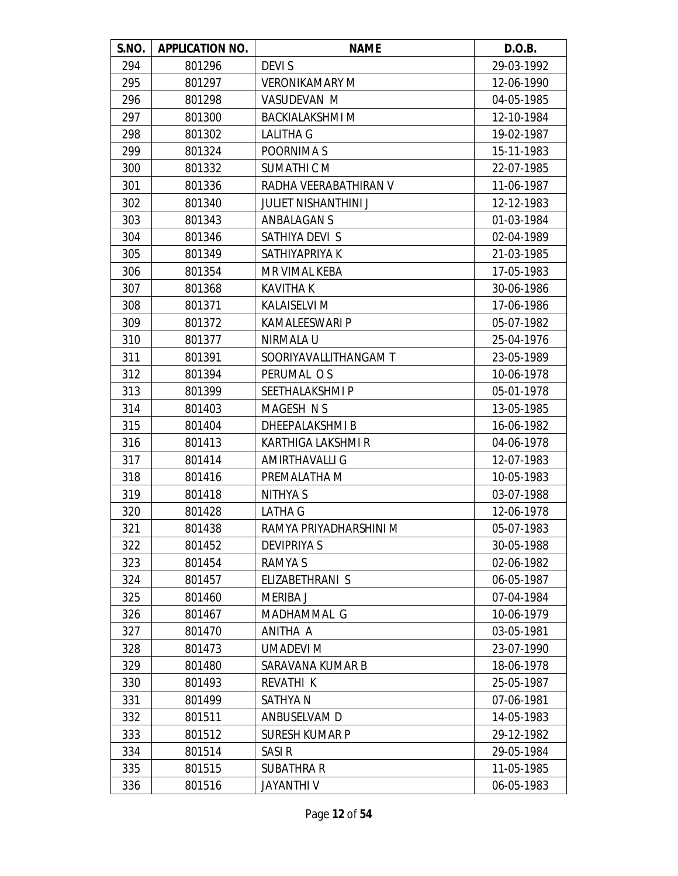| S.NO. | <b>APPLICATION NO.</b> | <b>NAME</b>                 | D.O.B.     |
|-------|------------------------|-----------------------------|------------|
| 294   | 801296                 | <b>DEVIS</b>                | 29-03-1992 |
| 295   | 801297                 | <b>VERONIKAMARY M</b>       | 12-06-1990 |
| 296   | 801298                 | VASUDEVAN M                 | 04-05-1985 |
| 297   | 801300                 | <b>BACKIALAKSHMI M</b>      | 12-10-1984 |
| 298   | 801302                 | <b>LALITHA G</b>            | 19-02-1987 |
| 299   | 801324                 | POORNIMA S                  | 15-11-1983 |
| 300   | 801332                 | SUMATHIC M                  | 22-07-1985 |
| 301   | 801336                 | RADHA VEERABATHIRAN V       | 11-06-1987 |
| 302   | 801340                 | <b>JULIET NISHANTHINI J</b> | 12-12-1983 |
| 303   | 801343                 | ANBALAGAN S                 | 01-03-1984 |
| 304   | 801346                 | SATHIYA DEVI S              | 02-04-1989 |
| 305   | 801349                 | SATHIYAPRIYA K              | 21-03-1985 |
| 306   | 801354                 | MR VIMAL KEBA               | 17-05-1983 |
| 307   | 801368                 | <b>KAVITHA K</b>            | 30-06-1986 |
| 308   | 801371                 | <b>KALAISELVI M</b>         | 17-06-1986 |
| 309   | 801372                 | <b>KAMALEESWARI P</b>       | 05-07-1982 |
| 310   | 801377                 | NIRMALA U                   | 25-04-1976 |
| 311   | 801391                 | SOORIYAVALLITHANGAM T       | 23-05-1989 |
| 312   | 801394                 | PERUMAL OS                  | 10-06-1978 |
| 313   | 801399                 | SEETHALAKSHMI P             | 05-01-1978 |
| 314   | 801403                 | MAGESH N S                  | 13-05-1985 |
| 315   | 801404                 | <b>DHEEPALAKSHMIB</b>       | 16-06-1982 |
| 316   | 801413                 | KARTHIGA LAKSHMI R          | 04-06-1978 |
| 317   | 801414                 | AMIRTHAVALLI G              | 12-07-1983 |
| 318   | 801416                 | PREMALATHA M                | 10-05-1983 |
| 319   | 801418                 | NITHYA S                    | 03-07-1988 |
| 320   | 801428                 | LATHA G                     | 12-06-1978 |
| 321   | 801438                 | RAMYA PRIYADHARSHINI M      | 05-07-1983 |
| 322   | 801452                 | <b>DEVIPRIYA S</b>          | 30-05-1988 |
| 323   | 801454                 | RAMYA S                     | 02-06-1982 |
| 324   | 801457                 | ELIZABETHRANI S             | 06-05-1987 |
| 325   | 801460                 | <b>MERIBA J</b>             | 07-04-1984 |
| 326   | 801467                 | MADHAMMAL G                 | 10-06-1979 |
| 327   | 801470                 | ANITHA A                    | 03-05-1981 |
| 328   | 801473                 | <b>UMADEVI M</b>            | 23-07-1990 |
| 329   | 801480                 | SARAVANA KUMAR B            | 18-06-1978 |
| 330   | 801493                 | REVATHI K                   | 25-05-1987 |
| 331   | 801499                 | SATHYA N                    | 07-06-1981 |
| 332   | 801511                 | ANBUSELVAM D                | 14-05-1983 |
| 333   | 801512                 | <b>SURESH KUMAR P</b>       | 29-12-1982 |
| 334   | 801514                 | SASI <sub>R</sub>           | 29-05-1984 |
| 335   | 801515                 | <b>SUBATHRA R</b>           | 11-05-1985 |
| 336   | 801516                 | <b>JAYANTHI V</b>           | 06-05-1983 |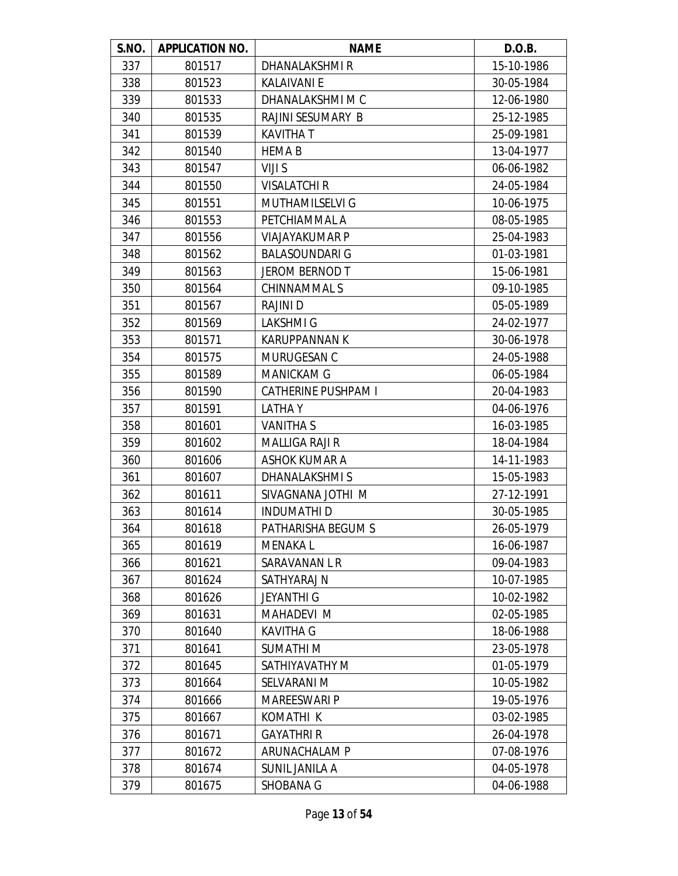| S.NO. | <b>APPLICATION NO.</b> | <b>NAME</b>                | D.O.B.     |
|-------|------------------------|----------------------------|------------|
| 337   | 801517                 | DHANALAKSHMI R             | 15-10-1986 |
| 338   | 801523                 | <b>KALAIVANI E</b>         | 30-05-1984 |
| 339   | 801533                 | DHANALAKSHMI M C           | 12-06-1980 |
| 340   | 801535                 | RAJINI SESUMARY B          | 25-12-1985 |
| 341   | 801539                 | <b>KAVITHAT</b>            | 25-09-1981 |
| 342   | 801540                 | <b>HEMAB</b>               | 13-04-1977 |
| 343   | 801547                 | VIJI S                     | 06-06-1982 |
| 344   | 801550                 | <b>VISALATCHI R</b>        | 24-05-1984 |
| 345   | 801551                 | <b>MUTHAMILSELVI G</b>     | 10-06-1975 |
| 346   | 801553                 | PETCHIAMMAL A              | 08-05-1985 |
| 347   | 801556                 | <b>VIAJAYAKUMAR P</b>      | 25-04-1983 |
| 348   | 801562                 | <b>BALASOUNDARI G</b>      | 01-03-1981 |
| 349   | 801563                 | JEROM BERNOD T             | 15-06-1981 |
| 350   | 801564                 | CHINNAMMAL S               | 09-10-1985 |
| 351   | 801567                 | <b>RAJINI D</b>            | 05-05-1989 |
| 352   | 801569                 | LAKSHMI G                  | 24-02-1977 |
| 353   | 801571                 | <b>KARUPPANNAN K</b>       | 30-06-1978 |
| 354   | 801575                 | MURUGESAN C                | 24-05-1988 |
| 355   | 801589                 | <b>MANICKAM G</b>          | 06-05-1984 |
| 356   | 801590                 | <b>CATHERINE PUSHPAM I</b> | 20-04-1983 |
| 357   | 801591                 | <b>LATHAY</b>              | 04-06-1976 |
| 358   | 801601                 | <b>VANITHA S</b>           | 16-03-1985 |
| 359   | 801602                 | <b>MALLIGA RAJI R</b>      | 18-04-1984 |
| 360   | 801606                 | <b>ASHOK KUMAR A</b>       | 14-11-1983 |
| 361   | 801607                 | DHANALAKSHMI S             | 15-05-1983 |
| 362   | 801611                 | SIVAGNANA JOTHI M          | 27-12-1991 |
| 363   | 801614                 | <b>INDUMATHI D</b>         | 30-05-1985 |
| 364   | 801618                 | PATHARISHA BEGUM S         | 26-05-1979 |
| 365   | 801619                 | <b>MENAKAL</b>             | 16-06-1987 |
| 366   | 801621                 | SARAVANAN L R              | 09-04-1983 |
| 367   | 801624                 | SATHYARAJ N                | 10-07-1985 |
| 368   | 801626                 | <b>JEYANTHI G</b>          | 10-02-1982 |
| 369   | 801631                 | MAHADEVI M                 | 02-05-1985 |
| 370   | 801640                 | <b>KAVITHA G</b>           | 18-06-1988 |
| 371   | 801641                 | SUMATHI M                  | 23-05-1978 |
| 372   | 801645                 | SATHIYAVATHY M             | 01-05-1979 |
| 373   | 801664                 | SELVARANI M                | 10-05-1982 |
| 374   | 801666                 | <b>MAREESWARI P</b>        | 19-05-1976 |
| 375   | 801667                 | KOMATHI K                  | 03-02-1985 |
| 376   | 801671                 | <b>GAYATHRI R</b>          | 26-04-1978 |
| 377   | 801672                 | ARUNACHALAM P              | 07-08-1976 |
| 378   | 801674                 | SUNIL JANILA A             | 04-05-1978 |
| 379   | 801675                 | SHOBANA G                  | 04-06-1988 |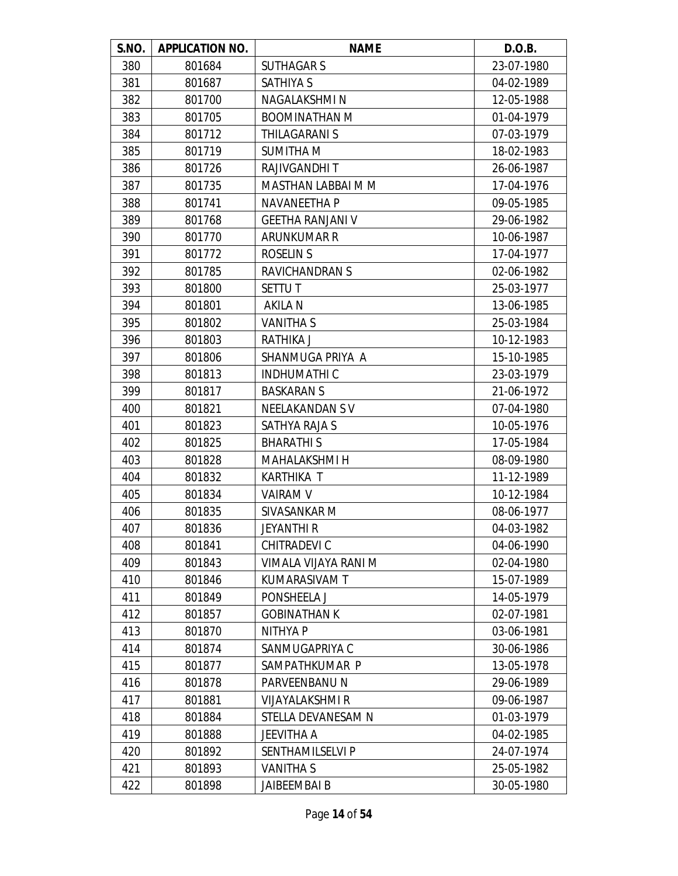| S.NO. | <b>APPLICATION NO.</b> | <b>NAME</b>             | D.O.B.     |
|-------|------------------------|-------------------------|------------|
| 380   | 801684                 | <b>SUTHAGAR S</b>       | 23-07-1980 |
| 381   | 801687                 | <b>SATHIYA S</b>        | 04-02-1989 |
| 382   | 801700                 | NAGALAKSHMI N           | 12-05-1988 |
| 383   | 801705                 | <b>BOOMINATHAN M</b>    | 01-04-1979 |
| 384   | 801712                 | <b>THILAGARANI S</b>    | 07-03-1979 |
| 385   | 801719                 | <b>SUMITHA M</b>        | 18-02-1983 |
| 386   | 801726                 | <b>RAJIVGANDHIT</b>     | 26-06-1987 |
| 387   | 801735                 | MASTHAN LABBAI M M      | 17-04-1976 |
| 388   | 801741                 | NAVANEETHA P            | 09-05-1985 |
| 389   | 801768                 | <b>GEETHA RANJANI V</b> | 29-06-1982 |
| 390   | 801770                 | ARUNKUMAR R             | 10-06-1987 |
| 391   | 801772                 | <b>ROSELIN S</b>        | 17-04-1977 |
| 392   | 801785                 | <b>RAVICHANDRANS</b>    | 02-06-1982 |
| 393   | 801800                 | <b>SETTUT</b>           | 25-03-1977 |
| 394   | 801801                 | <b>AKILA N</b>          | 13-06-1985 |
| 395   | 801802                 | <b>VANITHA S</b>        | 25-03-1984 |
| 396   | 801803                 | <b>RATHIKA J</b>        | 10-12-1983 |
| 397   | 801806                 | SHANMUGA PRIYA A        | 15-10-1985 |
| 398   | 801813                 | <b>INDHUMATHIC</b>      | 23-03-1979 |
| 399   | 801817                 | <b>BASKARANS</b>        | 21-06-1972 |
| 400   | 801821                 | NEELAKANDAN SV          | 07-04-1980 |
| 401   | 801823                 | SATHYA RAJA S           | 10-05-1976 |
| 402   | 801825                 | <b>BHARATHIS</b>        | 17-05-1984 |
| 403   | 801828                 | <b>MAHALAKSHMI H</b>    | 08-09-1980 |
| 404   | 801832                 | KARTHIKA T              | 11-12-1989 |
| 405   | 801834                 | <b>VAIRAM V</b>         | 10-12-1984 |
| 406   | 801835                 | SIVASANKAR M            | 08-06-1977 |
| 407   | 801836                 | JEYANTHI R              | 04-03-1982 |
| 408   | 801841                 | CHITRADEVI C            | 04-06-1990 |
| 409   | 801843                 | VIMALA VIJAYA RANI M    | 02-04-1980 |
| 410   | 801846                 | KUMARASIVAM T           | 15-07-1989 |
| 411   | 801849                 | PONSHEELA J             | 14-05-1979 |
| 412   | 801857                 | <b>GOBINATHAN K</b>     | 02-07-1981 |
| 413   | 801870                 | NITHYA P                | 03-06-1981 |
| 414   | 801874                 | SANMUGAPRIYA C          | 30-06-1986 |
| 415   | 801877                 | SAMPATHKUMAR P          | 13-05-1978 |
| 416   | 801878                 | PARVEENBANU N           | 29-06-1989 |
| 417   | 801881                 | <b>VIJAYALAKSHMI R</b>  | 09-06-1987 |
| 418   | 801884                 | STELLA DEVANESAM N      | 01-03-1979 |
| 419   | 801888                 | JEEVITHA A              | 04-02-1985 |
| 420   | 801892                 | <b>SENTHAMILSELVI P</b> | 24-07-1974 |
| 421   | 801893                 | <b>VANITHA S</b>        | 25-05-1982 |
| 422   | 801898                 | JAIBEEMBAI B            | 30-05-1980 |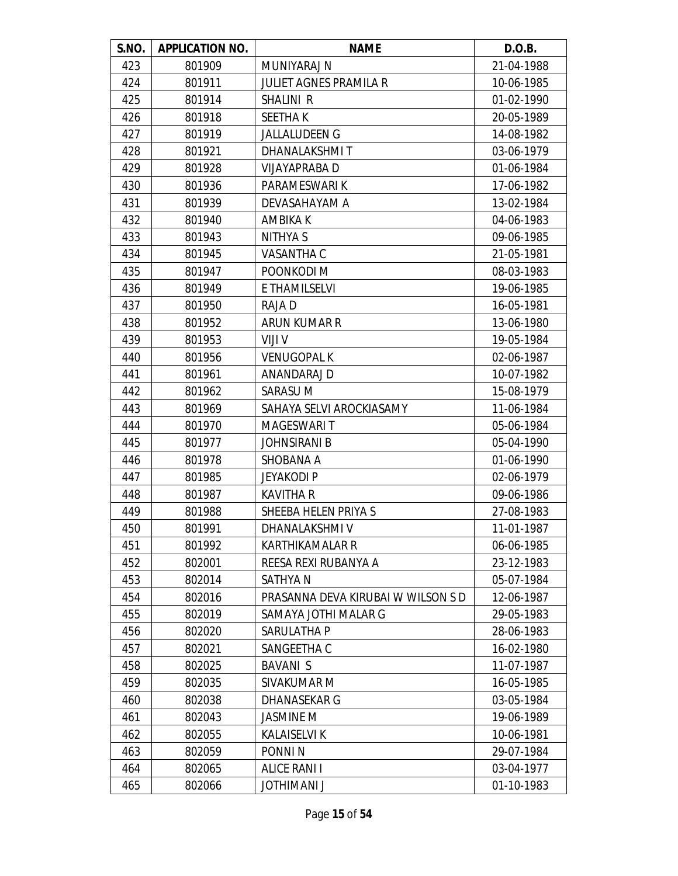| S.NO. | <b>APPLICATION NO.</b> | <b>NAME</b>                        | D.O.B.     |
|-------|------------------------|------------------------------------|------------|
| 423   | 801909                 | MUNIYARAJ N                        | 21-04-1988 |
| 424   | 801911                 | <b>JULIET AGNES PRAMILA R</b>      | 10-06-1985 |
| 425   | 801914                 | SHALINI R                          | 01-02-1990 |
| 426   | 801918                 | <b>SEETHAK</b>                     | 20-05-1989 |
| 427   | 801919                 | <b>JALLALUDEEN G</b>               | 14-08-1982 |
| 428   | 801921                 | DHANALAKSHMIT                      | 03-06-1979 |
| 429   | 801928                 | VIJAYAPRABA D                      | 01-06-1984 |
| 430   | 801936                 | PARAMESWARI K                      | 17-06-1982 |
| 431   | 801939                 | DEVASAHAYAM A                      | 13-02-1984 |
| 432   | 801940                 | AMBIKA K                           | 04-06-1983 |
| 433   | 801943                 | NITHYA S                           | 09-06-1985 |
| 434   | 801945                 | VASANTHA C                         | 21-05-1981 |
| 435   | 801947                 | POONKODI M                         | 08-03-1983 |
| 436   | 801949                 | E THAMILSELVI                      | 19-06-1985 |
| 437   | 801950                 | RAJA D                             | 16-05-1981 |
| 438   | 801952                 | ARUN KUMAR R                       | 13-06-1980 |
| 439   | 801953                 | VIJI V                             | 19-05-1984 |
| 440   | 801956                 | <b>VENUGOPAL K</b>                 | 02-06-1987 |
| 441   | 801961                 | ANANDARAJ D                        | 10-07-1982 |
| 442   | 801962                 | SARASU M                           | 15-08-1979 |
| 443   | 801969                 | SAHAYA SELVI AROCKIASAMY           | 11-06-1984 |
| 444   | 801970                 | MAGESWARI T                        | 05-06-1984 |
| 445   | 801977                 | <b>JOHNSIRANI B</b>                | 05-04-1990 |
| 446   | 801978                 | SHOBANA A                          | 01-06-1990 |
| 447   | 801985                 | <b>JEYAKODI P</b>                  | 02-06-1979 |
| 448   | 801987                 | <b>KAVITHA R</b>                   | 09-06-1986 |
| 449   | 801988                 | SHEEBA HELEN PRIYA S               | 27-08-1983 |
| 450   | 801991                 | DHANALAKSHMI V                     | 11-01-1987 |
| 451   | 801992                 | <b>KARTHIKAMALAR R</b>             | 06-06-1985 |
| 452   | 802001                 | REESA REXI RUBANYA A               | 23-12-1983 |
| 453   | 802014                 | SATHYA N                           | 05-07-1984 |
| 454   | 802016                 | PRASANNA DEVA KIRUBAI W WILSON S D | 12-06-1987 |
| 455   | 802019                 | SAMAYA JOTHI MALAR G               | 29-05-1983 |
| 456   | 802020                 | SARULATHA P                        | 28-06-1983 |
| 457   | 802021                 | SANGEETHA C                        | 16-02-1980 |
| 458   | 802025                 | <b>BAVANIS</b>                     | 11-07-1987 |
| 459   | 802035                 | SIVAKUMAR M                        | 16-05-1985 |
| 460   | 802038                 | DHANASEKAR G                       | 03-05-1984 |
| 461   | 802043                 | JASMINE M                          | 19-06-1989 |
| 462   | 802055                 | <b>KALAISELVI K</b>                | 10-06-1981 |
| 463   | 802059                 | PONNI N                            | 29-07-1984 |
| 464   | 802065                 | <b>ALICE RANI I</b>                | 03-04-1977 |
| 465   | 802066                 | <b>JOTHIMANI J</b>                 | 01-10-1983 |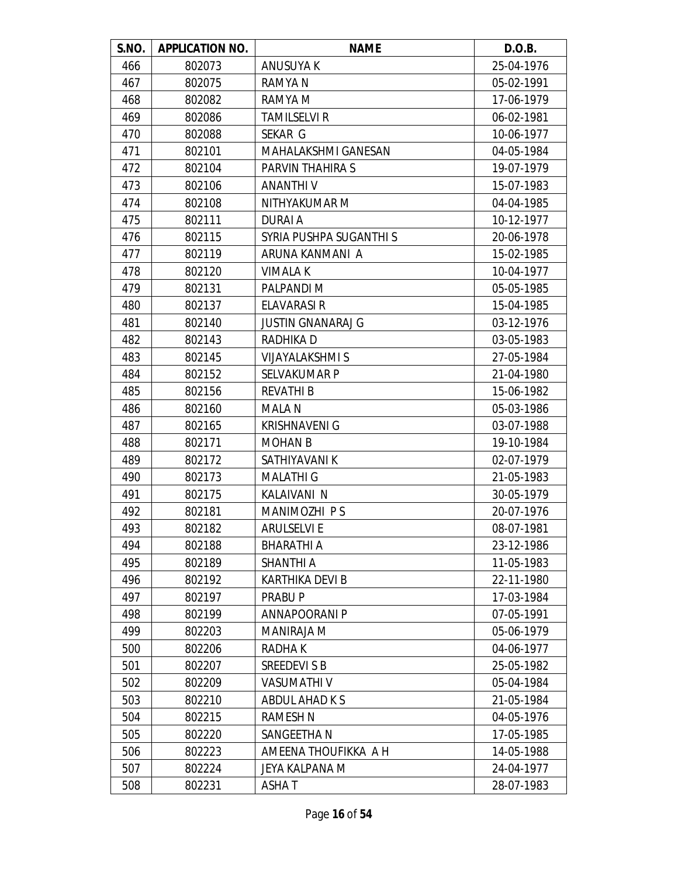| S.NO. | <b>APPLICATION NO.</b> | <b>NAME</b>                | D.O.B.     |
|-------|------------------------|----------------------------|------------|
| 466   | 802073                 | <b>ANUSUYA K</b>           | 25-04-1976 |
| 467   | 802075                 | RAMYA N                    | 05-02-1991 |
| 468   | 802082                 | RAMYA M                    | 17-06-1979 |
| 469   | 802086                 | <b>TAMILSELVI R</b>        | 06-02-1981 |
| 470   | 802088                 | SEKAR G                    | 10-06-1977 |
| 471   | 802101                 | <b>MAHALAKSHMI GANESAN</b> | 04-05-1984 |
| 472   | 802104                 | PARVIN THAHIRA S           | 19-07-1979 |
| 473   | 802106                 | <b>ANANTHIV</b>            | 15-07-1983 |
| 474   | 802108                 | NITHYAKUMAR M              | 04-04-1985 |
| 475   | 802111                 | <b>DURAI A</b>             | 10-12-1977 |
| 476   | 802115                 | SYRIA PUSHPA SUGANTHI S    | 20-06-1978 |
| 477   | 802119                 | ARUNA KANMANI A            | 15-02-1985 |
| 478   | 802120                 | <b>VIMALA K</b>            | 10-04-1977 |
| 479   | 802131                 | PALPANDI M                 | 05-05-1985 |
| 480   | 802137                 | <b>ELAVARASI R</b>         | 15-04-1985 |
| 481   | 802140                 | <b>JUSTIN GNANARAJ G</b>   | 03-12-1976 |
| 482   | 802143                 | <b>RADHIKAD</b>            | 03-05-1983 |
| 483   | 802145                 | <b>VIJAYALAKSHMI S</b>     | 27-05-1984 |
| 484   | 802152                 | <b>SELVAKUMAR P</b>        | 21-04-1980 |
| 485   | 802156                 | <b>REVATHIB</b>            | 15-06-1982 |
| 486   | 802160                 | <b>MALAN</b>               | 05-03-1986 |
| 487   | 802165                 | <b>KRISHNAVENI G</b>       | 03-07-1988 |
| 488   | 802171                 | <b>MOHAN B</b>             | 19-10-1984 |
| 489   | 802172                 | SATHIYAVANI K              | 02-07-1979 |
| 490   | 802173                 | <b>MALATHI G</b>           | 21-05-1983 |
| 491   | 802175                 | <b>KALAIVANI N</b>         | 30-05-1979 |
| 492   | 802181                 | MANIMOZHI PS               | 20-07-1976 |
| 493   | 802182                 | <b>ARULSELVI E</b>         | 08-07-1981 |
| 494   | 802188                 | <b>BHARATHI A</b>          | 23-12-1986 |
| 495   | 802189                 | <b>SHANTHI A</b>           | 11-05-1983 |
| 496   | 802192                 | <b>KARTHIKA DEVI B</b>     | 22-11-1980 |
| 497   | 802197                 | PRABU P                    | 17-03-1984 |
| 498   | 802199                 | ANNAPOORANI P              | 07-05-1991 |
| 499   | 802203                 | <b>MANIRAJA M</b>          | 05-06-1979 |
| 500   | 802206                 | RADHA K                    | 04-06-1977 |
| 501   | 802207                 | SREEDEVI S B               | 25-05-1982 |
| 502   | 802209                 | <b>VASUMATHI V</b>         | 05-04-1984 |
| 503   | 802210                 | ABDUL AHAD K S             | 21-05-1984 |
| 504   | 802215                 | <b>RAMESH N</b>            | 04-05-1976 |
| 505   | 802220                 | SANGEETHA N                | 17-05-1985 |
| 506   | 802223                 | AMEENA THOUFIKKA A H       | 14-05-1988 |
| 507   | 802224                 | JEYA KALPANA M             | 24-04-1977 |
| 508   | 802231                 | ASHA T                     | 28-07-1983 |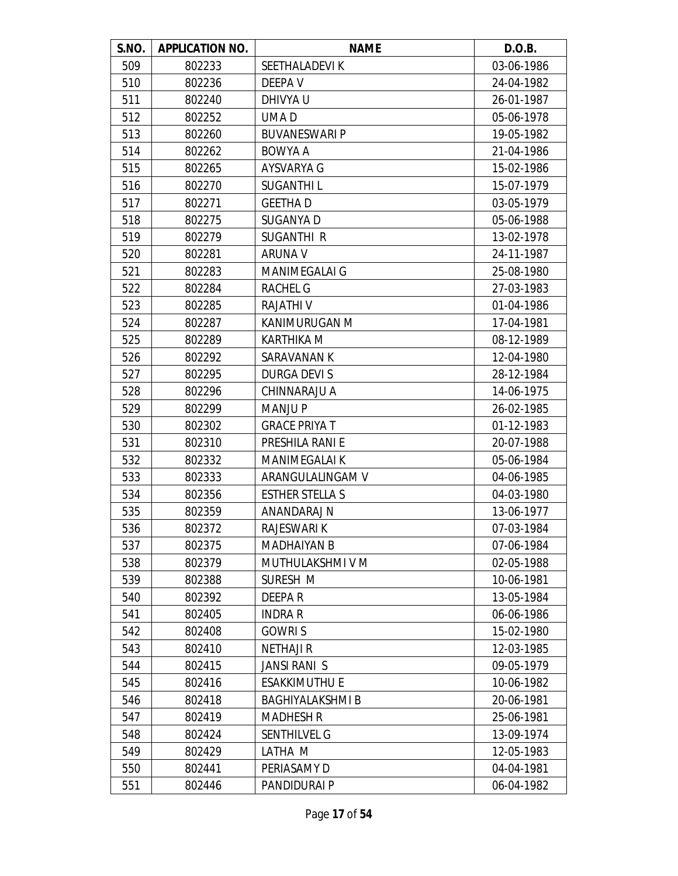| S.NO. | <b>APPLICATION NO.</b> | <b>NAME</b>             | D.O.B.     |
|-------|------------------------|-------------------------|------------|
| 509   | 802233                 | <b>SEETHALADEVIK</b>    | 03-06-1986 |
| 510   | 802236                 | DEEPA V                 | 24-04-1982 |
| 511   | 802240                 | DHIVYA U                | 26-01-1987 |
| 512   | 802252                 | UMA D                   | 05-06-1978 |
| 513   | 802260                 | <b>BUVANESWARI P</b>    | 19-05-1982 |
| 514   | 802262                 | BOWYA A                 | 21-04-1986 |
| 515   | 802265                 | AYSVARYA G              | 15-02-1986 |
| 516   | 802270                 | <b>SUGANTHIL</b>        | 15-07-1979 |
| 517   | 802271                 | <b>GEETHAD</b>          | 03-05-1979 |
| 518   | 802275                 | SUGANYA D               | 05-06-1988 |
| 519   | 802279                 | SUGANTHI R              | 13-02-1978 |
| 520   | 802281                 | <b>ARUNA V</b>          | 24-11-1987 |
| 521   | 802283                 | <b>MANIMEGALAI G</b>    | 25-08-1980 |
| 522   | 802284                 | RACHEL G                | 27-03-1983 |
| 523   | 802285                 | <b>RAJATHIV</b>         | 01-04-1986 |
| 524   | 802287                 | KANIMURUGAN M           | 17-04-1981 |
| 525   | 802289                 | <b>KARTHIKA M</b>       | 08-12-1989 |
| 526   | 802292                 | SARAVANAN K             | 12-04-1980 |
| 527   | 802295                 | <b>DURGA DEVIS</b>      | 28-12-1984 |
| 528   | 802296                 | CHINNARAJU A            | 14-06-1975 |
| 529   | 802299                 | <b>MANJUP</b>           | 26-02-1985 |
| 530   | 802302                 | <b>GRACE PRIYA T</b>    | 01-12-1983 |
| 531   | 802310                 | PRESHILA RANI E         | 20-07-1988 |
| 532   | 802332                 | <b>MANIMEGALAI K</b>    | 05-06-1984 |
| 533   | 802333                 | ARANGULALINGAM V        | 04-06-1985 |
| 534   | 802356                 | <b>ESTHER STELLA S</b>  | 04-03-1980 |
| 535   | 802359                 | ANANDARAJ N             | 13-06-1977 |
| 536   | 802372                 | <b>RAJESWARI K</b>      | 07-03-1984 |
| 537   | 802375                 | <b>MADHAIYAN B</b>      | 07-06-1984 |
| 538   | 802379                 | MUTHULAKSHMI V M        | 02-05-1988 |
| 539   | 802388                 | SURESH M                | 10-06-1981 |
| 540   | 802392                 | DEEPA R                 | 13-05-1984 |
| 541   | 802405                 | <b>INDRA R</b>          | 06-06-1986 |
| 542   | 802408                 | <b>GOWRIS</b>           | 15-02-1980 |
| 543   | 802410                 | <b>NETHAJI R</b>        | 12-03-1985 |
| 544   | 802415                 | <b>JANSI RANI S</b>     | 09-05-1979 |
| 545   | 802416                 | <b>ESAKKIMUTHU E</b>    | 10-06-1982 |
| 546   | 802418                 | <b>BAGHIYALAKSHMI B</b> | 20-06-1981 |
| 547   | 802419                 | <b>MADHESH R</b>        | 25-06-1981 |
| 548   | 802424                 | <b>SENTHILVEL G</b>     | 13-09-1974 |
| 549   | 802429                 | LATHA M                 | 12-05-1983 |
| 550   | 802441                 | PERIASAMY D             | 04-04-1981 |
| 551   | 802446                 | PANDIDURAI P            | 06-04-1982 |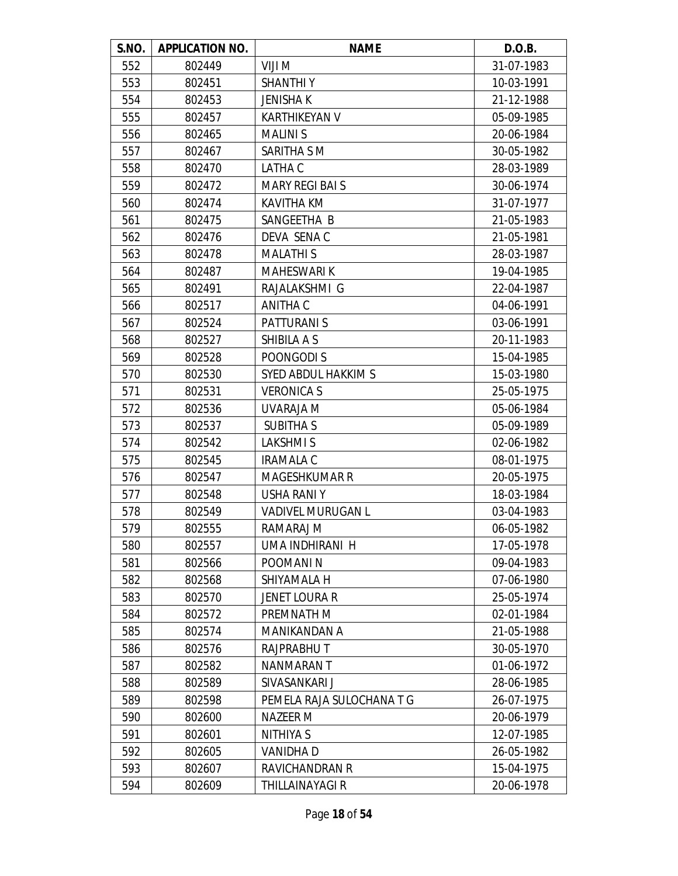| S.NO. | <b>APPLICATION NO.</b> | <b>NAME</b>               | D.O.B.     |
|-------|------------------------|---------------------------|------------|
| 552   | 802449                 | VIJI M                    | 31-07-1983 |
| 553   | 802451                 | <b>SHANTHIY</b>           | 10-03-1991 |
| 554   | 802453                 | <b>JENISHAK</b>           | 21-12-1988 |
| 555   | 802457                 | <b>KARTHIKEYAN V</b>      | 05-09-1985 |
| 556   | 802465                 | <b>MALINIS</b>            | 20-06-1984 |
| 557   | 802467                 | SARITHA S M               | 30-05-1982 |
| 558   | 802470                 | LATHA C                   | 28-03-1989 |
| 559   | 802472                 | <b>MARY REGI BAI S</b>    | 30-06-1974 |
| 560   | 802474                 | <b>KAVITHA KM</b>         | 31-07-1977 |
| 561   | 802475                 | SANGEETHA B               | 21-05-1983 |
| 562   | 802476                 | DEVA SENAC                | 21-05-1981 |
| 563   | 802478                 | <b>MALATHIS</b>           | 28-03-1987 |
| 564   | 802487                 | <b>MAHESWARI K</b>        | 19-04-1985 |
| 565   | 802491                 | RAJALAKSHMI G             | 22-04-1987 |
| 566   | 802517                 | ANITHA C                  | 04-06-1991 |
| 567   | 802524                 | <b>PATTURANI S</b>        | 03-06-1991 |
| 568   | 802527                 | SHIBILA A S               | 20-11-1983 |
| 569   | 802528                 | POONGODI S                | 15-04-1985 |
| 570   | 802530                 | SYED ABDUL HAKKIM S       | 15-03-1980 |
| 571   | 802531                 | <b>VERONICA S</b>         | 25-05-1975 |
| 572   | 802536                 | UVARAJA M                 | 05-06-1984 |
| 573   | 802537                 | <b>SUBITHAS</b>           | 05-09-1989 |
| 574   | 802542                 | <b>LAKSHMIS</b>           | 02-06-1982 |
| 575   | 802545                 | <b>IRAMALA C</b>          | 08-01-1975 |
| 576   | 802547                 | <b>MAGESHKUMAR R</b>      | 20-05-1975 |
| 577   | 802548                 | <b>USHA RANIY</b>         | 18-03-1984 |
| 578   | 802549                 | <b>VADIVEL MURUGAN L</b>  | 03-04-1983 |
| 579   | 802555                 | RAMARAJ M                 | 06-05-1982 |
| 580   | 802557                 | UMA INDHIRANI H           | 17-05-1978 |
| 581   | 802566                 | <b>POOMANIN</b>           | 09-04-1983 |
| 582   | 802568                 | SHIYAMALA H               | 07-06-1980 |
| 583   | 802570                 | <b>JENET LOURA R</b>      | 25-05-1974 |
| 584   | 802572                 | PREMNATH M                | 02-01-1984 |
| 585   | 802574                 | MANIKANDAN A              | 21-05-1988 |
| 586   | 802576                 | <b>RAJPRABHUT</b>         | 30-05-1970 |
| 587   | 802582                 | NANMARAN T                | 01-06-1972 |
| 588   | 802589                 | SIVASANKARI J             | 28-06-1985 |
| 589   | 802598                 | PEMELA RAJA SULOCHANA T G | 26-07-1975 |
| 590   | 802600                 | NAZEER M                  | 20-06-1979 |
| 591   | 802601                 | NITHIYA S                 | 12-07-1985 |
| 592   | 802605                 | <b>VANIDHAD</b>           | 26-05-1982 |
| 593   | 802607                 | RAVICHANDRAN R            | 15-04-1975 |
| 594   | 802609                 | THILLAINAYAGI R           | 20-06-1978 |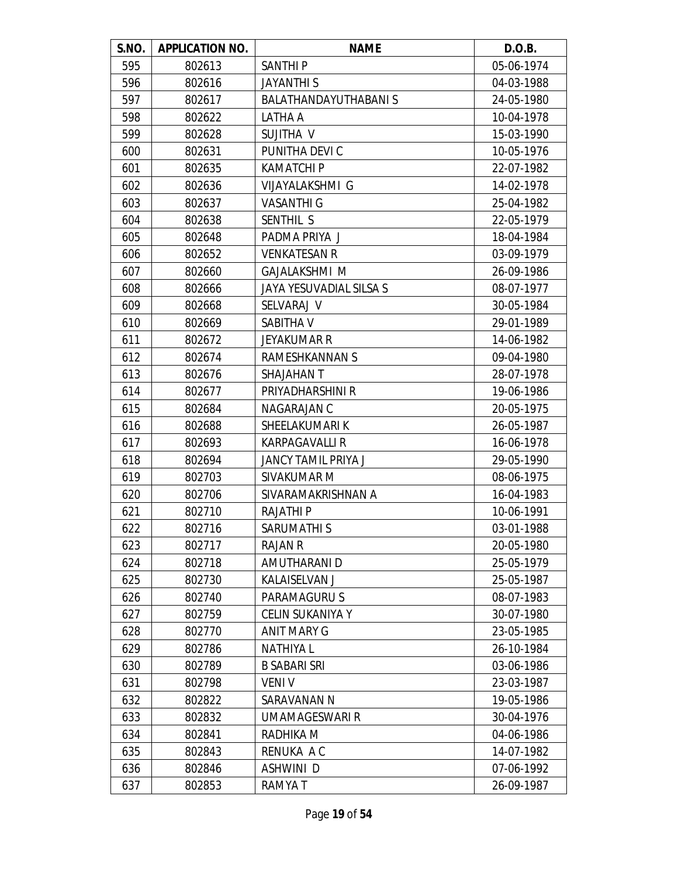| S.NO. | <b>APPLICATION NO.</b> | <b>NAME</b>                 | D.O.B.     |
|-------|------------------------|-----------------------------|------------|
| 595   | 802613                 | <b>SANTHIP</b>              | 05-06-1974 |
| 596   | 802616                 | <b>JAYANTHI S</b>           | 04-03-1988 |
| 597   | 802617                 | <b>BALATHANDAYUTHABANIS</b> | 24-05-1980 |
| 598   | 802622                 | LATHA A                     | 10-04-1978 |
| 599   | 802628                 | SUJITHA V                   | 15-03-1990 |
| 600   | 802631                 | PUNITHA DEVI C              | 10-05-1976 |
| 601   | 802635                 | <b>KAMATCHI P</b>           | 22-07-1982 |
| 602   | 802636                 | VIJAYALAKSHMI G             | 14-02-1978 |
| 603   | 802637                 | <b>VASANTHI G</b>           | 25-04-1982 |
| 604   | 802638                 | SENTHIL S                   | 22-05-1979 |
| 605   | 802648                 | PADMA PRIYA J               | 18-04-1984 |
| 606   | 802652                 | <b>VENKATESAN R</b>         | 03-09-1979 |
| 607   | 802660                 | <b>GAJALAKSHMI M</b>        | 26-09-1986 |
| 608   | 802666                 | JAYA YESUVADIAL SILSA S     | 08-07-1977 |
| 609   | 802668                 | SELVARAJ V                  | 30-05-1984 |
| 610   | 802669                 | SABITHA V                   | 29-01-1989 |
| 611   | 802672                 | <b>JEYAKUMAR R</b>          | 14-06-1982 |
| 612   | 802674                 | RAMESHKANNAN S              | 09-04-1980 |
| 613   | 802676                 | <b>SHAJAHAN T</b>           | 28-07-1978 |
| 614   | 802677                 | PRIYADHARSHINI R            | 19-06-1986 |
| 615   | 802684                 | NAGARAJAN C                 | 20-05-1975 |
| 616   | 802688                 | SHEELAKUMARI K              | 26-05-1987 |
| 617   | 802693                 | <b>KARPAGAVALLI R</b>       | 16-06-1978 |
| 618   | 802694                 | JANCY TAMIL PRIYA J         | 29-05-1990 |
| 619   | 802703                 | SIVAKUMAR M                 | 08-06-1975 |
| 620   | 802706                 | SIVARAMAKRISHNAN A          | 16-04-1983 |
| 621   | 802710                 | <b>RAJATHIP</b>             | 10-06-1991 |
| 622   | 802716                 | SARUMATHI S                 | 03-01-1988 |
| 623   | 802717                 | <b>RAJAN R</b>              | 20-05-1980 |
| 624   | 802718                 | AMUTHARANI D                | 25-05-1979 |
| 625   | 802730                 | KALAISELVAN J               | 25-05-1987 |
| 626   | 802740                 | PARAMAGURU S                | 08-07-1983 |
| 627   | 802759                 | <b>CELIN SUKANIYA Y</b>     | 30-07-1980 |
| 628   | 802770                 | <b>ANIT MARY G</b>          | 23-05-1985 |
| 629   | 802786                 | <b>NATHIYA L</b>            | 26-10-1984 |
| 630   | 802789                 | <b>B SABARI SRI</b>         | 03-06-1986 |
| 631   | 802798                 | <b>VENIV</b>                | 23-03-1987 |
| 632   | 802822                 | SARAVANAN N                 | 19-05-1986 |
| 633   | 802832                 | <b>UMAMAGESWARI R</b>       | 30-04-1976 |
| 634   | 802841                 | RADHIKA M                   | 04-06-1986 |
| 635   | 802843                 | RENUKA A C                  | 14-07-1982 |
| 636   | 802846                 | ASHWINI D                   | 07-06-1992 |
| 637   | 802853                 | RAMYA T                     | 26-09-1987 |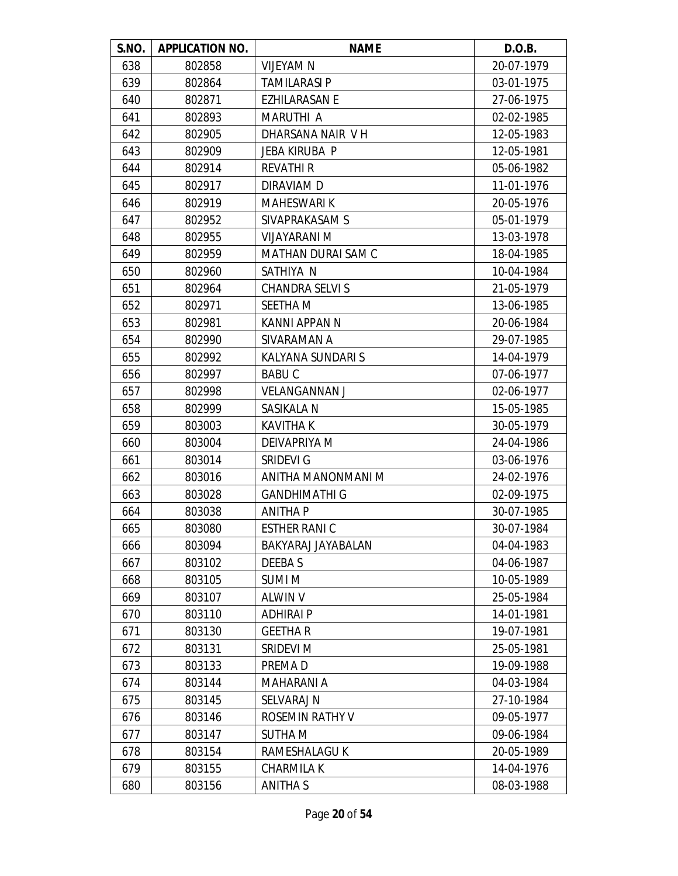| S.NO. | <b>APPLICATION NO.</b> | <b>NAME</b>               | D.O.B.     |
|-------|------------------------|---------------------------|------------|
| 638   | 802858                 | <b>VIJEYAM N</b>          | 20-07-1979 |
| 639   | 802864                 | <b>TAMILARASI P</b>       | 03-01-1975 |
| 640   | 802871                 | <b>EZHILARASAN E</b>      | 27-06-1975 |
| 641   | 802893                 | <b>MARUTHI A</b>          | 02-02-1985 |
| 642   | 802905                 | DHARSANA NAIR VH          | 12-05-1983 |
| 643   | 802909                 | <b>JEBA KIRUBA P</b>      | 12-05-1981 |
| 644   | 802914                 | <b>REVATHI R</b>          | 05-06-1982 |
| 645   | 802917                 | DIRAVIAM D                | 11-01-1976 |
| 646   | 802919                 | <b>MAHESWARI K</b>        | 20-05-1976 |
| 647   | 802952                 | SIVAPRAKASAM S            | 05-01-1979 |
| 648   | 802955                 | VIJAYARANI M              | 13-03-1978 |
| 649   | 802959                 | <b>MATHAN DURAI SAM C</b> | 18-04-1985 |
| 650   | 802960                 | SATHIYA N                 | 10-04-1984 |
| 651   | 802964                 | <b>CHANDRA SELVI S</b>    | 21-05-1979 |
| 652   | 802971                 | <b>SEETHA M</b>           | 13-06-1985 |
| 653   | 802981                 | KANNI APPAN N             | 20-06-1984 |
| 654   | 802990                 | SIVARAMAN A               | 29-07-1985 |
| 655   | 802992                 | KALYANA SUNDARI S         | 14-04-1979 |
| 656   | 802997                 | <b>BABUC</b>              | 07-06-1977 |
| 657   | 802998                 | <b>VELANGANNAN J</b>      | 02-06-1977 |
| 658   | 802999                 | SASIKALA N                | 15-05-1985 |
| 659   | 803003                 | <b>KAVITHA K</b>          | 30-05-1979 |
| 660   | 803004                 | DEIVAPRIYA M              | 24-04-1986 |
| 661   | 803014                 | SRIDEVI G                 | 03-06-1976 |
| 662   | 803016                 | ANITHA MANONMANI M        | 24-02-1976 |
| 663   | 803028                 | <b>GANDHIMATHI G</b>      | 02-09-1975 |
| 664   | 803038                 | <b>ANITHA P</b>           | 30-07-1985 |
| 665   | 803080                 | <b>ESTHER RANIC</b>       | 30-07-1984 |
| 666   | 803094                 | BAKYARAJ JAYABALAN        | 04-04-1983 |
| 667   | 803102                 | DEEBA S                   | 04-06-1987 |
| 668   | 803105                 | <b>SUMIM</b>              | 10-05-1989 |
| 669   | 803107                 | <b>ALWIN V</b>            | 25-05-1984 |
| 670   | 803110                 | ADHIRAI P                 | 14-01-1981 |
| 671   | 803130                 | <b>GEETHAR</b>            | 19-07-1981 |
| 672   | 803131                 | SRIDEVI M                 | 25-05-1981 |
| 673   | 803133                 | PREMA D                   | 19-09-1988 |
| 674   | 803144                 | MAHARANI A                | 04-03-1984 |
| 675   | 803145                 | SELVARAJ N                | 27-10-1984 |
| 676   | 803146                 | ROSEMIN RATHY V           | 09-05-1977 |
| 677   | 803147                 | <b>SUTHA M</b>            | 09-06-1984 |
| 678   | 803154                 | RAMESHALAGU K             | 20-05-1989 |
| 679   | 803155                 | <b>CHARMILA K</b>         | 14-04-1976 |
| 680   | 803156                 | ANITHA S                  | 08-03-1988 |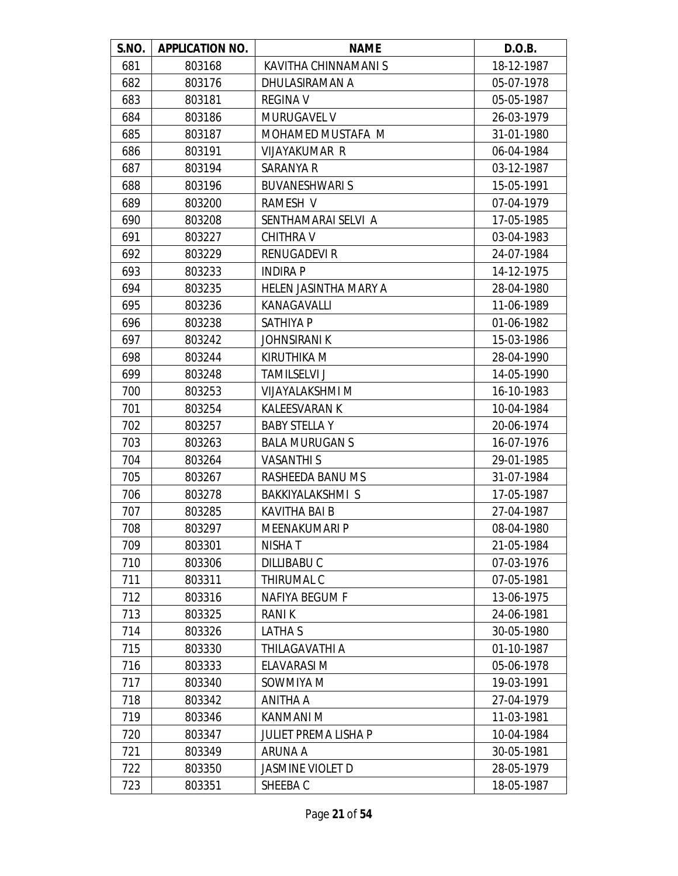| S.NO. | <b>APPLICATION NO.</b> | <b>NAME</b>                 | D.O.B.     |
|-------|------------------------|-----------------------------|------------|
| 681   | 803168                 | KAVITHA CHINNAMANI S        | 18-12-1987 |
| 682   | 803176                 | DHULASIRAMAN A              | 05-07-1978 |
| 683   | 803181                 | <b>REGINA V</b>             | 05-05-1987 |
| 684   | 803186                 | <b>MURUGAVEL V</b>          | 26-03-1979 |
| 685   | 803187                 | MOHAMED MUSTAFA M           | 31-01-1980 |
| 686   | 803191                 | VIJAYAKUMAR R               | 06-04-1984 |
| 687   | 803194                 | SARANYA R                   | 03-12-1987 |
| 688   | 803196                 | <b>BUVANESHWARI S</b>       | 15-05-1991 |
| 689   | 803200                 | RAMESH V                    | 07-04-1979 |
| 690   | 803208                 | SENTHAMARAI SELVI A         | 17-05-1985 |
| 691   | 803227                 | <b>CHITHRA V</b>            | 03-04-1983 |
| 692   | 803229                 | <b>RENUGADEVI R</b>         | 24-07-1984 |
| 693   | 803233                 | <b>INDIRA P</b>             | 14-12-1975 |
| 694   | 803235                 | HELEN JASINTHA MARY A       | 28-04-1980 |
| 695   | 803236                 | KANAGAVALLI                 | 11-06-1989 |
| 696   | 803238                 | <b>SATHIYA P</b>            | 01-06-1982 |
| 697   | 803242                 | <b>JOHNSIRANI K</b>         | 15-03-1986 |
| 698   | 803244                 | KIRUTHIKA M                 | 28-04-1990 |
| 699   | 803248                 | <b>TAMILSELVI J</b>         | 14-05-1990 |
| 700   | 803253                 | VIJAYALAKSHMI M             | 16-10-1983 |
| 701   | 803254                 | <b>KALEESVARAN K</b>        | 10-04-1984 |
| 702   | 803257                 | <b>BABY STELLA Y</b>        | 20-06-1974 |
| 703   | 803263                 | <b>BALA MURUGAN S</b>       | 16-07-1976 |
| 704   | 803264                 | <b>VASANTHIS</b>            | 29-01-1985 |
| 705   | 803267                 | RASHEEDA BANU MS            | 31-07-1984 |
| 706   | 803278                 | BAKKIYALAKSHMI S            | 17-05-1987 |
| 707   | 803285                 | <b>KAVITHA BAI B</b>        | 27-04-1987 |
| 708   | 803297                 | MEENAKUMARI P               | 08-04-1980 |
| 709   | 803301                 | <b>NISHAT</b>               | 21-05-1984 |
| 710   | 803306                 | DILLIBABU C                 | 07-03-1976 |
| 711   | 803311                 | <b>THIRUMAL C</b>           | 07-05-1981 |
| 712   | 803316                 | <b>NAFIYA BEGUM F</b>       | 13-06-1975 |
| 713   | 803325                 | RANI K                      | 24-06-1981 |
| 714   | 803326                 | LATHA S                     | 30-05-1980 |
| 715   | 803330                 | THILAGAVATHI A              | 01-10-1987 |
| 716   | 803333                 | ELAVARASI M                 | 05-06-1978 |
| 717   | 803340                 | SOWMIYA M                   | 19-03-1991 |
| 718   | 803342                 | ANITHA A                    | 27-04-1979 |
| 719   | 803346                 | KANMANI M                   | 11-03-1981 |
| 720   | 803347                 | <b>JULIET PREMA LISHA P</b> | 10-04-1984 |
| 721   | 803349                 | <b>ARUNA A</b>              | 30-05-1981 |
| 722   | 803350                 | <b>JASMINE VIOLET D</b>     | 28-05-1979 |
| 723   | 803351                 | SHEEBA C                    | 18-05-1987 |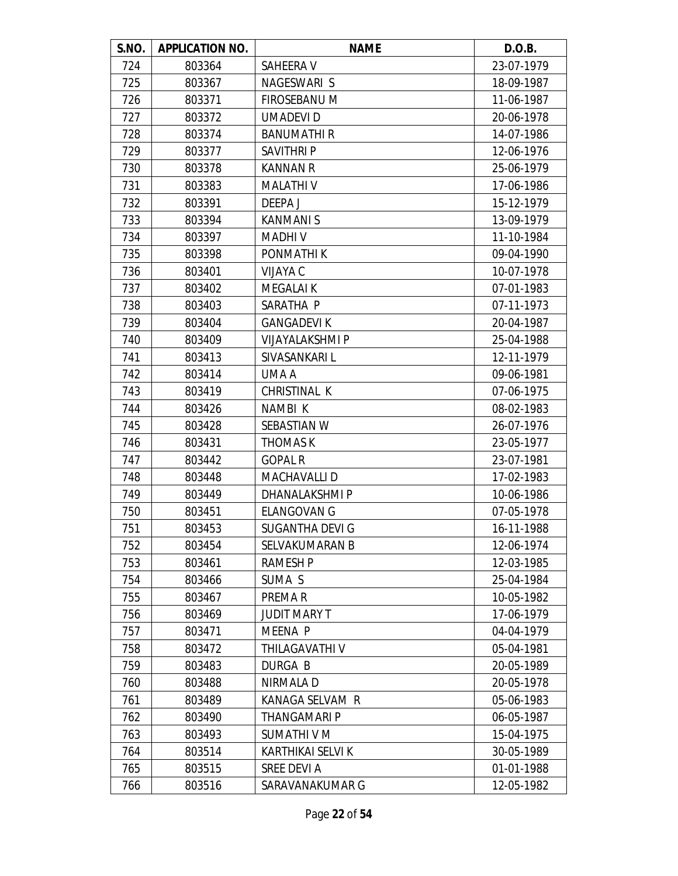| S.NO. | <b>APPLICATION NO.</b> | <b>NAME</b>              | D.O.B.     |
|-------|------------------------|--------------------------|------------|
| 724   | 803364                 | SAHEERA V                | 23-07-1979 |
| 725   | 803367                 | NAGESWARI S              | 18-09-1987 |
| 726   | 803371                 | FIROSEBANU M             | 11-06-1987 |
| 727   | 803372                 | <b>UMADEVID</b>          | 20-06-1978 |
| 728   | 803374                 | <b>BANUMATHIR</b>        | 14-07-1986 |
| 729   | 803377                 | <b>SAVITHRIP</b>         | 12-06-1976 |
| 730   | 803378                 | <b>KANNAN R</b>          | 25-06-1979 |
| 731   | 803383                 | <b>MALATHIV</b>          | 17-06-1986 |
| 732   | 803391                 | DEEPA J                  | 15-12-1979 |
| 733   | 803394                 | <b>KANMANIS</b>          | 13-09-1979 |
| 734   | 803397                 | <b>MADHIV</b>            | 11-10-1984 |
| 735   | 803398                 | <b>PONMATHIK</b>         | 09-04-1990 |
| 736   | 803401                 | VIJAYA C                 | 10-07-1978 |
| 737   | 803402                 | <b>MEGALAIK</b>          | 07-01-1983 |
| 738   | 803403                 | SARATHA P                | 07-11-1973 |
| 739   | 803404                 | <b>GANGADEVI K</b>       | 20-04-1987 |
| 740   | 803409                 | <b>VIJAYALAKSHMI P</b>   | 25-04-1988 |
| 741   | 803413                 | SIVASANKARI L            | 12-11-1979 |
| 742   | 803414                 | UMA A                    | 09-06-1981 |
| 743   | 803419                 | CHRISTINAL K             | 07-06-1975 |
| 744   | 803426                 | NAMBI K                  | 08-02-1983 |
| 745   | 803428                 | SEBASTIAN W              | 26-07-1976 |
| 746   | 803431                 | <b>THOMAS K</b>          | 23-05-1977 |
| 747   | 803442                 | <b>GOPAL R</b>           | 23-07-1981 |
| 748   | 803448                 | <b>MACHAVALLI D</b>      | 17-02-1983 |
| 749   | 803449                 | DHANALAKSHMI P           | 10-06-1986 |
| 750   | 803451                 | <b>ELANGOVAN G</b>       | 07-05-1978 |
| 751   | 803453                 | SUGANTHA DEVI G          | 16-11-1988 |
| 752   | 803454                 | SELVAKUMARAN B           | 12-06-1974 |
| 753   | 803461                 | <b>RAMESH P</b>          | 12-03-1985 |
| 754   | 803466                 | SUMA S                   | 25-04-1984 |
| 755   | 803467                 | PREMA R                  | 10-05-1982 |
| 756   | 803469                 | <b>JUDIT MARY T</b>      | 17-06-1979 |
| 757   | 803471                 | <b>MEENA P</b>           | 04-04-1979 |
| 758   | 803472                 | THILAGAVATHI V           | 05-04-1981 |
| 759   | 803483                 | <b>DURGA B</b>           | 20-05-1989 |
| 760   | 803488                 | NIRMALA D                | 20-05-1978 |
| 761   | 803489                 | KANAGA SELVAM R          | 05-06-1983 |
| 762   | 803490                 | THANGAMARI P             | 06-05-1987 |
| 763   | 803493                 | SUMATHI V M              | 15-04-1975 |
| 764   | 803514                 | <b>KARTHIKAI SELVI K</b> | 30-05-1989 |
| 765   | 803515                 | SREE DEVI A              | 01-01-1988 |
| 766   | 803516                 | SARAVANAKUMAR G          | 12-05-1982 |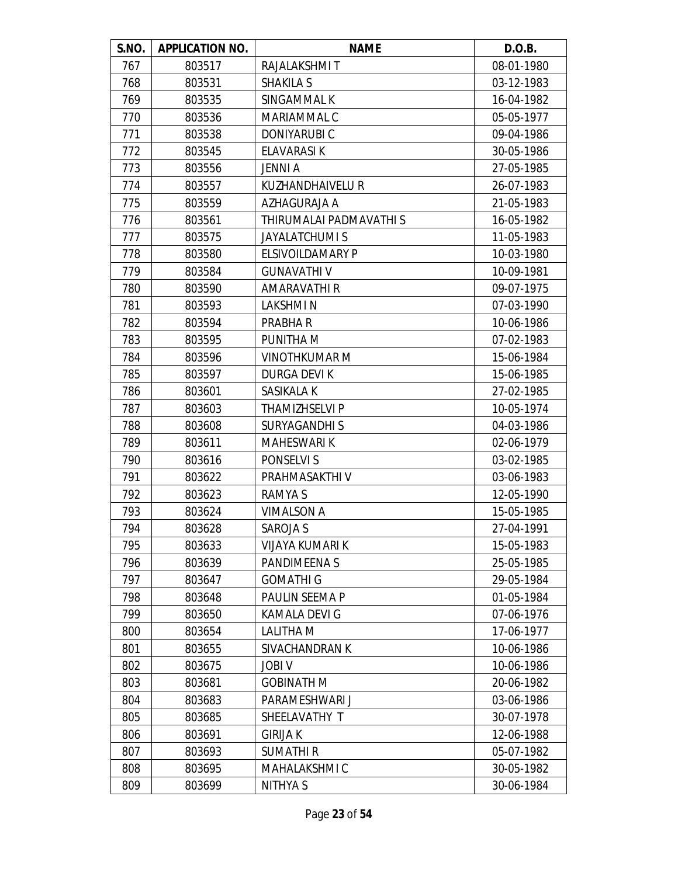| S.NO. | <b>APPLICATION NO.</b> | <b>NAME</b>             | D.O.B.     |
|-------|------------------------|-------------------------|------------|
| 767   | 803517                 | RAJALAKSHMI T           | 08-01-1980 |
| 768   | 803531                 | <b>SHAKILA S</b>        | 03-12-1983 |
| 769   | 803535                 | SINGAMMAL K             | 16-04-1982 |
| 770   | 803536                 | MARIAMMAL C             | 05-05-1977 |
| 771   | 803538                 | <b>DONIYARUBIC</b>      | 09-04-1986 |
| 772   | 803545                 | ELAVARASI K             | 30-05-1986 |
| 773   | 803556                 | <b>JENNI A</b>          | 27-05-1985 |
| 774   | 803557                 | <b>KUZHANDHAIVELU R</b> | 26-07-1983 |
| 775   | 803559                 | AZHAGURAJA A            | 21-05-1983 |
| 776   | 803561                 | THIRUMALAI PADMAVATHI S | 16-05-1982 |
| 777   | 803575                 | <b>JAYALATCHUMI S</b>   | 11-05-1983 |
| 778   | 803580                 | <b>ELSIVOILDAMARY P</b> | 10-03-1980 |
| 779   | 803584                 | <b>GUNAVATHI V</b>      | 10-09-1981 |
| 780   | 803590                 | AMARAVATHI R            | 09-07-1975 |
| 781   | 803593                 | <b>LAKSHMIN</b>         | 07-03-1990 |
| 782   | 803594                 | PRABHA R                | 10-06-1986 |
| 783   | 803595                 | PUNITHA M               | 07-02-1983 |
| 784   | 803596                 | <b>VINOTHKUMAR M</b>    | 15-06-1984 |
| 785   | 803597                 | <b>DURGA DEVIK</b>      | 15-06-1985 |
| 786   | 803601                 | SASIKALA K              | 27-02-1985 |
| 787   | 803603                 | THAMIZHSELVI P          | 10-05-1974 |
| 788   | 803608                 | <b>SURYAGANDHIS</b>     | 04-03-1986 |
| 789   | 803611                 | <b>MAHESWARI K</b>      | 02-06-1979 |
| 790   | 803616                 | PONSELVI S              | 03-02-1985 |
| 791   | 803622                 | PRAHMASAKTHI V          | 03-06-1983 |
| 792   | 803623                 | <b>RAMYAS</b>           | 12-05-1990 |
| 793   | 803624                 | <b>VIMALSON A</b>       | 15-05-1985 |
| 794   | 803628                 | <b>SAROJA S</b>         | 27-04-1991 |
| 795   | 803633                 | <b>VIJAYA KUMARI K</b>  | 15-05-1983 |
| 796   | 803639                 | <b>PANDIMEENAS</b>      | 25-05-1985 |
| 797   | 803647                 | <b>GOMATHI G</b>        | 29-05-1984 |
| 798   | 803648                 | PAULIN SEEMA P          | 01-05-1984 |
| 799   | 803650                 | KAMALA DEVI G           | 07-06-1976 |
| 800   | 803654                 | LALITHA M               | 17-06-1977 |
| 801   | 803655                 | SIVACHANDRAN K          | 10-06-1986 |
| 802   | 803675                 | <b>JOBI V</b>           | 10-06-1986 |
| 803   | 803681                 | <b>GOBINATH M</b>       | 20-06-1982 |
| 804   | 803683                 | PARAMESHWARI J          | 03-06-1986 |
| 805   | 803685                 | SHEELAVATHY T           | 30-07-1978 |
| 806   | 803691                 | <b>GIRIJA K</b>         | 12-06-1988 |
| 807   | 803693                 | <b>SUMATHIR</b>         | 05-07-1982 |
| 808   | 803695                 | MAHALAKSHMI C           | 30-05-1982 |
| 809   | 803699                 | NITHYA S                | 30-06-1984 |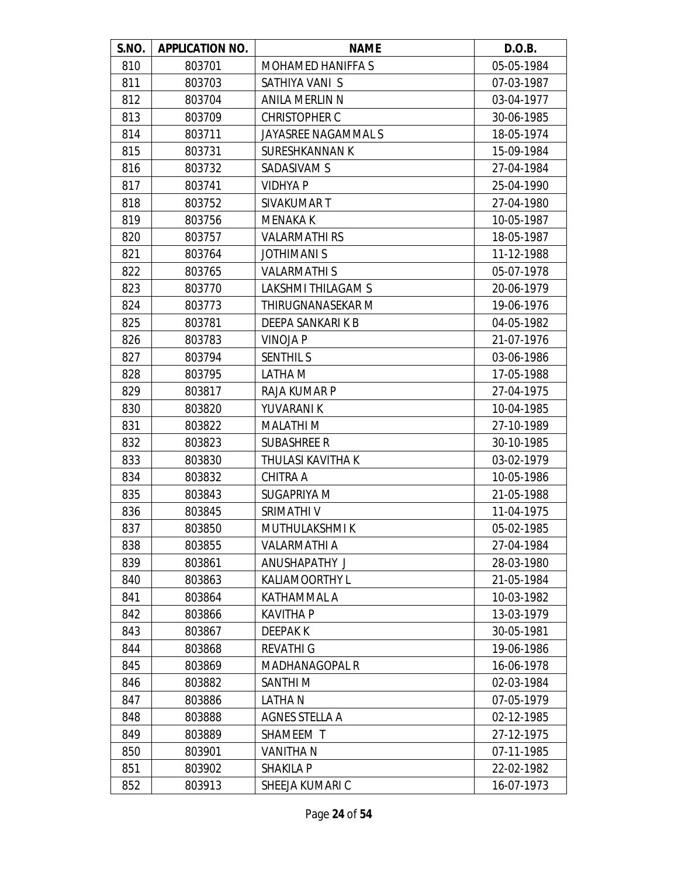| S.NO. | <b>APPLICATION NO.</b> | <b>NAME</b>               | D.O.B.     |
|-------|------------------------|---------------------------|------------|
| 810   | 803701                 | <b>MOHAMED HANIFFA S</b>  | 05-05-1984 |
| 811   | 803703                 | SATHIYA VANI S            | 07-03-1987 |
| 812   | 803704                 | ANILA MERLIN N            | 03-04-1977 |
| 813   | 803709                 | <b>CHRISTOPHER C</b>      | 30-06-1985 |
| 814   | 803711                 | JAYASREE NAGAMMAL S       | 18-05-1974 |
| 815   | 803731                 | <b>SURESHKANNAN K</b>     | 15-09-1984 |
| 816   | 803732                 | SADASIVAM S               | 27-04-1984 |
| 817   | 803741                 | <b>VIDHYA P</b>           | 25-04-1990 |
| 818   | 803752                 | SIVAKUMAR T               | 27-04-1980 |
| 819   | 803756                 | <b>MENAKA K</b>           | 10-05-1987 |
| 820   | 803757                 | <b>VALARMATHI RS</b>      | 18-05-1987 |
| 821   | 803764                 | <b>JOTHIMANIS</b>         | 11-12-1988 |
| 822   | 803765                 | <b>VALARMATHIS</b>        | 05-07-1978 |
| 823   | 803770                 | <b>LAKSHMI THILAGAM S</b> | 20-06-1979 |
| 824   | 803773                 | THIRUGNANASEKAR M         | 19-06-1976 |
| 825   | 803781                 | DEEPA SANKARI K B         | 04-05-1982 |
| 826   | 803783                 | <b>VINOJA P</b>           | 21-07-1976 |
| 827   | 803794                 | <b>SENTHIL S</b>          | 03-06-1986 |
| 828   | 803795                 | LATHA M                   | 17-05-1988 |
| 829   | 803817                 | RAJA KUMAR P              | 27-04-1975 |
| 830   | 803820                 | YUVARANI K                | 10-04-1985 |
| 831   | 803822                 | <b>MALATHIM</b>           | 27-10-1989 |
| 832   | 803823                 | <b>SUBASHREE R</b>        | 30-10-1985 |
| 833   | 803830                 | THULASI KAVITHA K         | 03-02-1979 |
| 834   | 803832                 | CHITRA A                  | 10-05-1986 |
| 835   | 803843                 | SUGAPRIYA M               | 21-05-1988 |
| 836   | 803845                 | SRIMATHI V                | 11-04-1975 |
| 837   | 803850                 | MUTHULAKSHMI K            | 05-02-1985 |
| 838   | 803855                 | <b>VALARMATHI A</b>       | 27-04-1984 |
| 839   | 803861                 | ANUSHAPATHY J             | 28-03-1980 |
| 840   | 803863                 | <b>KALIAMOORTHY L</b>     | 21-05-1984 |
| 841   | 803864                 | KATHAMMAL A               | 10-03-1982 |
| 842   | 803866                 | <b>KAVITHA P</b>          | 13-03-1979 |
| 843   | 803867                 | <b>DEEPAK K</b>           | 30-05-1981 |
| 844   | 803868                 | <b>REVATHI G</b>          | 19-06-1986 |
| 845   | 803869                 | <b>MADHANAGOPAL R</b>     | 16-06-1978 |
| 846   | 803882                 | SANTHI M                  | 02-03-1984 |
| 847   | 803886                 | LATHA N                   | 07-05-1979 |
| 848   | 803888                 | <b>AGNES STELLA A</b>     | 02-12-1985 |
| 849   | 803889                 | SHAMEEM T                 | 27-12-1975 |
| 850   | 803901                 | <b>VANITHAN</b>           | 07-11-1985 |
| 851   | 803902                 | <b>SHAKILA P</b>          | 22-02-1982 |
| 852   | 803913                 | SHEEJA KUMARI C           | 16-07-1973 |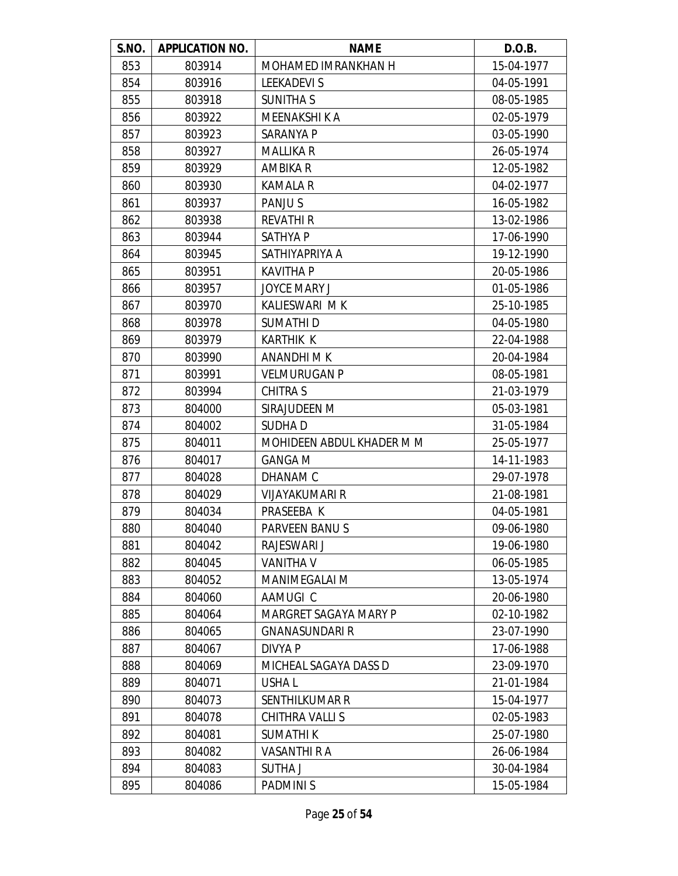| S.NO. | <b>APPLICATION NO.</b> | <b>NAME</b>               | D.O.B.     |
|-------|------------------------|---------------------------|------------|
| 853   | 803914                 | MOHAMED IMRANKHAN H       | 15-04-1977 |
| 854   | 803916                 | <b>LEEKADEVIS</b>         | 04-05-1991 |
| 855   | 803918                 | <b>SUNITHA S</b>          | 08-05-1985 |
| 856   | 803922                 | MEENAKSHI K A             | 02-05-1979 |
| 857   | 803923                 | <b>SARANYA P</b>          | 03-05-1990 |
| 858   | 803927                 | <b>MALLIKA R</b>          | 26-05-1974 |
| 859   | 803929                 | AMBIKA R                  | 12-05-1982 |
| 860   | 803930                 | <b>KAMALA R</b>           | 04-02-1977 |
| 861   | 803937                 | PANJU S                   | 16-05-1982 |
| 862   | 803938                 | <b>REVATHI R</b>          | 13-02-1986 |
| 863   | 803944                 | <b>SATHYA P</b>           | 17-06-1990 |
| 864   | 803945                 | SATHIYAPRIYA A            | 19-12-1990 |
| 865   | 803951                 | <b>KAVITHA P</b>          | 20-05-1986 |
| 866   | 803957                 | <b>JOYCE MARY J</b>       | 01-05-1986 |
| 867   | 803970                 | KALIESWARI MK             | 25-10-1985 |
| 868   | 803978                 | SUMATHI D                 | 04-05-1980 |
| 869   | 803979                 | <b>KARTHIK K</b>          | 22-04-1988 |
| 870   | 803990                 | ANANDHI M K               | 20-04-1984 |
| 871   | 803991                 | <b>VELMURUGAN P</b>       | 08-05-1981 |
| 872   | 803994                 | <b>CHITRA S</b>           | 21-03-1979 |
| 873   | 804000                 | SIRAJUDEEN M              | 05-03-1981 |
| 874   | 804002                 | <b>SUDHAD</b>             | 31-05-1984 |
| 875   | 804011                 | MOHIDEEN ABDUL KHADER M M | 25-05-1977 |
| 876   | 804017                 | <b>GANGA M</b>            | 14-11-1983 |
| 877   | 804028                 | DHANAM C                  | 29-07-1978 |
| 878   | 804029                 | <b>VIJAYAKUMARI R</b>     | 21-08-1981 |
| 879   | 804034                 | PRASEEBA K                | 04-05-1981 |
| 880   | 804040                 | PARVEEN BANUS             | 09-06-1980 |
| 881   | 804042                 | RAJESWARI J               | 19-06-1980 |
| 882   | 804045                 | <b>VANITHA V</b>          | 06-05-1985 |
| 883   | 804052                 | <b>MANIMEGALAI M</b>      | 13-05-1974 |
| 884   | 804060                 | AAMUGI C                  | 20-06-1980 |
| 885   | 804064                 | MARGRET SAGAYA MARY P     | 02-10-1982 |
| 886   | 804065                 | <b>GNANASUNDARI R</b>     | 23-07-1990 |
| 887   | 804067                 | DIVYA P                   | 17-06-1988 |
| 888   | 804069                 | MICHEAL SAGAYA DASS D     | 23-09-1970 |
| 889   | 804071                 | USHA L                    | 21-01-1984 |
| 890   | 804073                 | <b>SENTHILKUMAR R</b>     | 15-04-1977 |
| 891   | 804078                 | CHITHRA VALLI S           | 02-05-1983 |
| 892   | 804081                 | <b>SUMATHIK</b>           | 25-07-1980 |
| 893   | 804082                 | <b>VASANTHI R A</b>       | 26-06-1984 |
| 894   | 804083                 | <b>SUTHAJ</b>             | 30-04-1984 |
| 895   | 804086                 | <b>PADMINIS</b>           | 15-05-1984 |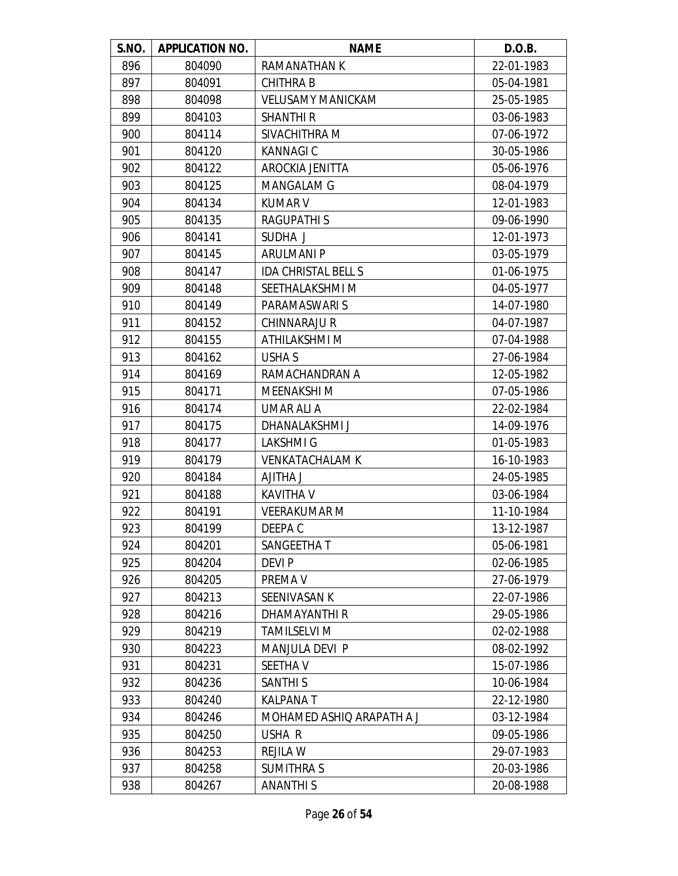| S.NO. | <b>APPLICATION NO.</b> | <b>NAME</b>                | D.O.B.     |
|-------|------------------------|----------------------------|------------|
| 896   | 804090                 | RAMANATHAN K               | 22-01-1983 |
| 897   | 804091                 | <b>CHITHRAB</b>            | 05-04-1981 |
| 898   | 804098                 | <b>VELUSAMY MANICKAM</b>   | 25-05-1985 |
| 899   | 804103                 | <b>SHANTHI R</b>           | 03-06-1983 |
| 900   | 804114                 | SIVACHITHRA M              | 07-06-1972 |
| 901   | 804120                 | <b>KANNAGIC</b>            | 30-05-1986 |
| 902   | 804122                 | AROCKIA JENITTA            | 05-06-1976 |
| 903   | 804125                 | MANGALAM G                 | 08-04-1979 |
| 904   | 804134                 | <b>KUMAR V</b>             | 12-01-1983 |
| 905   | 804135                 | <b>RAGUPATHIS</b>          | 09-06-1990 |
| 906   | 804141                 | SUDHA J                    | 12-01-1973 |
| 907   | 804145                 | <b>ARULMANI P</b>          | 03-05-1979 |
| 908   | 804147                 | <b>IDA CHRISTAL BELL S</b> | 01-06-1975 |
| 909   | 804148                 | SEETHALAKSHMI M            | 04-05-1977 |
| 910   | 804149                 | PARAMASWARI S              | 14-07-1980 |
| 911   | 804152                 | CHINNARAJU R               | 04-07-1987 |
| 912   | 804155                 | ATHILAKSHMI M              | 07-04-1988 |
| 913   | 804162                 | USHA S                     | 27-06-1984 |
| 914   | 804169                 | RAMACHANDRAN A             | 12-05-1982 |
| 915   | 804171                 | MEENAKSHI M                | 07-05-1986 |
| 916   | 804174                 | UMAR ALI A                 | 22-02-1984 |
| 917   | 804175                 | DHANALAKSHMI J             | 14-09-1976 |
| 918   | 804177                 | <b>LAKSHMIG</b>            | 01-05-1983 |
| 919   | 804179                 | <b>VENKATACHALAM K</b>     | 16-10-1983 |
| 920   | 804184                 | <b>LAHTILA</b>             | 24-05-1985 |
| 921   | 804188                 | <b>KAVITHA V</b>           | 03-06-1984 |
| 922   | 804191                 | <b>VEERAKUMAR M</b>        | 11-10-1984 |
| 923   | 804199                 | DEEPA C                    | 13-12-1987 |
| 924   | 804201                 | SANGEETHA T                | 05-06-1981 |
| 925   | 804204                 | DEVI P                     | 02-06-1985 |
| 926   | 804205                 | PREMA V                    | 27-06-1979 |
| 927   | 804213                 | SEENIVASAN K               | 22-07-1986 |
| 928   | 804216                 | DHAMAYANTHI R              | 29-05-1986 |
| 929   | 804219                 | <b>TAMILSELVI M</b>        | 02-02-1988 |
| 930   | 804223                 | <b>MANJULA DEVI P</b>      | 08-02-1992 |
| 931   | 804231                 | SEETHA V                   | 15-07-1986 |
| 932   | 804236                 | <b>SANTHI S</b>            | 10-06-1984 |
| 933   | 804240                 | <b>KALPANAT</b>            | 22-12-1980 |
| 934   | 804246                 | MOHAMED ASHIQ ARAPATH A J  | 03-12-1984 |
| 935   | 804250                 | USHA R                     | 09-05-1986 |
| 936   | 804253                 | <b>REJILA W</b>            | 29-07-1983 |
| 937   | 804258                 | <b>SUMITHRA S</b>          | 20-03-1986 |
| 938   | 804267                 | <b>ANANTHIS</b>            | 20-08-1988 |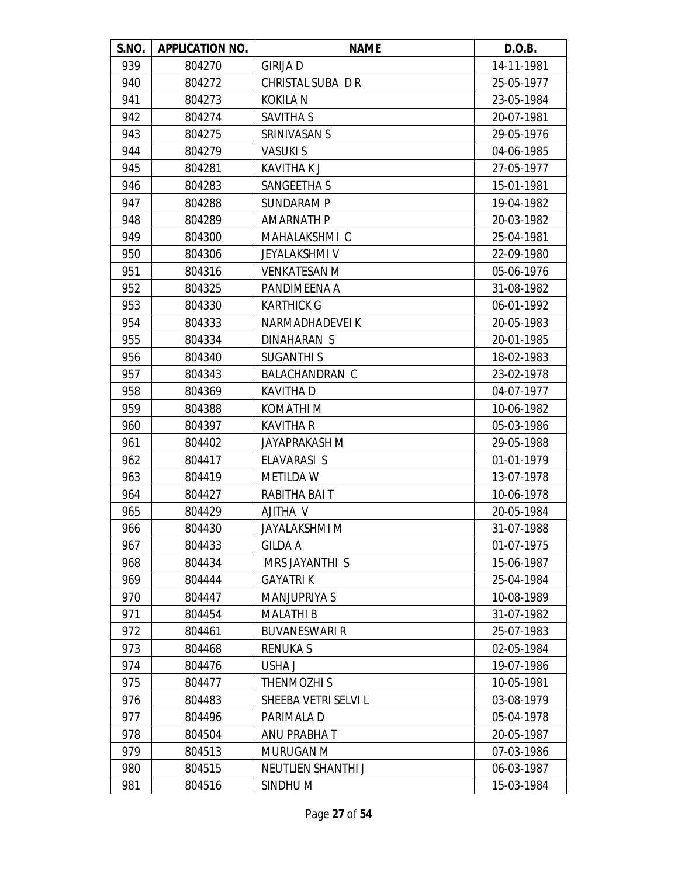| S.NO. | <b>APPLICATION NO.</b> | <b>NAME</b>           | D.O.B.     |
|-------|------------------------|-----------------------|------------|
| 939   | 804270                 | <b>GIRIJA D</b>       | 14-11-1981 |
| 940   | 804272                 | CHRISTAL SUBA DR      | 25-05-1977 |
| 941   | 804273                 | <b>KOKILA N</b>       | 23-05-1984 |
| 942   | 804274                 | SAVITHA S             | 20-07-1981 |
| 943   | 804275                 | SRINIVASAN S          | 29-05-1976 |
| 944   | 804279                 | <b>VASUKIS</b>        | 04-06-1985 |
| 945   | 804281                 | <b>KAVITHAKJ</b>      | 27-05-1977 |
| 946   | 804283                 | SANGEETHA S           | 15-01-1981 |
| 947   | 804288                 | SUNDARAM P            | 19-04-1982 |
| 948   | 804289                 | <b>AMARNATH P</b>     | 20-03-1982 |
| 949   | 804300                 | MAHALAKSHMI C         | 25-04-1981 |
| 950   | 804306                 | <b>JEYALAKSHMI V</b>  | 22-09-1980 |
| 951   | 804316                 | <b>VENKATESAN M</b>   | 05-06-1976 |
| 952   | 804325                 | PANDIMEENA A          | 31-08-1982 |
| 953   | 804330                 | <b>KARTHICK G</b>     | 06-01-1992 |
| 954   | 804333                 | NARMADHADEVEI K       | 20-05-1983 |
| 955   | 804334                 | DINAHARAN S           | 20-01-1985 |
| 956   | 804340                 | <b>SUGANTHIS</b>      | 18-02-1983 |
| 957   | 804343                 | <b>BALACHANDRAN C</b> | 23-02-1978 |
| 958   | 804369                 | <b>KAVITHAD</b>       | 04-07-1977 |
| 959   | 804388                 | KOMATHI M             | 10-06-1982 |
| 960   | 804397                 | <b>KAVITHA R</b>      | 05-03-1986 |
| 961   | 804402                 | JAYAPRAKASH M         | 29-05-1988 |
| 962   | 804417                 | ELAVARASI S           | 01-01-1979 |
| 963   | 804419                 | <b>METILDA W</b>      | 13-07-1978 |
| 964   | 804427                 | RABITHA BAIT          | 10-06-1978 |
| 965   | 804429                 | AJITHA V              | 20-05-1984 |
| 966   | 804430                 | <b>JAYALAKSHMI M</b>  | 31-07-1988 |
| 967   | 804433                 | <b>GILDA A</b>        | 01-07-1975 |
| 968   | 804434                 | MRS JAYANTHI S        | 15-06-1987 |
| 969   | 804444                 | <b>GAYATRIK</b>       | 25-04-1984 |
| 970   | 804447                 | <b>MANJUPRIYA S</b>   | 10-08-1989 |
| 971   | 804454                 | <b>MALATHI B</b>      | 31-07-1982 |
| 972   | 804461                 | <b>BUVANESWARI R</b>  | 25-07-1983 |
| 973   | 804468                 | <b>RENUKAS</b>        | 02-05-1984 |
| 974   | 804476                 | USHA J                | 19-07-1986 |
| 975   | 804477                 | THENMOZHI S           | 10-05-1981 |
| 976   | 804483                 | SHEEBA VETRI SELVI L  | 03-08-1979 |
| 977   | 804496                 | PARIMALA D            | 05-04-1978 |
| 978   | 804504                 | ANU PRABHA T          | 20-05-1987 |
| 979   | 804513                 | MURUGAN M             | 07-03-1986 |
| 980   | 804515                 | NEUTLIEN SHANTHI J    | 06-03-1987 |
| 981   | 804516                 | SINDHU M              | 15-03-1984 |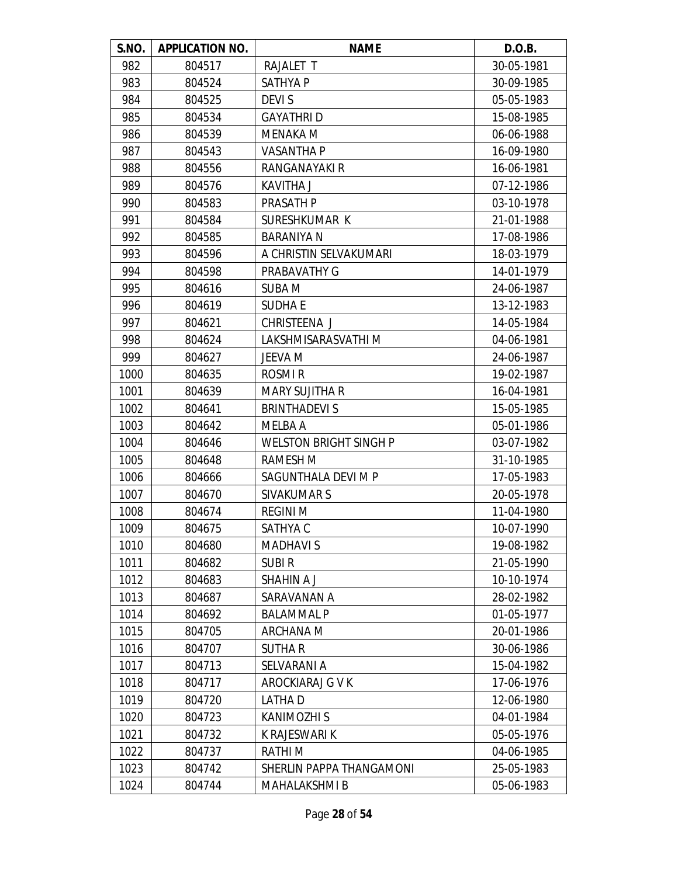| S.NO. | <b>APPLICATION NO.</b> | <b>NAME</b>                   | D.O.B.     |
|-------|------------------------|-------------------------------|------------|
| 982   | 804517                 | RAJALET T                     | 30-05-1981 |
| 983   | 804524                 | <b>SATHYAP</b>                | 30-09-1985 |
| 984   | 804525                 | <b>DEVIS</b>                  | 05-05-1983 |
| 985   | 804534                 | <b>GAYATHRID</b>              | 15-08-1985 |
| 986   | 804539                 | <b>MENAKA M</b>               | 06-06-1988 |
| 987   | 804543                 | VASANTHA P                    | 16-09-1980 |
| 988   | 804556                 | RANGANAYAKI R                 | 16-06-1981 |
| 989   | 804576                 | <b>KAVITHA J</b>              | 07-12-1986 |
| 990   | 804583                 | PRASATH P                     | 03-10-1978 |
| 991   | 804584                 | SURESHKUMAR K                 | 21-01-1988 |
| 992   | 804585                 | <b>BARANIYA N</b>             | 17-08-1986 |
| 993   | 804596                 | A CHRISTIN SELVAKUMARI        | 18-03-1979 |
| 994   | 804598                 | PRABAVATHY G                  | 14-01-1979 |
| 995   | 804616                 | <b>SUBA M</b>                 | 24-06-1987 |
| 996   | 804619                 | <b>SUDHAE</b>                 | 13-12-1983 |
| 997   | 804621                 | CHRISTEENA J                  | 14-05-1984 |
| 998   | 804624                 | LAKSHMISARASVATHI M           | 04-06-1981 |
| 999   | 804627                 | JEEVA M                       | 24-06-1987 |
| 1000  | 804635                 | ROSMI <sub>R</sub>            | 19-02-1987 |
| 1001  | 804639                 | <b>MARY SUJITHA R</b>         | 16-04-1981 |
| 1002  | 804641                 | <b>BRINTHADEVI S</b>          | 15-05-1985 |
| 1003  | 804642                 | MELBA A                       | 05-01-1986 |
| 1004  | 804646                 | <b>WELSTON BRIGHT SINGH P</b> | 03-07-1982 |
| 1005  | 804648                 | <b>RAMESH M</b>               | 31-10-1985 |
| 1006  | 804666                 | SAGUNTHALA DEVI M P           | 17-05-1983 |
| 1007  | 804670                 | SIVAKUMAR S                   | 20-05-1978 |
| 1008  | 804674                 | <b>REGINI M</b>               | 11-04-1980 |
| 1009  | 804675                 | SATHYA C                      | 10-07-1990 |
| 1010  | 804680                 | <b>MADHAVIS</b>               | 19-08-1982 |
| 1011  | 804682                 | <b>SUBIR</b>                  | 21-05-1990 |
| 1012  | 804683                 | <b>SHAHIN A J</b>             | 10-10-1974 |
| 1013  | 804687                 | SARAVANAN A                   | 28-02-1982 |
| 1014  | 804692                 | <b>BALAMMAL P</b>             | 01-05-1977 |
| 1015  | 804705                 | ARCHANA M                     | 20-01-1986 |
| 1016  | 804707                 | SUTHA R                       | 30-06-1986 |
| 1017  | 804713                 | SELVARANI A                   | 15-04-1982 |
| 1018  | 804717                 | AROCKIARAJ G V K              | 17-06-1976 |
| 1019  | 804720                 | <b>LATHAD</b>                 | 12-06-1980 |
| 1020  | 804723                 | <b>KANIMOZHI S</b>            | 04-01-1984 |
| 1021  | 804732                 | K RAJESWARI K                 | 05-05-1976 |
| 1022  | 804737                 | <b>RATHIM</b>                 | 04-06-1985 |
| 1023  | 804742                 | SHERLIN PAPPA THANGAMONI      | 25-05-1983 |
| 1024  | 804744                 | <b>MAHALAKSHMI B</b>          | 05-06-1983 |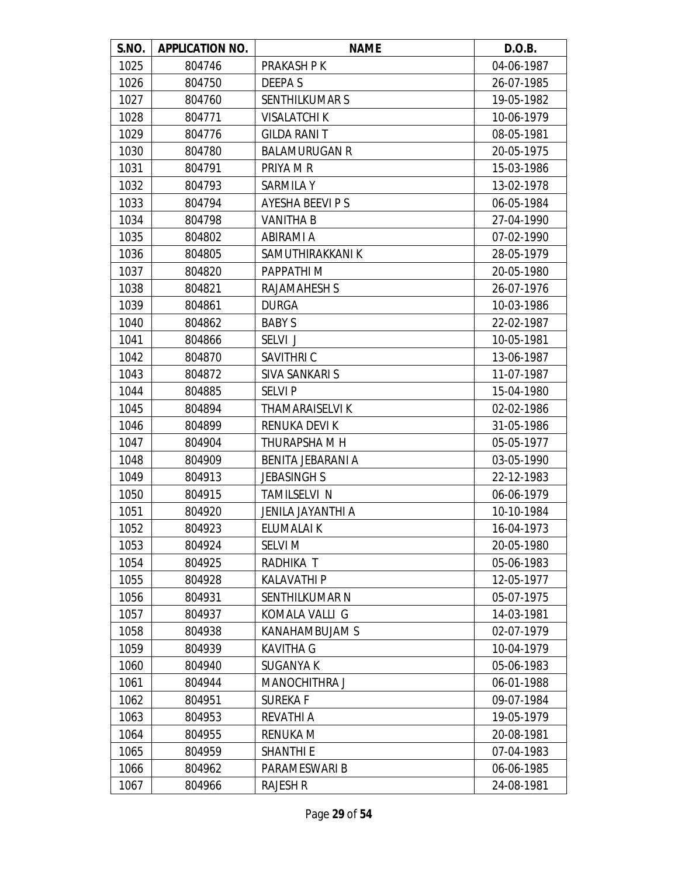| S.NO. | <b>APPLICATION NO.</b> | <b>NAME</b>          | D.O.B.     |
|-------|------------------------|----------------------|------------|
| 1025  | 804746                 | PRAKASH P K          | 04-06-1987 |
| 1026  | 804750                 | DEEPA S              | 26-07-1985 |
| 1027  | 804760                 | SENTHILKUMAR S       | 19-05-1982 |
| 1028  | 804771                 | <b>VISALATCHI K</b>  | 10-06-1979 |
| 1029  | 804776                 | <b>GILDA RANIT</b>   | 08-05-1981 |
| 1030  | 804780                 | <b>BALAMURUGAN R</b> | 20-05-1975 |
| 1031  | 804791                 | PRIYA M R            | 15-03-1986 |
| 1032  | 804793                 | <b>SARMILA Y</b>     | 13-02-1978 |
| 1033  | 804794                 | AYESHA BEEVI P S     | 06-05-1984 |
| 1034  | 804798                 | <b>VANITHA B</b>     | 27-04-1990 |
| 1035  | 804802                 | ABIRAMI A            | 07-02-1990 |
| 1036  | 804805                 | SAMUTHIRAKKANI K     | 28-05-1979 |
| 1037  | 804820                 | PAPPATHI M           | 20-05-1980 |
| 1038  | 804821                 | <b>RAJAMAHESH S</b>  | 26-07-1976 |
| 1039  | 804861                 | <b>DURGA</b>         | 10-03-1986 |
| 1040  | 804862                 | <b>BABY S</b>        | 22-02-1987 |
| 1041  | 804866                 | SELVI J              | 10-05-1981 |
| 1042  | 804870                 | SAVITHRI C           | 13-06-1987 |
| 1043  | 804872                 | SIVA SANKARI S       | 11-07-1987 |
| 1044  | 804885                 | <b>SELVIP</b>        | 15-04-1980 |
| 1045  | 804894                 | THAMARAISELVI K      | 02-02-1986 |
| 1046  | 804899                 | <b>RENUKA DEVI K</b> | 31-05-1986 |
| 1047  | 804904                 | THURAPSHA M H        | 05-05-1977 |
| 1048  | 804909                 | BENITA JEBARANI A    | 03-05-1990 |
| 1049  | 804913                 | <b>JEBASINGH S</b>   | 22-12-1983 |
| 1050  | 804915                 | TAMILSELVI N         | 06-06-1979 |
| 1051  | 804920                 | JENILA JAYANTHI A    | 10-10-1984 |
| 1052  | 804923                 | ELUMALAI K           | 16-04-1973 |
| 1053  | 804924                 | <b>SELVI M</b>       | 20-05-1980 |
| 1054  | 804925                 | RADHIKA T            | 05-06-1983 |
| 1055  | 804928                 | <b>KALAVATHI P</b>   | 12-05-1977 |
| 1056  | 804931                 | SENTHILKUMAR N       | 05-07-1975 |
| 1057  | 804937                 | KOMALA VALLI G       | 14-03-1981 |
| 1058  | 804938                 | KANAHAMBUJAM S       | 02-07-1979 |
| 1059  | 804939                 | <b>KAVITHA G</b>     | 10-04-1979 |
| 1060  | 804940                 | SUGANYA K            | 05-06-1983 |
| 1061  | 804944                 | MANOCHITHRA J        | 06-01-1988 |
| 1062  | 804951                 | <b>SUREKAF</b>       | 09-07-1984 |
| 1063  | 804953                 | <b>REVATHI A</b>     | 19-05-1979 |
| 1064  | 804955                 | <b>RENUKA M</b>      | 20-08-1981 |
| 1065  | 804959                 | <b>SHANTHI E</b>     | 07-04-1983 |
| 1066  | 804962                 | PARAMESWARI B        | 06-06-1985 |
| 1067  | 804966                 | <b>RAJESH R</b>      | 24-08-1981 |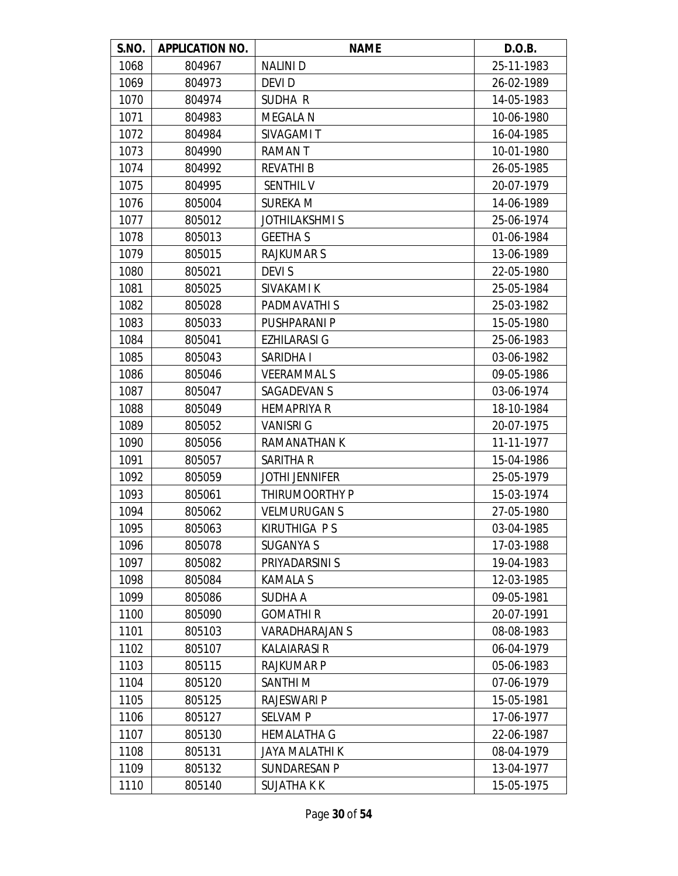| S.NO. | <b>APPLICATION NO.</b> | <b>NAME</b>           | D.O.B.     |
|-------|------------------------|-----------------------|------------|
| 1068  | 804967                 | <b>NALINI D</b>       | 25-11-1983 |
| 1069  | 804973                 | DEVI D                | 26-02-1989 |
| 1070  | 804974                 | SUDHA R               | 14-05-1983 |
| 1071  | 804983                 | <b>MEGALA N</b>       | 10-06-1980 |
| 1072  | 804984                 | SIVAGAMI T            | 16-04-1985 |
| 1073  | 804990                 | <b>RAMANT</b>         | 10-01-1980 |
| 1074  | 804992                 | <b>REVATHI B</b>      | 26-05-1985 |
| 1075  | 804995                 | <b>SENTHIL V</b>      | 20-07-1979 |
| 1076  | 805004                 | <b>SUREKA M</b>       | 14-06-1989 |
| 1077  | 805012                 | <b>JOTHILAKSHMIS</b>  | 25-06-1974 |
| 1078  | 805013                 | <b>GEETHAS</b>        | 01-06-1984 |
| 1079  | 805015                 | <b>RAJKUMARS</b>      | 13-06-1989 |
| 1080  | 805021                 | <b>DEVIS</b>          | 22-05-1980 |
| 1081  | 805025                 | SIVAKAMI K            | 25-05-1984 |
| 1082  | 805028                 | PADMAVATHI S          | 25-03-1982 |
| 1083  | 805033                 | PUSHPARANI P          | 15-05-1980 |
| 1084  | 805041                 | <b>EZHILARASI G</b>   | 25-06-1983 |
| 1085  | 805043                 | SARIDHA I             | 03-06-1982 |
| 1086  | 805046                 | <b>VEERAMMALS</b>     | 09-05-1986 |
| 1087  | 805047                 | SAGADEVAN S           | 03-06-1974 |
| 1088  | 805049                 | <b>HEMAPRIYA R</b>    | 18-10-1984 |
| 1089  | 805052                 | <b>VANISRI G</b>      | 20-07-1975 |
| 1090  | 805056                 | RAMANATHAN K          | 11-11-1977 |
| 1091  | 805057                 | SARITHA R             | 15-04-1986 |
| 1092  | 805059                 | <b>JOTHI JENNIFER</b> | 25-05-1979 |
| 1093  | 805061                 | THIRUMOORTHY P        | 15-03-1974 |
| 1094  | 805062                 | <b>VELMURUGAN S</b>   | 27-05-1980 |
| 1095  | 805063                 | KIRUTHIGA P S         | 03-04-1985 |
| 1096  | 805078                 | <b>SUGANYA S</b>      | 17-03-1988 |
| 1097  | 805082                 | PRIYADARSINI S        | 19-04-1983 |
| 1098  | 805084                 | <b>KAMALA S</b>       | 12-03-1985 |
| 1099  | 805086                 | <b>SUDHA A</b>        | 09-05-1981 |
| 1100  | 805090                 | <b>GOMATHIR</b>       | 20-07-1991 |
| 1101  | 805103                 | <b>VARADHARAJAN S</b> | 08-08-1983 |
| 1102  | 805107                 | <b>KALAIARASI R</b>   | 06-04-1979 |
| 1103  | 805115                 | <b>RAJKUMAR P</b>     | 05-06-1983 |
| 1104  | 805120                 | SANTHI M              | 07-06-1979 |
| 1105  | 805125                 | <b>RAJESWARI P</b>    | 15-05-1981 |
| 1106  | 805127                 | <b>SELVAM P</b>       | 17-06-1977 |
| 1107  | 805130                 | <b>HEMALATHA G</b>    | 22-06-1987 |
| 1108  | 805131                 | <b>JAYA MALATHI K</b> | 08-04-1979 |
| 1109  | 805132                 | <b>SUNDARESAN P</b>   | 13-04-1977 |
| 1110  | 805140                 | <b>SUJATHAKK</b>      | 15-05-1975 |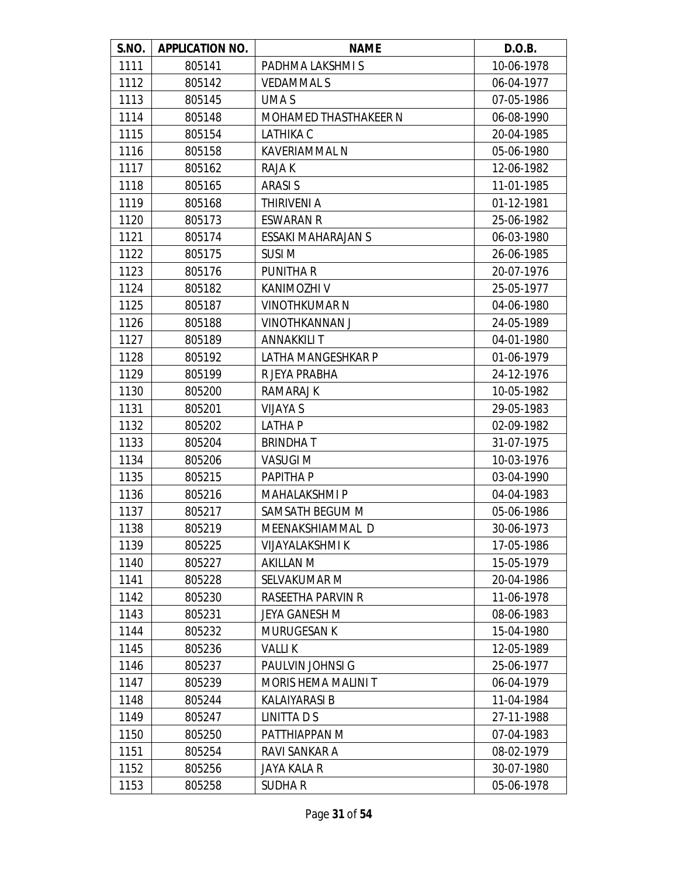| S.NO. | <b>APPLICATION NO.</b> | <b>NAME</b>                  | D.O.B.     |
|-------|------------------------|------------------------------|------------|
| 1111  | 805141                 | PADHMA LAKSHMI S             | 10-06-1978 |
| 1112  | 805142                 | <b>VEDAMMALS</b>             | 06-04-1977 |
| 1113  | 805145                 | UMA S                        | 07-05-1986 |
| 1114  | 805148                 | <b>MOHAMED THASTHAKEER N</b> | 06-08-1990 |
| 1115  | 805154                 | <b>LATHIKA C</b>             | 20-04-1985 |
| 1116  | 805158                 | KAVERIAMMAL N                | 05-06-1980 |
| 1117  | 805162                 | RAJA K                       | 12-06-1982 |
| 1118  | 805165                 | <b>ARASIS</b>                | 11-01-1985 |
| 1119  | 805168                 | THIRIVENI A                  | 01-12-1981 |
| 1120  | 805173                 | <b>ESWARAN R</b>             | 25-06-1982 |
| 1121  | 805174                 | <b>ESSAKI MAHARAJAN S</b>    | 06-03-1980 |
| 1122  | 805175                 | <b>SUSIM</b>                 | 26-06-1985 |
| 1123  | 805176                 | <b>PUNITHAR</b>              | 20-07-1976 |
| 1124  | 805182                 | KANIMOZHI V                  | 25-05-1977 |
| 1125  | 805187                 | <b>VINOTHKUMAR N</b>         | 04-06-1980 |
| 1126  | 805188                 | <b>VINOTHKANNAN J</b>        | 24-05-1989 |
| 1127  | 805189                 | <b>ANNAKKILI T</b>           | 04-01-1980 |
| 1128  | 805192                 | LATHA MANGESHKAR P           | 01-06-1979 |
| 1129  | 805199                 | R JEYA PRABHA                | 24-12-1976 |
| 1130  | 805200                 | RAMARAJ K                    | 10-05-1982 |
| 1131  | 805201                 | <b>VIJAYA S</b>              | 29-05-1983 |
| 1132  | 805202                 | <b>LATHAP</b>                | 02-09-1982 |
| 1133  | 805204                 | <b>BRINDHAT</b>              | 31-07-1975 |
| 1134  | 805206                 | <b>VASUGI M</b>              | 10-03-1976 |
| 1135  | 805215                 | PAPITHA P                    | 03-04-1990 |
| 1136  | 805216                 | <b>MAHALAKSHMI P</b>         | 04-04-1983 |
| 1137  | 805217                 | SAMSATH BEGUM M              | 05-06-1986 |
| 1138  | 805219                 | MEENAKSHIAMMAL D             | 30-06-1973 |
| 1139  | 805225                 | <b>VIJAYALAKSHMI K</b>       | 17-05-1986 |
| 1140  | 805227                 | <b>AKILLAN M</b>             | 15-05-1979 |
| 1141  | 805228                 | <b>SELVAKUMAR M</b>          | 20-04-1986 |
| 1142  | 805230                 | RASEETHA PARVIN R            | 11-06-1978 |
| 1143  | 805231                 | JEYA GANESH M                | 08-06-1983 |
| 1144  | 805232                 | <b>MURUGESAN K</b>           | 15-04-1980 |
| 1145  | 805236                 | <b>VALLIK</b>                | 12-05-1989 |
| 1146  | 805237                 | PAULVIN JOHNSI G             | 25-06-1977 |
| 1147  | 805239                 | <b>MORIS HEMA MALINI T</b>   | 06-04-1979 |
| 1148  | 805244                 | <b>KALAIYARASI B</b>         | 11-04-1984 |
| 1149  | 805247                 | LINITTA D S                  | 27-11-1988 |
| 1150  | 805250                 | PATTHIAPPAN M                | 07-04-1983 |
| 1151  | 805254                 | RAVI SANKAR A                | 08-02-1979 |
| 1152  | 805256                 | JAYA KALA R                  | 30-07-1980 |
| 1153  | 805258                 | <b>SUDHAR</b>                | 05-06-1978 |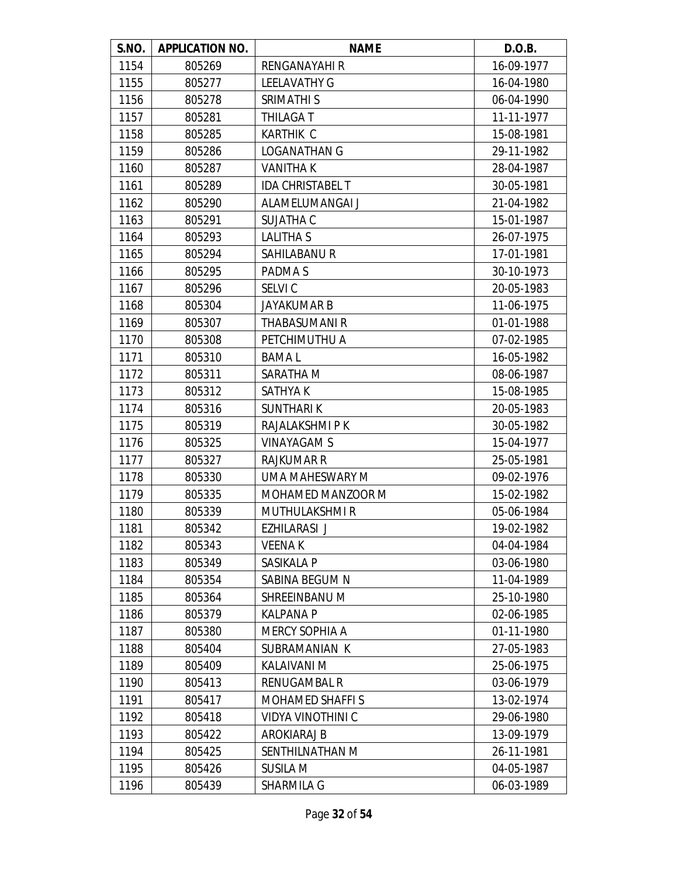| S.NO. | <b>APPLICATION NO.</b> | <b>NAME</b>              | D.O.B.     |
|-------|------------------------|--------------------------|------------|
| 1154  | 805269                 | RENGANAYAHI R            | 16-09-1977 |
| 1155  | 805277                 | <b>LEELAVATHY G</b>      | 16-04-1980 |
| 1156  | 805278                 | SRIMATHI S               | 06-04-1990 |
| 1157  | 805281                 | THILAGA T                | 11-11-1977 |
| 1158  | 805285                 | <b>KARTHIK C</b>         | 15-08-1981 |
| 1159  | 805286                 | <b>LOGANATHAN G</b>      | 29-11-1982 |
| 1160  | 805287                 | <b>VANITHAK</b>          | 28-04-1987 |
| 1161  | 805289                 | <b>IDA CHRISTABEL T</b>  | 30-05-1981 |
| 1162  | 805290                 | ALAMELUMANGAI J          | 21-04-1982 |
| 1163  | 805291                 | <b>SUJATHA C</b>         | 15-01-1987 |
| 1164  | 805293                 | <b>LALITHA S</b>         | 26-07-1975 |
| 1165  | 805294                 | <b>SAHILABANU R</b>      | 17-01-1981 |
| 1166  | 805295                 | PADMA S                  | 30-10-1973 |
| 1167  | 805296                 | SELVI C                  | 20-05-1983 |
| 1168  | 805304                 | <b>JAYAKUMAR B</b>       | 11-06-1975 |
| 1169  | 805307                 | THABASUMANI R            | 01-01-1988 |
| 1170  | 805308                 | PETCHIMUTHU A            | 07-02-1985 |
| 1171  | 805310                 | <b>BAMAL</b>             | 16-05-1982 |
| 1172  | 805311                 | SARATHA M                | 08-06-1987 |
| 1173  | 805312                 | SATHYA K                 | 15-08-1985 |
| 1174  | 805316                 | <b>SUNTHARIK</b>         | 20-05-1983 |
| 1175  | 805319                 | RAJALAKSHMI P K          | 30-05-1982 |
| 1176  | 805325                 | <b>VINAYAGAM S</b>       | 15-04-1977 |
| 1177  | 805327                 | <b>RAJKUMAR R</b>        | 25-05-1981 |
| 1178  | 805330                 | UMA MAHESWARY M          | 09-02-1976 |
| 1179  | 805335                 | MOHAMED MANZOOR M        | 15-02-1982 |
| 1180  | 805339                 | MUTHULAKSHMI R           | 05-06-1984 |
| 1181  | 805342                 | EZHILARASI J             | 19-02-1982 |
| 1182  | 805343                 | <b>VEENAK</b>            | 04-04-1984 |
| 1183  | 805349                 | SASIKALA P               | 03-06-1980 |
| 1184  | 805354                 | SABINA BEGUM N           | 11-04-1989 |
| 1185  | 805364                 | SHREEINBANU M            | 25-10-1980 |
| 1186  | 805379                 | <b>KALPANA P</b>         | 02-06-1985 |
| 1187  | 805380                 | <b>MERCY SOPHIA A</b>    | 01-11-1980 |
| 1188  | 805404                 | SUBRAMANIAN K            | 27-05-1983 |
| 1189  | 805409                 | KALAIVANI M              | 25-06-1975 |
| 1190  | 805413                 | RENUGAMBAL R             | 03-06-1979 |
| 1191  | 805417                 | <b>MOHAMED SHAFFIS</b>   | 13-02-1974 |
| 1192  | 805418                 | <b>VIDYA VINOTHINI C</b> | 29-06-1980 |
| 1193  | 805422                 | AROKIARAJ B              | 13-09-1979 |
| 1194  | 805425                 | SENTHILNATHAN M          | 26-11-1981 |
| 1195  | 805426                 | <b>SUSILA M</b>          | 04-05-1987 |
| 1196  | 805439                 | SHARMILA G               | 06-03-1989 |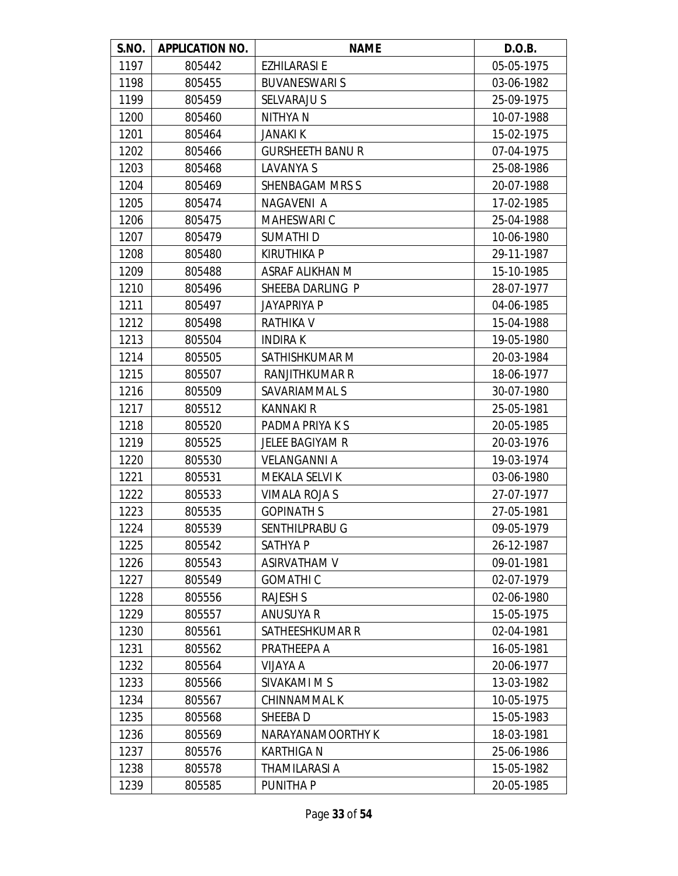| S.NO. | <b>APPLICATION NO.</b> | <b>NAME</b>             | D.O.B.     |
|-------|------------------------|-------------------------|------------|
| 1197  | 805442                 | <b>EZHILARASI E</b>     | 05-05-1975 |
| 1198  | 805455                 | <b>BUVANESWARIS</b>     | 03-06-1982 |
| 1199  | 805459                 | SELVARAJU S             | 25-09-1975 |
| 1200  | 805460                 | NITHYA N                | 10-07-1988 |
| 1201  | 805464                 | <b>JANAKI K</b>         | 15-02-1975 |
| 1202  | 805466                 | <b>GURSHEETH BANU R</b> | 07-04-1975 |
| 1203  | 805468                 | LAVANYA S               | 25-08-1986 |
| 1204  | 805469                 | <b>SHENBAGAM MRS S</b>  | 20-07-1988 |
| 1205  | 805474                 | NAGAVENI A              | 17-02-1985 |
| 1206  | 805475                 | <b>MAHESWARI C</b>      | 25-04-1988 |
| 1207  | 805479                 | SUMATHI D               | 10-06-1980 |
| 1208  | 805480                 | <b>KIRUTHIKA P</b>      | 29-11-1987 |
| 1209  | 805488                 | ASRAF ALIKHAN M         | 15-10-1985 |
| 1210  | 805496                 | SHEEBA DARLING P        | 28-07-1977 |
| 1211  | 805497                 | <b>JAYAPRIYA P</b>      | 04-06-1985 |
| 1212  | 805498                 | RATHIKA V               | 15-04-1988 |
| 1213  | 805504                 | <b>INDIRAK</b>          | 19-05-1980 |
| 1214  | 805505                 | SATHISHKUMAR M          | 20-03-1984 |
| 1215  | 805507                 | <b>RANJITHKUMAR R</b>   | 18-06-1977 |
| 1216  | 805509                 | SAVARIAMMAL S           | 30-07-1980 |
| 1217  | 805512                 | <b>KANNAKI R</b>        | 25-05-1981 |
| 1218  | 805520                 | PADMA PRIYA K S         | 20-05-1985 |
| 1219  | 805525                 | JELEE BAGIYAM R         | 20-03-1976 |
| 1220  | 805530                 | <b>VELANGANNI A</b>     | 19-03-1974 |
| 1221  | 805531                 | <b>MEKALA SELVI K</b>   | 03-06-1980 |
| 1222  | 805533                 | <b>VIMALA ROJA S</b>    | 27-07-1977 |
| 1223  | 805535                 | <b>GOPINATH S</b>       | 27-05-1981 |
| 1224  | 805539                 | SENTHILPRABU G          | 09-05-1979 |
| 1225  | 805542                 | SATHYA P                | 26-12-1987 |
| 1226  | 805543                 | <b>ASIRVATHAM V</b>     | 09-01-1981 |
| 1227  | 805549                 | <b>GOMATHIC</b>         | 02-07-1979 |
| 1228  | 805556                 | <b>RAJESH S</b>         | 02-06-1980 |
| 1229  | 805557                 | ANUSUYA R               | 15-05-1975 |
| 1230  | 805561                 | SATHEESHKUMAR R         | 02-04-1981 |
| 1231  | 805562                 | PRATHEEPA A             | 16-05-1981 |
| 1232  | 805564                 | VIJAYA A                | 20-06-1977 |
| 1233  | 805566                 | SIVAKAMI M S            | 13-03-1982 |
| 1234  | 805567                 | CHINNAMMAL K            | 10-05-1975 |
| 1235  | 805568                 | SHEEBA D                | 15-05-1983 |
| 1236  | 805569                 | NARAYANAMOORTHY K       | 18-03-1981 |
| 1237  | 805576                 | <b>KARTHIGA N</b>       | 25-06-1986 |
| 1238  | 805578                 | THAMILARASI A           | 15-05-1982 |
| 1239  | 805585                 | PUNITHA P               | 20-05-1985 |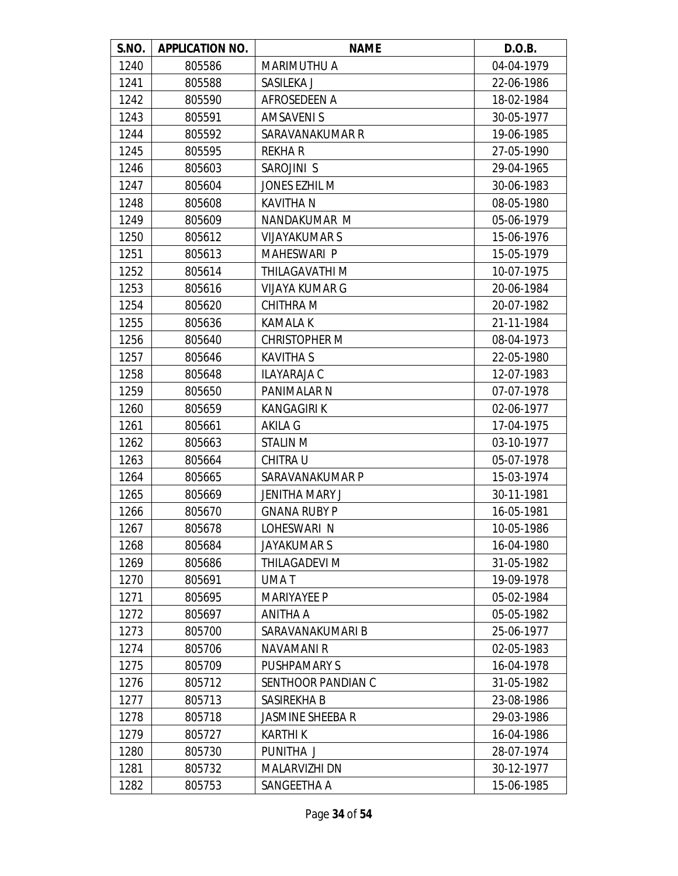| S.NO. | <b>APPLICATION NO.</b> | <b>NAME</b>           | D.O.B.     |
|-------|------------------------|-----------------------|------------|
| 1240  | 805586                 | <b>MARIMUTHU A</b>    | 04-04-1979 |
| 1241  | 805588                 | SASILEKA J            | 22-06-1986 |
| 1242  | 805590                 | AFROSEDEEN A          | 18-02-1984 |
| 1243  | 805591                 | <b>AMSAVENIS</b>      | 30-05-1977 |
| 1244  | 805592                 | SARAVANAKUMAR R       | 19-06-1985 |
| 1245  | 805595                 | <b>REKHAR</b>         | 27-05-1990 |
| 1246  | 805603                 | SAROJINI S            | 29-04-1965 |
| 1247  | 805604                 | <b>JONES EZHIL M</b>  | 30-06-1983 |
| 1248  | 805608                 | <b>KAVITHA N</b>      | 08-05-1980 |
| 1249  | 805609                 | NANDAKUMAR M          | 05-06-1979 |
| 1250  | 805612                 | <b>VIJAYAKUMAR S</b>  | 15-06-1976 |
| 1251  | 805613                 | <b>MAHESWARI P</b>    | 15-05-1979 |
| 1252  | 805614                 | THILAGAVATHI M        | 10-07-1975 |
| 1253  | 805616                 | <b>VIJAYA KUMAR G</b> | 20-06-1984 |
| 1254  | 805620                 | <b>CHITHRA M</b>      | 20-07-1982 |
| 1255  | 805636                 | <b>KAMALA K</b>       | 21-11-1984 |
| 1256  | 805640                 | <b>CHRISTOPHER M</b>  | 08-04-1973 |
| 1257  | 805646                 | <b>KAVITHA S</b>      | 22-05-1980 |
| 1258  | 805648                 | <b>ILAYARAJA C</b>    | 12-07-1983 |
| 1259  | 805650                 | PANIMALAR N           | 07-07-1978 |
| 1260  | 805659                 | <b>KANGAGIRI K</b>    | 02-06-1977 |
| 1261  | 805661                 | <b>AKILA G</b>        | 17-04-1975 |
| 1262  | 805663                 | <b>STALIN M</b>       | 03-10-1977 |
| 1263  | 805664                 | <b>CHITRA U</b>       | 05-07-1978 |
| 1264  | 805665                 | SARAVANAKUMAR P       | 15-03-1974 |
| 1265  | 805669                 | <b>JENITHA MARY J</b> | 30-11-1981 |
| 1266  | 805670                 | <b>GNANA RUBY P</b>   | 16-05-1981 |
| 1267  | 805678                 | LOHESWARI N           | 10-05-1986 |
| 1268  | 805684                 | <b>JAYAKUMAR S</b>    | 16-04-1980 |
| 1269  | 805686                 | THILAGADEVI M         | 31-05-1982 |
| 1270  | 805691                 | <b>UMAT</b>           | 19-09-1978 |
| 1271  | 805695                 | <b>MARIYAYEE P</b>    | 05-02-1984 |
| 1272  | 805697                 | ANITHA A              | 05-05-1982 |
| 1273  | 805700                 | SARAVANAKUMARI B      | 25-06-1977 |
| 1274  | 805706                 | NAVAMANI R            | 02-05-1983 |
| 1275  | 805709                 | <b>PUSHPAMARY S</b>   | 16-04-1978 |
| 1276  | 805712                 | SENTHOOR PANDIAN C    | 31-05-1982 |
| 1277  | 805713                 | SASIREKHA B           | 23-08-1986 |
| 1278  | 805718                 | JASMINE SHEEBA R      | 29-03-1986 |
| 1279  | 805727                 | <b>KARTHI K</b>       | 16-04-1986 |
| 1280  | 805730                 | PUNITHA J             | 28-07-1974 |
| 1281  | 805732                 | MALARVIZHI DN         | 30-12-1977 |
| 1282  | 805753                 | SANGEETHA A           | 15-06-1985 |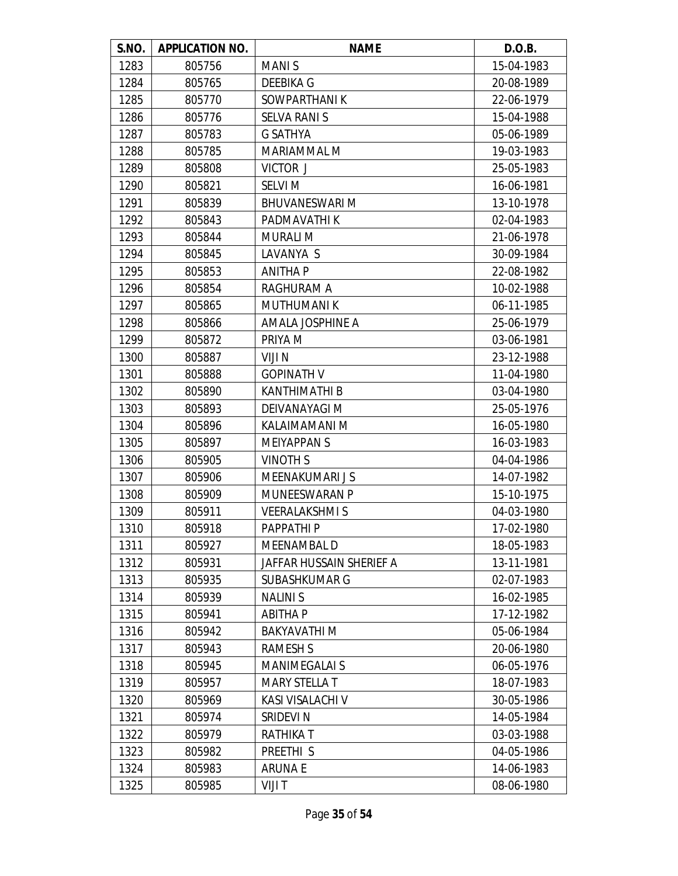| S.NO. | <b>APPLICATION NO.</b> | <b>NAME</b>              | D.O.B.     |
|-------|------------------------|--------------------------|------------|
| 1283  | 805756                 | <b>MANIS</b>             | 15-04-1983 |
| 1284  | 805765                 | DEEBIKA G                | 20-08-1989 |
| 1285  | 805770                 | SOWPARTHANIK             | 22-06-1979 |
| 1286  | 805776                 | <b>SELVA RANI S</b>      | 15-04-1988 |
| 1287  | 805783                 | <b>G SATHYA</b>          | 05-06-1989 |
| 1288  | 805785                 | MARIAMMAL M              | 19-03-1983 |
| 1289  | 805808                 | VICTOR J                 | 25-05-1983 |
| 1290  | 805821                 | <b>SELVI M</b>           | 16-06-1981 |
| 1291  | 805839                 | <b>BHUVANESWARI M</b>    | 13-10-1978 |
| 1292  | 805843                 | PADMAVATHI K             | 02-04-1983 |
| 1293  | 805844                 | <b>MURALI M</b>          | 21-06-1978 |
| 1294  | 805845                 | LAVANYA S                | 30-09-1984 |
| 1295  | 805853                 | <b>ANITHA P</b>          | 22-08-1982 |
| 1296  | 805854                 | <b>RAGHURAM A</b>        | 10-02-1988 |
| 1297  | 805865                 | <b>MUTHUMANIK</b>        | 06-11-1985 |
| 1298  | 805866                 | AMALA JOSPHINE A         | 25-06-1979 |
| 1299  | 805872                 | PRIYA M                  | 03-06-1981 |
| 1300  | 805887                 | VIJI N                   | 23-12-1988 |
| 1301  | 805888                 | <b>GOPINATH V</b>        | 11-04-1980 |
| 1302  | 805890                 | KANTHIMATHI B            | 03-04-1980 |
| 1303  | 805893                 | DEIVANAYAGI M            | 25-05-1976 |
| 1304  | 805896                 | KALAIMAMANI M            | 16-05-1980 |
| 1305  | 805897                 | <b>MEIYAPPANS</b>        | 16-03-1983 |
| 1306  | 805905                 | <b>VINOTH S</b>          | 04-04-1986 |
| 1307  | 805906                 | MEENAKUMARI J S          | 14-07-1982 |
| 1308  | 805909                 | <b>MUNEESWARAN P</b>     | 15-10-1975 |
| 1309  | 805911                 | <b>VEERALAKSHMIS</b>     | 04-03-1980 |
| 1310  | 805918                 | <b>PAPPATHIP</b>         | 17-02-1980 |
| 1311  | 805927                 | MEENAMBAL D              | 18-05-1983 |
| 1312  | 805931                 | JAFFAR HUSSAIN SHERIEF A | 13-11-1981 |
| 1313  | 805935                 | <b>SUBASHKUMAR G</b>     | 02-07-1983 |
| 1314  | 805939                 | <b>NALINIS</b>           | 16-02-1985 |
| 1315  | 805941                 | <b>ABITHAP</b>           | 17-12-1982 |
| 1316  | 805942                 | <b>BAKYAVATHIM</b>       | 05-06-1984 |
| 1317  | 805943                 | <b>RAMESH S</b>          | 20-06-1980 |
| 1318  | 805945                 | <b>MANIMEGALAI S</b>     | 06-05-1976 |
| 1319  | 805957                 | <b>MARY STELLA T</b>     | 18-07-1983 |
| 1320  | 805969                 | KASI VISALACHI V         | 30-05-1986 |
| 1321  | 805974                 | SRIDEVI N                | 14-05-1984 |
| 1322  | 805979                 | RATHIKA T                | 03-03-1988 |
| 1323  | 805982                 | PREETHI <sub>S</sub>     | 04-05-1986 |
| 1324  | 805983                 | <b>ARUNAE</b>            | 14-06-1983 |
| 1325  | 805985                 | VIJI T                   | 08-06-1980 |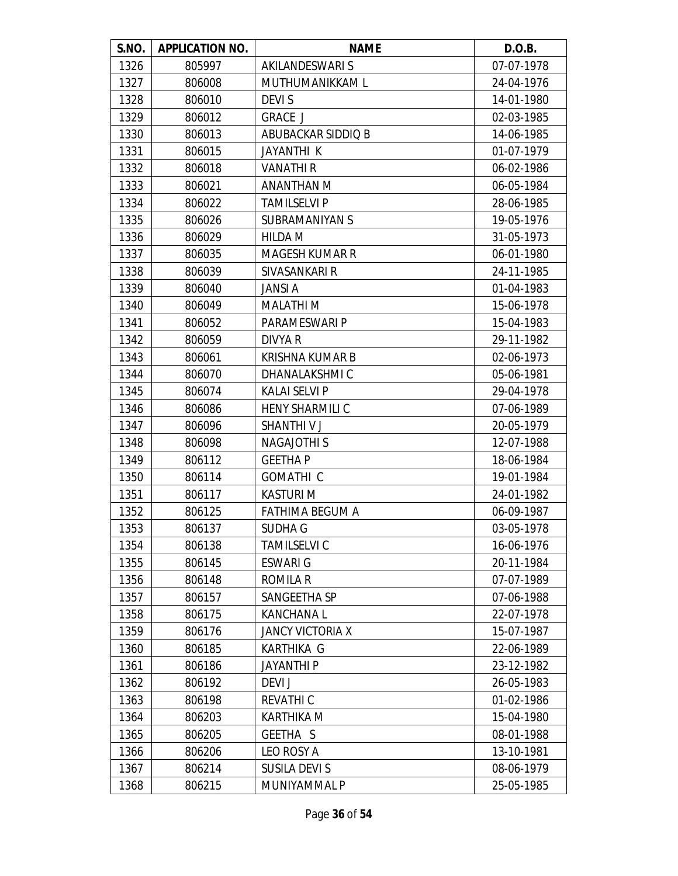| S.NO. | <b>APPLICATION NO.</b> | <b>NAME</b>             | D.O.B.     |
|-------|------------------------|-------------------------|------------|
| 1326  | 805997                 | AKILANDESWARI S         | 07-07-1978 |
| 1327  | 806008                 | MUTHUMANIKKAM L         | 24-04-1976 |
| 1328  | 806010                 | <b>DEVIS</b>            | 14-01-1980 |
| 1329  | 806012                 | <b>GRACE J</b>          | 02-03-1985 |
| 1330  | 806013                 | ABUBACKAR SIDDIQ B      | 14-06-1985 |
| 1331  | 806015                 | <b>JAYANTHI K</b>       | 01-07-1979 |
| 1332  | 806018                 | <b>VANATHIR</b>         | 06-02-1986 |
| 1333  | 806021                 | ANANTHAN M              | 06-05-1984 |
| 1334  | 806022                 | <b>TAMILSELVI P</b>     | 28-06-1985 |
| 1335  | 806026                 | <b>SUBRAMANIYAN S</b>   | 19-05-1976 |
| 1336  | 806029                 | <b>HILDA M</b>          | 31-05-1973 |
| 1337  | 806035                 | <b>MAGESH KUMAR R</b>   | 06-01-1980 |
| 1338  | 806039                 | SIVASANKARI R           | 24-11-1985 |
| 1339  | 806040                 | <b>JANSI A</b>          | 01-04-1983 |
| 1340  | 806049                 | <b>MALATHI M</b>        | 15-06-1978 |
| 1341  | 806052                 | PARAMESWARI P           | 15-04-1983 |
| 1342  | 806059                 | DIVYA R                 | 29-11-1982 |
| 1343  | 806061                 | <b>KRISHNA KUMAR B</b>  | 02-06-1973 |
| 1344  | 806070                 | DHANALAKSHMI C          | 05-06-1981 |
| 1345  | 806074                 | <b>KALAI SELVI P</b>    | 29-04-1978 |
| 1346  | 806086                 | <b>HENY SHARMILI C</b>  | 07-06-1989 |
| 1347  | 806096                 | <b>SHANTHIVJ</b>        | 20-05-1979 |
| 1348  | 806098                 | <b>NAGAJOTHI S</b>      | 12-07-1988 |
| 1349  | 806112                 | <b>GEETHAP</b>          | 18-06-1984 |
| 1350  | 806114                 | <b>GOMATHIC</b>         | 19-01-1984 |
| 1351  | 806117                 | <b>KASTURIM</b>         | 24-01-1982 |
| 1352  | 806125                 | <b>FATHIMA BEGUM A</b>  | 06-09-1987 |
| 1353  | 806137                 | <b>SUDHA G</b>          | 03-05-1978 |
| 1354  | 806138                 | <b>TAMILSELVI C</b>     | 16-06-1976 |
| 1355  | 806145                 | <b>ESWARI G</b>         | 20-11-1984 |
| 1356  | 806148                 | <b>ROMILA R</b>         | 07-07-1989 |
| 1357  | 806157                 | SANGEETHA SP            | 07-06-1988 |
| 1358  | 806175                 | <b>KANCHANAL</b>        | 22-07-1978 |
| 1359  | 806176                 | <b>JANCY VICTORIA X</b> | 15-07-1987 |
| 1360  | 806185                 | <b>KARTHIKA G</b>       | 22-06-1989 |
| 1361  | 806186                 | <b>JAYANTHI P</b>       | 23-12-1982 |
| 1362  | 806192                 | DEVI J                  | 26-05-1983 |
| 1363  | 806198                 | <b>REVATHIC</b>         | 01-02-1986 |
| 1364  | 806203                 | <b>KARTHIKA M</b>       | 15-04-1980 |
| 1365  | 806205                 | GEETHA S                | 08-01-1988 |
| 1366  | 806206                 | LEO ROSY A              | 13-10-1981 |
| 1367  | 806214                 | SUSILA DEVI S           | 08-06-1979 |
| 1368  | 806215                 | MUNIYAMMAL P            | 25-05-1985 |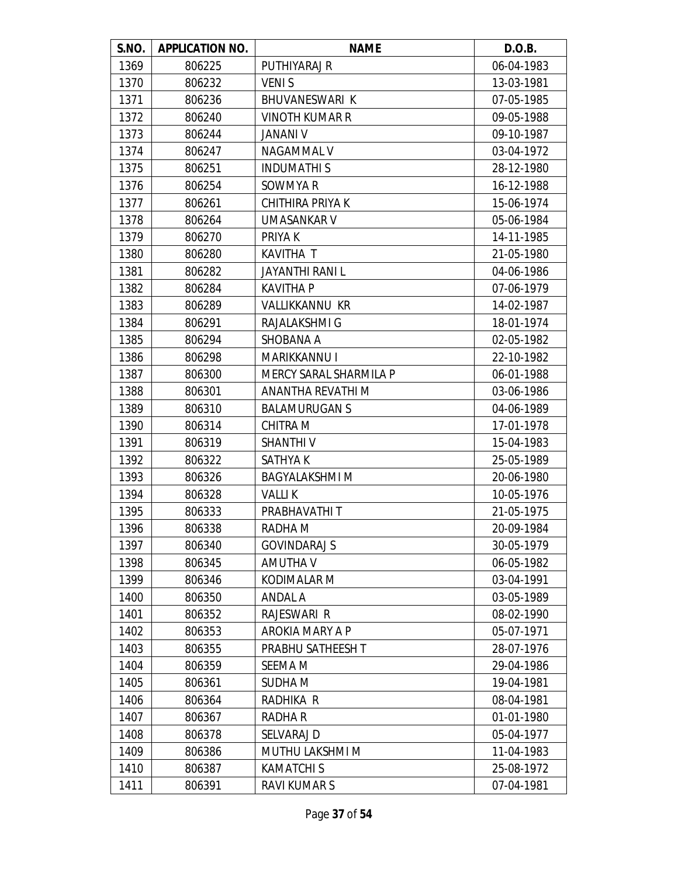| S.NO. | <b>APPLICATION NO.</b> | <b>NAME</b>            | D.O.B.     |
|-------|------------------------|------------------------|------------|
| 1369  | 806225                 | PUTHIYARAJ R           | 06-04-1983 |
| 1370  | 806232                 | <b>VENIS</b>           | 13-03-1981 |
| 1371  | 806236                 | BHUVANESWARI K         | 07-05-1985 |
| 1372  | 806240                 | <b>VINOTH KUMAR R</b>  | 09-05-1988 |
| 1373  | 806244                 | <b>JANANI V</b>        | 09-10-1987 |
| 1374  | 806247                 | <b>NAGAMMAL V</b>      | 03-04-1972 |
| 1375  | 806251                 | <b>INDUMATHIS</b>      | 28-12-1980 |
| 1376  | 806254                 | SOWMYA R               | 16-12-1988 |
| 1377  | 806261                 | CHITHIRA PRIYA K       | 15-06-1974 |
| 1378  | 806264                 | UMASANKAR V            | 05-06-1984 |
| 1379  | 806270                 | PRIYA K                | 14-11-1985 |
| 1380  | 806280                 | KAVITHA T              | 21-05-1980 |
| 1381  | 806282                 | JAYANTHI RANI L        | 04-06-1986 |
| 1382  | 806284                 | <b>KAVITHA P</b>       | 07-06-1979 |
| 1383  | 806289                 | <b>VALLIKKANNU KR</b>  | 14-02-1987 |
| 1384  | 806291                 | RAJALAKSHMI G          | 18-01-1974 |
| 1385  | 806294                 | SHOBANA A              | 02-05-1982 |
| 1386  | 806298                 | <b>MARIKKANNU I</b>    | 22-10-1982 |
| 1387  | 806300                 | MERCY SARAL SHARMILA P | 06-01-1988 |
| 1388  | 806301                 | ANANTHA REVATHI M      | 03-06-1986 |
| 1389  | 806310                 | <b>BALAMURUGAN S</b>   | 04-06-1989 |
| 1390  | 806314                 | CHITRA M               | 17-01-1978 |
| 1391  | 806319                 | <b>SHANTHIV</b>        | 15-04-1983 |
| 1392  | 806322                 | SATHYA K               | 25-05-1989 |
| 1393  | 806326                 | <b>BAGYALAKSHMI M</b>  | 20-06-1980 |
| 1394  | 806328                 | <b>VALLIK</b>          | 10-05-1976 |
| 1395  | 806333                 | PRABHAVATHI T          | 21-05-1975 |
| 1396  | 806338                 | RADHA M                | 20-09-1984 |
| 1397  | 806340                 | <b>GOVINDARAJ S</b>    | 30-05-1979 |
| 1398  | 806345                 | <b>AMUTHA V</b>        | 06-05-1982 |
| 1399  | 806346                 | KODIMALAR M            | 03-04-1991 |
| 1400  | 806350                 | ANDAL A                | 03-05-1989 |
| 1401  | 806352                 | <b>RAJESWARI R</b>     | 08-02-1990 |
| 1402  | 806353                 | AROKIA MARY A P        | 05-07-1971 |
| 1403  | 806355                 | PRABHU SATHEESH T      | 28-07-1976 |
| 1404  | 806359                 | SEEMA M                | 29-04-1986 |
| 1405  | 806361                 | SUDHA M                | 19-04-1981 |
| 1406  | 806364                 | RADHIKA R              | 08-04-1981 |
| 1407  | 806367                 | <b>RADHAR</b>          | 01-01-1980 |
| 1408  | 806378                 | SELVARAJ D             | 05-04-1977 |
| 1409  | 806386                 | MUTHU LAKSHMI M        | 11-04-1983 |
| 1410  | 806387                 | <b>KAMATCHI S</b>      | 25-08-1972 |
| 1411  | 806391                 | RAVI KUMAR S           | 07-04-1981 |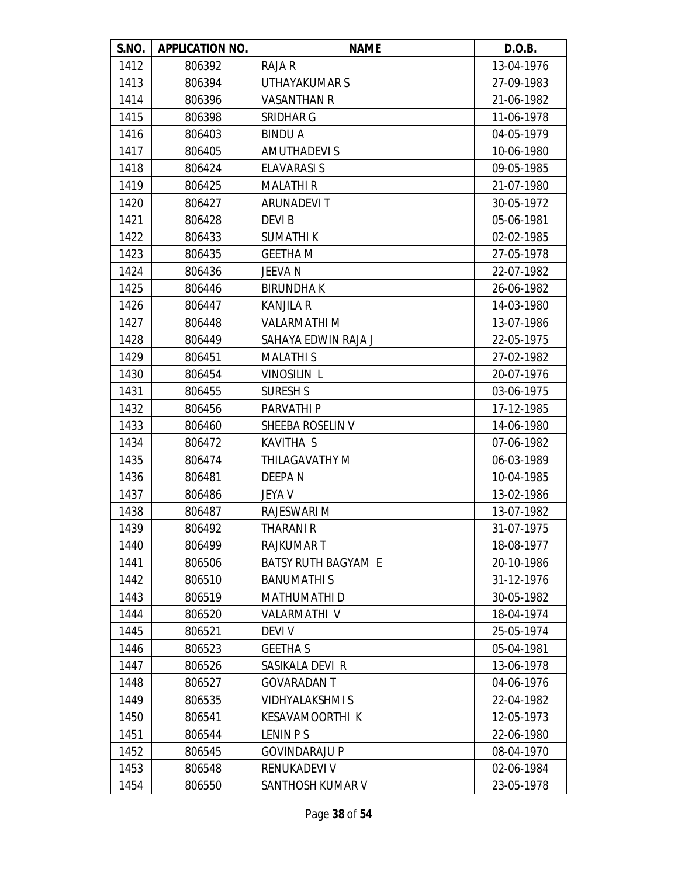| S.NO. | <b>APPLICATION NO.</b> | <b>NAME</b>                | D.O.B.     |
|-------|------------------------|----------------------------|------------|
| 1412  | 806392                 | RAJA R                     | 13-04-1976 |
| 1413  | 806394                 | UTHAYAKUMAR S              | 27-09-1983 |
| 1414  | 806396                 | <b>VASANTHAN R</b>         | 21-06-1982 |
| 1415  | 806398                 | SRIDHAR G                  | 11-06-1978 |
| 1416  | 806403                 | <b>BINDUA</b>              | 04-05-1979 |
| 1417  | 806405                 | <b>AMUTHADEVIS</b>         | 10-06-1980 |
| 1418  | 806424                 | <b>ELAVARASI S</b>         | 09-05-1985 |
| 1419  | 806425                 | <b>MALATHIR</b>            | 21-07-1980 |
| 1420  | 806427                 | <b>ARUNADEVIT</b>          | 30-05-1972 |
| 1421  | 806428                 | <b>DEVIB</b>               | 05-06-1981 |
| 1422  | 806433                 | <b>SUMATHIK</b>            | 02-02-1985 |
| 1423  | 806435                 | <b>GEETHA M</b>            | 27-05-1978 |
| 1424  | 806436                 | JEEVA N                    | 22-07-1982 |
| 1425  | 806446                 | <b>BIRUNDHAK</b>           | 26-06-1982 |
| 1426  | 806447                 | <b>KANJILA R</b>           | 14-03-1980 |
| 1427  | 806448                 | <b>VALARMATHI M</b>        | 13-07-1986 |
| 1428  | 806449                 | SAHAYA EDWIN RAJA J        | 22-05-1975 |
| 1429  | 806451                 | <b>MALATHIS</b>            | 27-02-1982 |
| 1430  | 806454                 | <b>VINOSILIN L</b>         | 20-07-1976 |
| 1431  | 806455                 | <b>SURESH S</b>            | 03-06-1975 |
| 1432  | 806456                 | PARVATHI P                 | 17-12-1985 |
| 1433  | 806460                 | SHEEBA ROSELIN V           | 14-06-1980 |
| 1434  | 806472                 | <b>KAVITHA S</b>           | 07-06-1982 |
| 1435  | 806474                 | THILAGAVATHY M             | 06-03-1989 |
| 1436  | 806481                 | DEEPA N                    | 10-04-1985 |
| 1437  | 806486                 | <b>JEYA V</b>              | 13-02-1986 |
| 1438  | 806487                 | RAJESWARI M                | 13-07-1982 |
| 1439  | 806492                 | THARANI R                  | 31-07-1975 |
| 1440  | 806499                 | <b>RAJKUMART</b>           | 18-08-1977 |
| 1441  | 806506                 | <b>BATSY RUTH BAGYAM E</b> | 20-10-1986 |
| 1442  | 806510                 | <b>BANUMATHIS</b>          | 31-12-1976 |
| 1443  | 806519                 | <b>MATHUMATHID</b>         | 30-05-1982 |
| 1444  | 806520                 | <b>VALARMATHI V</b>        | 18-04-1974 |
| 1445  | 806521                 | <b>DEVI V</b>              | 25-05-1974 |
| 1446  | 806523                 | <b>GEETHAS</b>             | 05-04-1981 |
| 1447  | 806526                 | SASIKALA DEVI R            | 13-06-1978 |
| 1448  | 806527                 | <b>GOVARADANT</b>          | 04-06-1976 |
| 1449  | 806535                 | <b>VIDHYALAKSHMIS</b>      | 22-04-1982 |
| 1450  | 806541                 | KESAVAMOORTHI K            | 12-05-1973 |
| 1451  | 806544                 | LENIN P S                  | 22-06-1980 |
| 1452  | 806545                 | <b>GOVINDARAJU P</b>       | 08-04-1970 |
| 1453  | 806548                 | RENUKADEVI V               | 02-06-1984 |
| 1454  | 806550                 | SANTHOSH KUMAR V           | 23-05-1978 |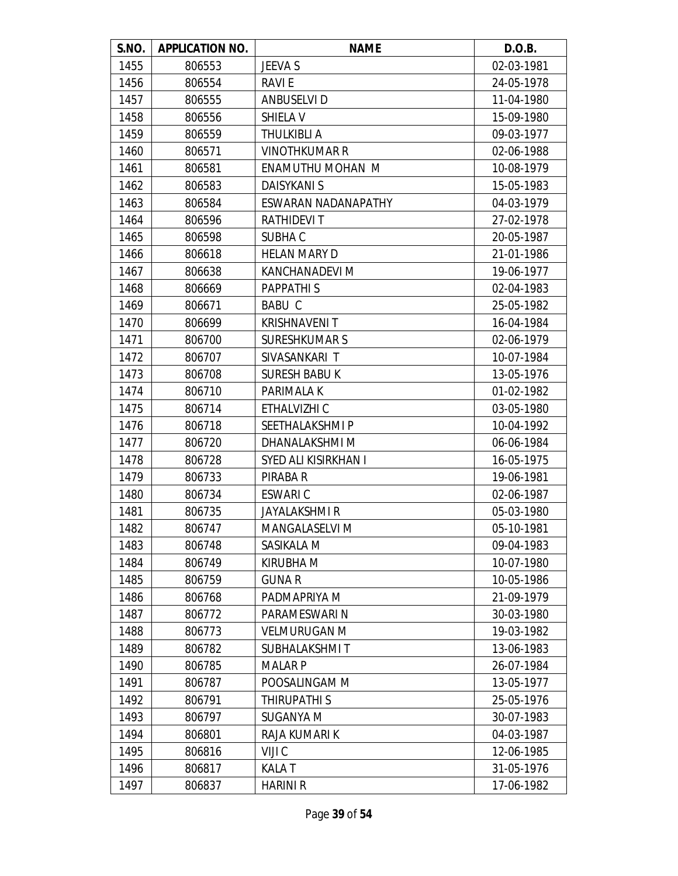| S.NO. | <b>APPLICATION NO.</b> | <b>NAME</b>           | D.O.B.     |
|-------|------------------------|-----------------------|------------|
| 1455  | 806553                 | <b>JEEVA S</b>        | 02-03-1981 |
| 1456  | 806554                 | RAVI E                | 24-05-1978 |
| 1457  | 806555                 | <b>ANBUSELVI D</b>    | 11-04-1980 |
| 1458  | 806556                 | SHIELA V              | 15-09-1980 |
| 1459  | 806559                 | THULKIBLI A           | 09-03-1977 |
| 1460  | 806571                 | <b>VINOTHKUMAR R</b>  | 02-06-1988 |
| 1461  | 806581                 | ENAMUTHU MOHAN M      | 10-08-1979 |
| 1462  | 806583                 | <b>DAISYKANI S</b>    | 15-05-1983 |
| 1463  | 806584                 | ESWARAN NADANAPATHY   | 04-03-1979 |
| 1464  | 806596                 | <b>RATHIDEVIT</b>     | 27-02-1978 |
| 1465  | 806598                 | SUBHA C               | 20-05-1987 |
| 1466  | 806618                 | <b>HELAN MARY D</b>   | 21-01-1986 |
| 1467  | 806638                 | KANCHANADEVI M        | 19-06-1977 |
| 1468  | 806669                 | <b>PAPPATHIS</b>      | 02-04-1983 |
| 1469  | 806671                 | <b>BABU C</b>         | 25-05-1982 |
| 1470  | 806699                 | <b>KRISHNAVENIT</b>   | 16-04-1984 |
| 1471  | 806700                 | <b>SURESHKUMAR S</b>  | 02-06-1979 |
| 1472  | 806707                 | SIVASANKARI T         | 10-07-1984 |
| 1473  | 806708                 | <b>SURESH BABU K</b>  | 13-05-1976 |
| 1474  | 806710                 | PARIMALA K            | 01-02-1982 |
| 1475  | 806714                 | ETHALVIZHI C          | 03-05-1980 |
| 1476  | 806718                 | SEETHALAKSHMI P       | 10-04-1992 |
| 1477  | 806720                 | DHANALAKSHMI M        | 06-06-1984 |
| 1478  | 806728                 | SYED ALI KISIRKHAN I  | 16-05-1975 |
| 1479  | 806733                 | PIRABA R              | 19-06-1981 |
| 1480  | 806734                 | ESWARI C              | 02-06-1987 |
| 1481  | 806735                 | JAYALAKSHMI R         | 05-03-1980 |
| 1482  | 806747                 | <b>MANGALASELVI M</b> | 05-10-1981 |
| 1483  | 806748                 | SASIKALA M            | 09-04-1983 |
| 1484  | 806749                 | KIRUBHA M             | 10-07-1980 |
| 1485  | 806759                 | <b>GUNAR</b>          | 10-05-1986 |
| 1486  | 806768                 | PADMAPRIYA M          | 21-09-1979 |
| 1487  | 806772                 | PARAMESWARI N         | 30-03-1980 |
| 1488  | 806773                 | <b>VELMURUGAN M</b>   | 19-03-1982 |
| 1489  | 806782                 | SUBHALAKSHMI T        | 13-06-1983 |
| 1490  | 806785                 | <b>MALARP</b>         | 26-07-1984 |
| 1491  | 806787                 | POOSALINGAM M         | 13-05-1977 |
| 1492  | 806791                 | THIRUPATHI S          | 25-05-1976 |
| 1493  | 806797                 | SUGANYA M             | 30-07-1983 |
| 1494  | 806801                 | RAJA KUMARI K         | 04-03-1987 |
| 1495  | 806816                 | VIJI C                | 12-06-1985 |
| 1496  | 806817                 | <b>KALAT</b>          | 31-05-1976 |
| 1497  | 806837                 | <b>HARINI R</b>       | 17-06-1982 |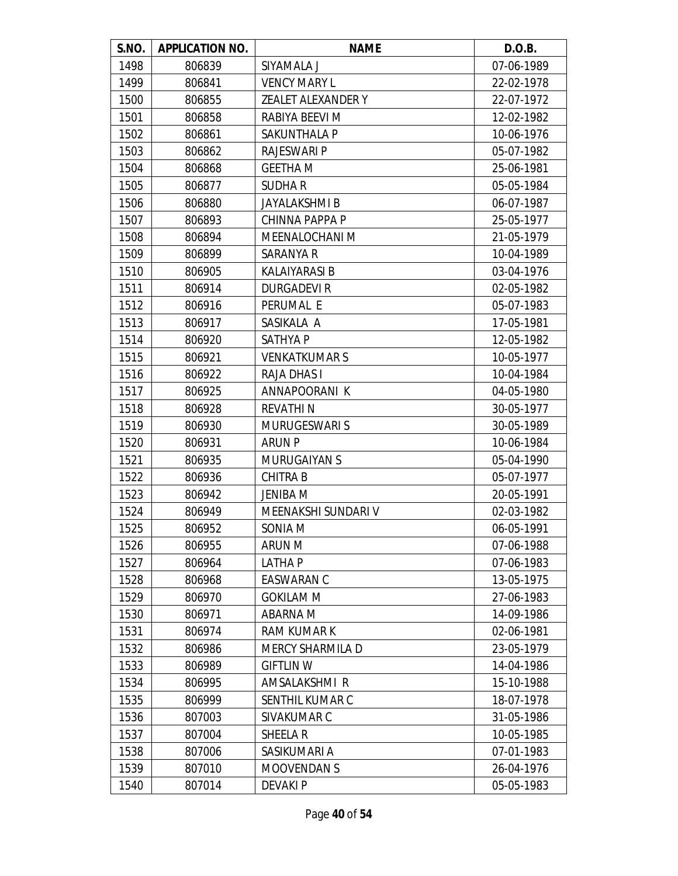| S.NO. | <b>APPLICATION NO.</b> | <b>NAME</b>               | D.O.B.     |
|-------|------------------------|---------------------------|------------|
| 1498  | 806839                 | SIYAMALA J                | 07-06-1989 |
| 1499  | 806841                 | <b>VENCY MARY L</b>       | 22-02-1978 |
| 1500  | 806855                 | <b>ZEALET ALEXANDER Y</b> | 22-07-1972 |
| 1501  | 806858                 | RABIYA BEEVI M            | 12-02-1982 |
| 1502  | 806861                 | SAKUNTHALA P              | 10-06-1976 |
| 1503  | 806862                 | <b>RAJESWARI P</b>        | 05-07-1982 |
| 1504  | 806868                 | <b>GEETHA M</b>           | 25-06-1981 |
| 1505  | 806877                 | <b>SUDHAR</b>             | 05-05-1984 |
| 1506  | 806880                 | JAYALAKSHMI B             | 06-07-1987 |
| 1507  | 806893                 | CHINNA PAPPA P            | 25-05-1977 |
| 1508  | 806894                 | MEENALOCHANI M            | 21-05-1979 |
| 1509  | 806899                 | SARANYA R                 | 10-04-1989 |
| 1510  | 806905                 | KALAIYARASI B             | 03-04-1976 |
| 1511  | 806914                 | <b>DURGADEVIR</b>         | 02-05-1982 |
| 1512  | 806916                 | PERUMAL E                 | 05-07-1983 |
| 1513  | 806917                 | SASIKALA A                | 17-05-1981 |
| 1514  | 806920                 | <b>SATHYAP</b>            | 12-05-1982 |
| 1515  | 806921                 | <b>VENKATKUMARS</b>       | 10-05-1977 |
| 1516  | 806922                 | <b>RAJA DHAS I</b>        | 10-04-1984 |
| 1517  | 806925                 | ANNAPOORANI K             | 04-05-1980 |
| 1518  | 806928                 | <b>REVATHIN</b>           | 30-05-1977 |
| 1519  | 806930                 | <b>MURUGESWARIS</b>       | 30-05-1989 |
| 1520  | 806931                 | <b>ARUN P</b>             | 10-06-1984 |
| 1521  | 806935                 | <b>MURUGAIYAN S</b>       | 05-04-1990 |
| 1522  | 806936                 | <b>CHITRA B</b>           | 05-07-1977 |
| 1523  | 806942                 | JENIBA M                  | 20-05-1991 |
| 1524  | 806949                 | MEENAKSHI SUNDARI V       | 02-03-1982 |
| 1525  | 806952                 | SONIA M                   | 06-05-1991 |
| 1526  | 806955                 | <b>ARUN M</b>             | 07-06-1988 |
| 1527  | 806964                 | <b>LATHAP</b>             | 07-06-1983 |
| 1528  | 806968                 | <b>EASWARAN C</b>         | 13-05-1975 |
| 1529  | 806970                 | <b>GOKILAM M</b>          | 27-06-1983 |
| 1530  | 806971                 | ABARNA M                  | 14-09-1986 |
| 1531  | 806974                 | <b>RAM KUMAR K</b>        | 02-06-1981 |
| 1532  | 806986                 | <b>MERCY SHARMILA D</b>   | 23-05-1979 |
| 1533  | 806989                 | <b>GIFTLIN W</b>          | 14-04-1986 |
| 1534  | 806995                 | AMSALAKSHMI R             | 15-10-1988 |
| 1535  | 806999                 | SENTHIL KUMAR C           | 18-07-1978 |
| 1536  | 807003                 | SIVAKUMAR C               | 31-05-1986 |
| 1537  | 807004                 | SHEELA R                  | 10-05-1985 |
| 1538  | 807006                 | SASIKUMARI A              | 07-01-1983 |
| 1539  | 807010                 | <b>MOOVENDANS</b>         | 26-04-1976 |
| 1540  | 807014                 | DEVAKI P                  | 05-05-1983 |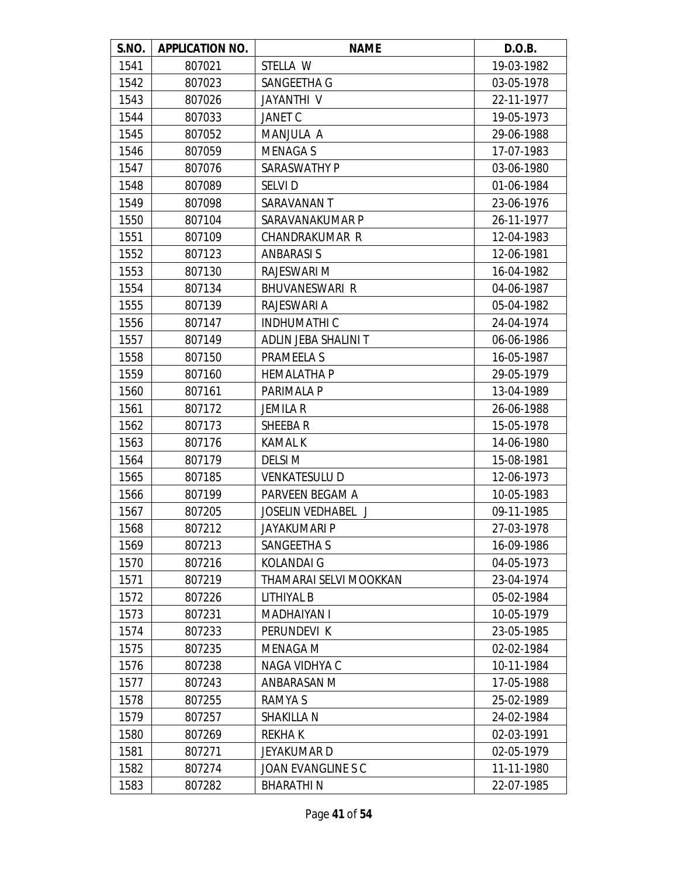| S.NO. | <b>APPLICATION NO.</b> | <b>NAME</b>               | D.O.B.     |
|-------|------------------------|---------------------------|------------|
| 1541  | 807021                 | STELLA W                  | 19-03-1982 |
| 1542  | 807023                 | SANGEETHA G               | 03-05-1978 |
| 1543  | 807026                 | <b>JAYANTHI V</b>         | 22-11-1977 |
| 1544  | 807033                 | <b>JANET C</b>            | 19-05-1973 |
| 1545  | 807052                 | MANJULA A                 | 29-06-1988 |
| 1546  | 807059                 | <b>MENAGAS</b>            | 17-07-1983 |
| 1547  | 807076                 | SARASWATHY P              | 03-06-1980 |
| 1548  | 807089                 | <b>SELVID</b>             | 01-06-1984 |
| 1549  | 807098                 | SARAVANAN T               | 23-06-1976 |
| 1550  | 807104                 | SARAVANAKUMAR P           | 26-11-1977 |
| 1551  | 807109                 | CHANDRAKUMAR R            | 12-04-1983 |
| 1552  | 807123                 | <b>ANBARASIS</b>          | 12-06-1981 |
| 1553  | 807130                 | RAJESWARI M               | 16-04-1982 |
| 1554  | 807134                 | <b>BHUVANESWARI R</b>     | 04-06-1987 |
| 1555  | 807139                 | RAJESWARI A               | 05-04-1982 |
| 1556  | 807147                 | <b>INDHUMATHIC</b>        | 24-04-1974 |
| 1557  | 807149                 | ADLIN JEBA SHALINI T      | 06-06-1986 |
| 1558  | 807150                 | PRAMEELA S                | 16-05-1987 |
| 1559  | 807160                 | <b>HEMALATHA P</b>        | 29-05-1979 |
| 1560  | 807161                 | PARIMALA P                | 13-04-1989 |
| 1561  | 807172                 | <b>JEMILA R</b>           | 26-06-1988 |
| 1562  | 807173                 | <b>SHEEBAR</b>            | 15-05-1978 |
| 1563  | 807176                 | <b>KAMAL K</b>            | 14-06-1980 |
| 1564  | 807179                 | <b>DELSIM</b>             | 15-08-1981 |
| 1565  | 807185                 | <b>VENKATESULU D</b>      | 12-06-1973 |
| 1566  | 807199                 | PARVEEN BEGAM A           | 10-05-1983 |
| 1567  | 807205                 | <b>JOSELIN VEDHABEL J</b> | 09-11-1985 |
| 1568  | 807212                 | JAYAKUMARI P              | 27-03-1978 |
| 1569  | 807213                 | SANGEETHA S               | 16-09-1986 |
| 1570  | 807216                 | <b>KOLANDAI G</b>         | 04-05-1973 |
| 1571  | 807219                 | THAMARAI SELVI MOOKKAN    | 23-04-1974 |
| 1572  | 807226                 | LITHIYAL B                | 05-02-1984 |
| 1573  | 807231                 | <b>MADHAIYAN I</b>        | 10-05-1979 |
| 1574  | 807233                 | PERUNDEVI K               | 23-05-1985 |
| 1575  | 807235                 | <b>MENAGA M</b>           | 02-02-1984 |
| 1576  | 807238                 | NAGA VIDHYA C             | 10-11-1984 |
| 1577  | 807243                 | ANBARASAN M               | 17-05-1988 |
| 1578  | 807255                 | RAMYA S                   | 25-02-1989 |
| 1579  | 807257                 | SHAKILLA N                | 24-02-1984 |
| 1580  | 807269                 | <b>REKHAK</b>             | 02-03-1991 |
| 1581  | 807271                 | JEYAKUMAR D               | 02-05-1979 |
| 1582  | 807274                 | JOAN EVANGLINE S C        | 11-11-1980 |
| 1583  | 807282                 | <b>BHARATHIN</b>          | 22-07-1985 |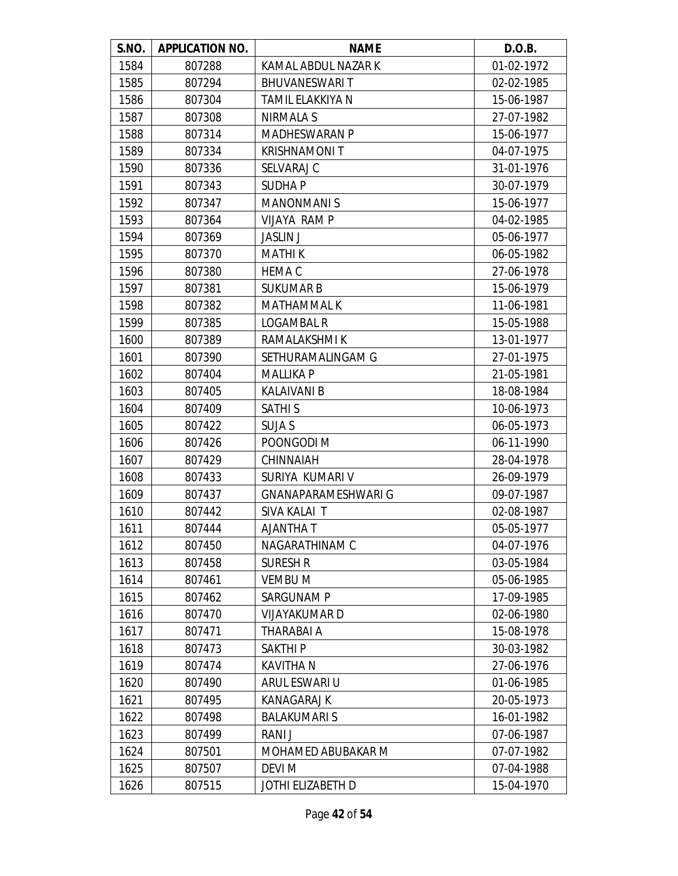| S.NO. | <b>APPLICATION NO.</b> | <b>NAME</b>                | D.O.B.     |
|-------|------------------------|----------------------------|------------|
| 1584  | 807288                 | KAMAL ABDUL NAZAR K        | 01-02-1972 |
| 1585  | 807294                 | <b>BHUVANESWARIT</b>       | 02-02-1985 |
| 1586  | 807304                 | TAMIL ELAKKIYA N           | 15-06-1987 |
| 1587  | 807308                 | NIRMALA S                  | 27-07-1982 |
| 1588  | 807314                 | <b>MADHESWARAN P</b>       | 15-06-1977 |
| 1589  | 807334                 | <b>KRISHNAMONIT</b>        | 04-07-1975 |
| 1590  | 807336                 | SELVARAJ C                 | 31-01-1976 |
| 1591  | 807343                 | <b>SUDHAP</b>              | 30-07-1979 |
| 1592  | 807347                 | <b>MANONMANIS</b>          | 15-06-1977 |
| 1593  | 807364                 | <b>VIJAYA RAMP</b>         | 04-02-1985 |
| 1594  | 807369                 | <b>JASLIN J</b>            | 05-06-1977 |
| 1595  | 807370                 | <b>MATHIK</b>              | 06-05-1982 |
| 1596  | 807380                 | <b>HEMA C</b>              | 27-06-1978 |
| 1597  | 807381                 | <b>SUKUMAR B</b>           | 15-06-1979 |
| 1598  | 807382                 | <b>MATHAMMAL K</b>         | 11-06-1981 |
| 1599  | 807385                 | <b>LOGAMBAL R</b>          | 15-05-1988 |
| 1600  | 807389                 | RAMALAKSHMI K              | 13-01-1977 |
| 1601  | 807390                 | SETHURAMALINGAM G          | 27-01-1975 |
| 1602  | 807404                 | <b>MALLIKA P</b>           | 21-05-1981 |
| 1603  | 807405                 | <b>KALAIVANI B</b>         | 18-08-1984 |
| 1604  | 807409                 | <b>SATHIS</b>              | 10-06-1973 |
| 1605  | 807422                 | <b>SUJA S</b>              | 06-05-1973 |
| 1606  | 807426                 | POONGODI M                 | 06-11-1990 |
| 1607  | 807429                 | CHINNAIAH                  | 28-04-1978 |
| 1608  | 807433                 | SURIYA KUMARI V            | 26-09-1979 |
| 1609  | 807437                 | <b>GNANAPARAMESHWARI G</b> | 09-07-1987 |
| 1610  | 807442                 | SIVA KALAI T               | 02-08-1987 |
| 1611  | 807444                 | T AJANTHA                  | 05-05-1977 |
| 1612  | 807450                 | NAGARATHINAM C             | 04-07-1976 |
| 1613  | 807458                 | <b>SURESH R</b>            | 03-05-1984 |
| 1614  | 807461                 | <b>VEMBUM</b>              | 05-06-1985 |
| 1615  | 807462                 | <b>SARGUNAM P</b>          | 17-09-1985 |
| 1616  | 807470                 | <b>VIJAYAKUMARD</b>        | 02-06-1980 |
| 1617  | 807471                 | THARABAI A                 | 15-08-1978 |
| 1618  | 807473                 | <b>SAKTHIP</b>             | 30-03-1982 |
| 1619  | 807474                 | <b>KAVITHAN</b>            | 27-06-1976 |
| 1620  | 807490                 | ARUL ESWARI U              | 01-06-1985 |
| 1621  | 807495                 | <b>KANAGARAJ K</b>         | 20-05-1973 |
| 1622  | 807498                 | <b>BALAKUMARIS</b>         | 16-01-1982 |
| 1623  | 807499                 | RANI J                     | 07-06-1987 |
| 1624  | 807501                 | MOHAMED ABUBAKAR M         | 07-07-1982 |
| 1625  | 807507                 | <b>DEVI M</b>              | 07-04-1988 |
| 1626  | 807515                 | JOTHI ELIZABETH D          | 15-04-1970 |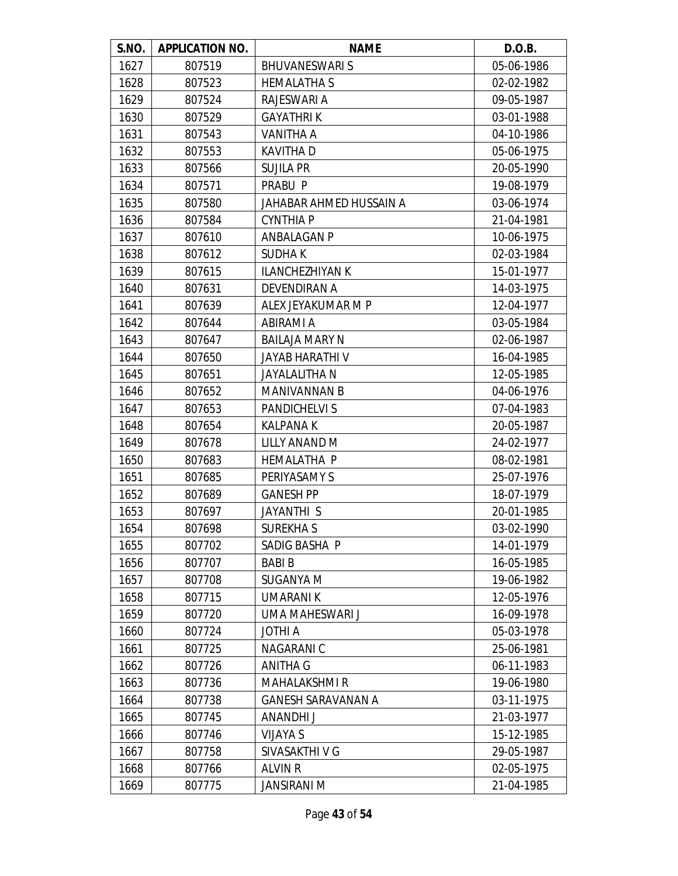| S.NO. | <b>APPLICATION NO.</b> | <b>NAME</b>               | D.O.B.     |
|-------|------------------------|---------------------------|------------|
| 1627  | 807519                 | <b>BHUVANESWARIS</b>      | 05-06-1986 |
| 1628  | 807523                 | <b>HEMALATHA S</b>        | 02-02-1982 |
| 1629  | 807524                 | RAJESWARI A               | 09-05-1987 |
| 1630  | 807529                 | <b>GAYATHRIK</b>          | 03-01-1988 |
| 1631  | 807543                 | VANITHA A                 | 04-10-1986 |
| 1632  | 807553                 | <b>KAVITHA D</b>          | 05-06-1975 |
| 1633  | 807566                 | <b>SUJILA PR</b>          | 20-05-1990 |
| 1634  | 807571                 | PRABU P                   | 19-08-1979 |
| 1635  | 807580                 | JAHABAR AHMED HUSSAIN A   | 03-06-1974 |
| 1636  | 807584                 | <b>CYNTHIA P</b>          | 21-04-1981 |
| 1637  | 807610                 | ANBALAGAN P               | 10-06-1975 |
| 1638  | 807612                 | <b>SUDHAK</b>             | 02-03-1984 |
| 1639  | 807615                 | <b>ILANCHEZHIYAN K</b>    | 15-01-1977 |
| 1640  | 807631                 | <b>DEVENDIRAN A</b>       | 14-03-1975 |
| 1641  | 807639                 | ALEX JEYAKUMAR M P        | 12-04-1977 |
| 1642  | 807644                 | ABIRAMI A                 | 03-05-1984 |
| 1643  | 807647                 | <b>BAILAJA MARY N</b>     | 02-06-1987 |
| 1644  | 807650                 | <b>JAYAB HARATHI V</b>    | 16-04-1985 |
| 1645  | 807651                 | <b>JAYALALITHA N</b>      | 12-05-1985 |
| 1646  | 807652                 | <b>MANIVANNAN B</b>       | 04-06-1976 |
| 1647  | 807653                 | <b>PANDICHELVIS</b>       | 07-04-1983 |
| 1648  | 807654                 | <b>KALPANA K</b>          | 20-05-1987 |
| 1649  | 807678                 | LILLY ANAND M             | 24-02-1977 |
| 1650  | 807683                 | <b>HEMALATHA P</b>        | 08-02-1981 |
| 1651  | 807685                 | PERIYASAMY S              | 25-07-1976 |
| 1652  | 807689                 | <b>GANESH PP</b>          | 18-07-1979 |
| 1653  | 807697                 | JAYANTHI S                | 20-01-1985 |
| 1654  | 807698                 | <b>SUREKHAS</b>           | 03-02-1990 |
| 1655  | 807702                 | SADIG BASHA P             | 14-01-1979 |
| 1656  | 807707                 | <b>BABIB</b>              | 16-05-1985 |
| 1657  | 807708                 | SUGANYA M                 | 19-06-1982 |
| 1658  | 807715                 | UMARANI K                 | 12-05-1976 |
| 1659  | 807720                 | UMA MAHESWARI J           | 16-09-1978 |
| 1660  | 807724                 | <b>JOTHI A</b>            | 05-03-1978 |
| 1661  | 807725                 | NAGARANI C                | 25-06-1981 |
| 1662  | 807726                 | <b>ANITHA G</b>           | 06-11-1983 |
| 1663  | 807736                 | <b>MAHALAKSHMI R</b>      | 19-06-1980 |
| 1664  | 807738                 | <b>GANESH SARAVANAN A</b> | 03-11-1975 |
| 1665  | 807745                 | ANANDHI J                 | 21-03-1977 |
| 1666  | 807746                 | <b>VIJAYA S</b>           | 15-12-1985 |
| 1667  | 807758                 | SIVASAKTHI V G            | 29-05-1987 |
| 1668  | 807766                 | <b>ALVIN R</b>            | 02-05-1975 |
| 1669  | 807775                 | <b>JANSIRANI M</b>        | 21-04-1985 |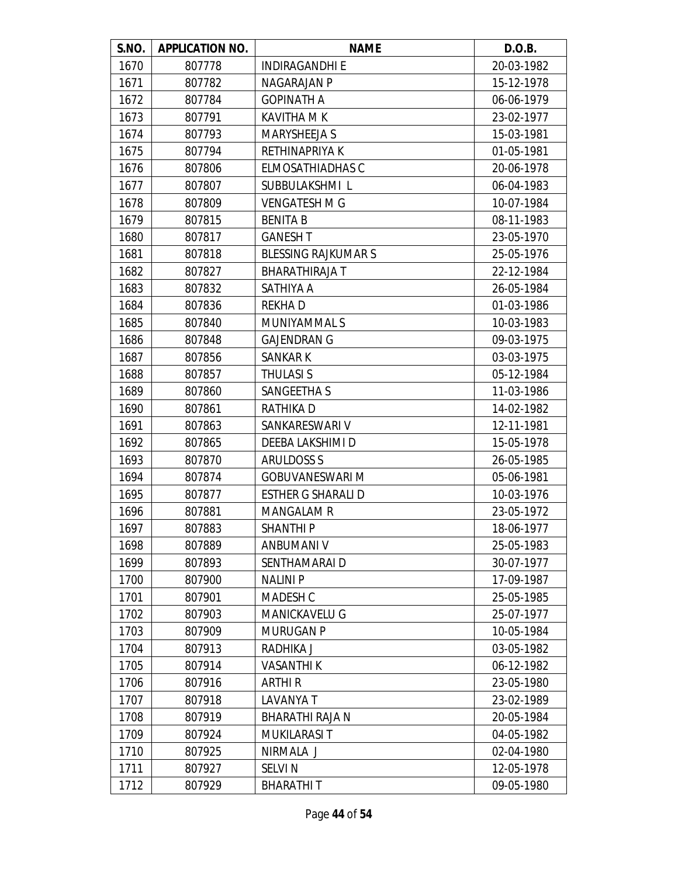| S.NO. | <b>APPLICATION NO.</b> | <b>NAME</b>               | D.O.B.     |
|-------|------------------------|---------------------------|------------|
| 1670  | 807778                 | <b>INDIRAGANDHI E</b>     | 20-03-1982 |
| 1671  | 807782                 | NAGARAJAN P               | 15-12-1978 |
| 1672  | 807784                 | <b>GOPINATH A</b>         | 06-06-1979 |
| 1673  | 807791                 | <b>KAVITHA M K</b>        | 23-02-1977 |
| 1674  | 807793                 | <b>MARYSHEEJA S</b>       | 15-03-1981 |
| 1675  | 807794                 | RETHINAPRIYA K            | 01-05-1981 |
| 1676  | 807806                 | <b>ELMOSATHIADHAS C</b>   | 20-06-1978 |
| 1677  | 807807                 | SUBBULAKSHMI L            | 06-04-1983 |
| 1678  | 807809                 | <b>VENGATESH M G</b>      | 10-07-1984 |
| 1679  | 807815                 | <b>BENITA B</b>           | 08-11-1983 |
| 1680  | 807817                 | <b>GANESH T</b>           | 23-05-1970 |
| 1681  | 807818                 | <b>BLESSING RAJKUMARS</b> | 25-05-1976 |
| 1682  | 807827                 | <b>BHARATHIRAJA T</b>     | 22-12-1984 |
| 1683  | 807832                 | SATHIYA A                 | 26-05-1984 |
| 1684  | 807836                 | <b>REKHAD</b>             | 01-03-1986 |
| 1685  | 807840                 | MUNIYAMMAL S              | 10-03-1983 |
| 1686  | 807848                 | <b>GAJENDRAN G</b>        | 09-03-1975 |
| 1687  | 807856                 | SANKAR K                  | 03-03-1975 |
| 1688  | 807857                 | <b>THULASI S</b>          | 05-12-1984 |
| 1689  | 807860                 | SANGEETHA S               | 11-03-1986 |
| 1690  | 807861                 | RATHIKA D                 | 14-02-1982 |
| 1691  | 807863                 | SANKARESWARI V            | 12-11-1981 |
| 1692  | 807865                 | DEEBA LAKSHIMI D          | 15-05-1978 |
| 1693  | 807870                 | <b>ARULDOSS S</b>         | 26-05-1985 |
| 1694  | 807874                 | <b>GOBUVANESWARI M</b>    | 05-06-1981 |
| 1695  | 807877                 | <b>ESTHER G SHARALI D</b> | 10-03-1976 |
| 1696  | 807881                 | <b>MANGALAM R</b>         | 23-05-1972 |
| 1697  | 807883                 | <b>SHANTHIP</b>           | 18-06-1977 |
| 1698  | 807889                 | ANBUMANI V                | 25-05-1983 |
| 1699  | 807893                 | SENTHAMARAI D             | 30-07-1977 |
| 1700  | 807900                 | <b>NALINIP</b>            | 17-09-1987 |
| 1701  | 807901                 | MADESH C                  | 25-05-1985 |
| 1702  | 807903                 | <b>MANICKAVELU G</b>      | 25-07-1977 |
| 1703  | 807909                 | <b>MURUGAN P</b>          | 10-05-1984 |
| 1704  | 807913                 | RADHIKA J                 | 03-05-1982 |
| 1705  | 807914                 | <b>VASANTHIK</b>          | 06-12-1982 |
| 1706  | 807916                 | <b>ARTHIR</b>             | 23-05-1980 |
| 1707  | 807918                 | LAVANYA T                 | 23-02-1989 |
| 1708  | 807919                 | <b>BHARATHI RAJA N</b>    | 20-05-1984 |
| 1709  | 807924                 | <b>MUKILARASIT</b>        | 04-05-1982 |
| 1710  | 807925                 | NIRMALA J                 | 02-04-1980 |
| 1711  | 807927                 | <b>SELVIN</b>             | 12-05-1978 |
| 1712  | 807929                 | <b>BHARATHIT</b>          | 09-05-1980 |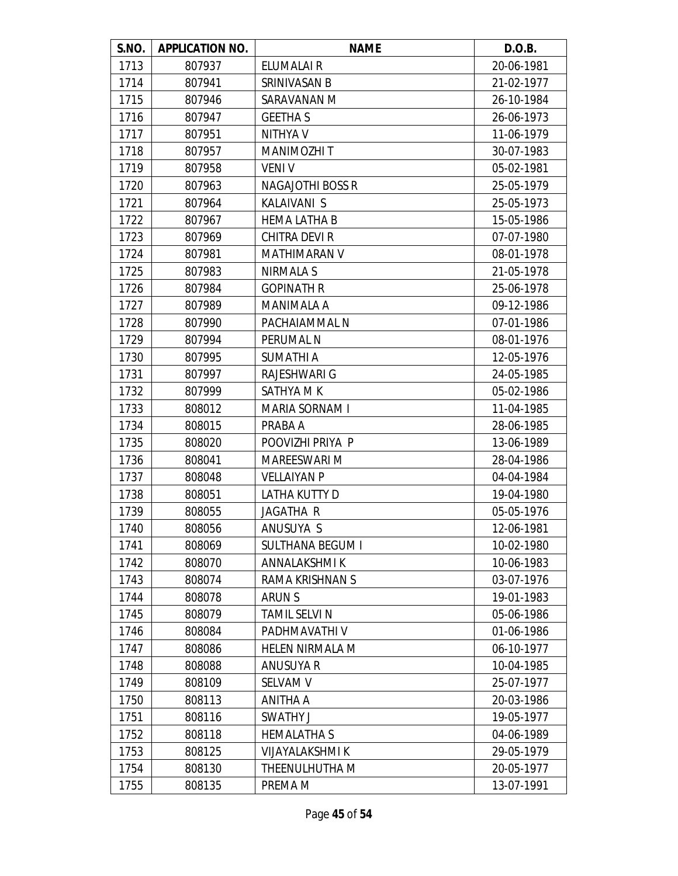| S.NO. | <b>APPLICATION NO.</b> | <b>NAME</b>             | D.O.B.     |
|-------|------------------------|-------------------------|------------|
| 1713  | 807937                 | ELUMALAI R              | 20-06-1981 |
| 1714  | 807941                 | SRINIVASAN B            | 21-02-1977 |
| 1715  | 807946                 | SARAVANAN M             | 26-10-1984 |
| 1716  | 807947                 | <b>GEETHA S</b>         | 26-06-1973 |
| 1717  | 807951                 | NITHYA V                | 11-06-1979 |
| 1718  | 807957                 | MANIMOZHI T             | 30-07-1983 |
| 1719  | 807958                 | <b>VENIV</b>            | 05-02-1981 |
| 1720  | 807963                 | <b>NAGAJOTHI BOSS R</b> | 25-05-1979 |
| 1721  | 807964                 | KALAIVANI S             | 25-05-1973 |
| 1722  | 807967                 | <b>HEMA LATHA B</b>     | 15-05-1986 |
| 1723  | 807969                 | CHITRA DEVI R           | 07-07-1980 |
| 1724  | 807981                 | <b>MATHIMARAN V</b>     | 08-01-1978 |
| 1725  | 807983                 | NIRMALA S               | 21-05-1978 |
| 1726  | 807984                 | <b>GOPINATH R</b>       | 25-06-1978 |
| 1727  | 807989                 | <b>MANIMALA A</b>       | 09-12-1986 |
| 1728  | 807990                 | PACHAIAMMAL N           | 07-01-1986 |
| 1729  | 807994                 | PERUMAL N               | 08-01-1976 |
| 1730  | 807995                 | SUMATHI A               | 12-05-1976 |
| 1731  | 807997                 | <b>RAJESHWARI G</b>     | 24-05-1985 |
| 1732  | 807999                 | SATHYA M K              | 05-02-1986 |
| 1733  | 808012                 | MARIA SORNAM I          | 11-04-1985 |
| 1734  | 808015                 | PRABA A                 | 28-06-1985 |
| 1735  | 808020                 | POOVIZHI PRIYA P        | 13-06-1989 |
| 1736  | 808041                 | <b>MAREESWARI M</b>     | 28-04-1986 |
| 1737  | 808048                 | <b>VELLAIYAN P</b>      | 04-04-1984 |
| 1738  | 808051                 | LATHA KUTTY D           | 19-04-1980 |
| 1739  | 808055                 | JAGATHA R               | 05-05-1976 |
| 1740  | 808056                 | ANUSUYA S               | 12-06-1981 |
| 1741  | 808069                 | <b>SULTHANA BEGUM I</b> | 10-02-1980 |
| 1742  | 808070                 | ANNALAKSHMI K           | 10-06-1983 |
| 1743  | 808074                 | RAMA KRISHNAN S         | 03-07-1976 |
| 1744  | 808078                 | <b>ARUNS</b>            | 19-01-1983 |
| 1745  | 808079                 | TAMIL SELVI N           | 05-06-1986 |
| 1746  | 808084                 | PADHMAVATHI V           | 01-06-1986 |
| 1747  | 808086                 | <b>HELEN NIRMALA M</b>  | 06-10-1977 |
| 1748  | 808088                 | <b>ANUSUYA R</b>        | 10-04-1985 |
| 1749  | 808109                 | <b>SELVAM V</b>         | 25-07-1977 |
| 1750  | 808113                 | ANITHA A                | 20-03-1986 |
| 1751  | 808116                 | SWATHY J                | 19-05-1977 |
| 1752  | 808118                 | <b>HEMALATHA S</b>      | 04-06-1989 |
| 1753  | 808125                 | <b>VIJAYALAKSHMI K</b>  | 29-05-1979 |
| 1754  | 808130                 | THEENULHUTHA M          | 20-05-1977 |
| 1755  | 808135                 | PREMA M                 | 13-07-1991 |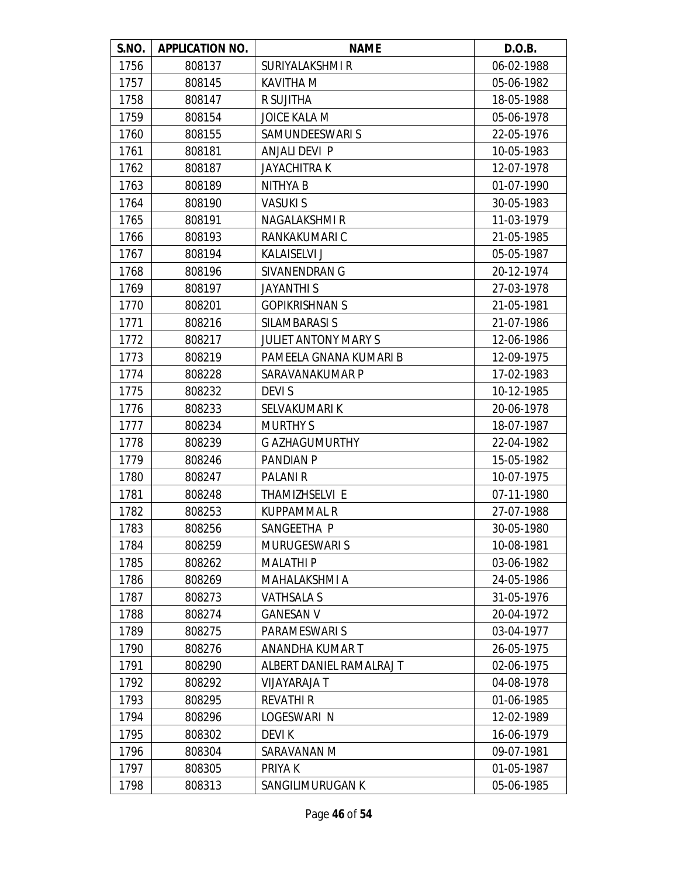| <b>S.NO.</b> | <b>APPLICATION NO.</b> | <b>NAME</b>                 | D.O.B.     |
|--------------|------------------------|-----------------------------|------------|
| 1756         | 808137                 | SURIYALAKSHMI R             | 06-02-1988 |
| 1757         | 808145                 | <b>KAVITHA M</b>            | 05-06-1982 |
| 1758         | 808147                 | R SUJITHA                   | 18-05-1988 |
| 1759         | 808154                 | <b>JOICE KALA M</b>         | 05-06-1978 |
| 1760         | 808155                 | SAMUNDEESWARI S             | 22-05-1976 |
| 1761         | 808181                 | <b>ANJALI DEVI P</b>        | 10-05-1983 |
| 1762         | 808187                 | <b>JAYACHITRA K</b>         | 12-07-1978 |
| 1763         | 808189                 | NITHYA B                    | 01-07-1990 |
| 1764         | 808190                 | <b>VASUKIS</b>              | 30-05-1983 |
| 1765         | 808191                 | <b>NAGALAKSHMIR</b>         | 11-03-1979 |
| 1766         | 808193                 | RANKAKUMARI C               | 21-05-1985 |
| 1767         | 808194                 | <b>KALAISELVI J</b>         | 05-05-1987 |
| 1768         | 808196                 | SIVANENDRAN G               | 20-12-1974 |
| 1769         | 808197                 | <b>JAYANTHIS</b>            | 27-03-1978 |
| 1770         | 808201                 | <b>GOPIKRISHNAN S</b>       | 21-05-1981 |
| 1771         | 808216                 | SILAMBARASI S               | 21-07-1986 |
| 1772         | 808217                 | <b>JULIET ANTONY MARY S</b> | 12-06-1986 |
| 1773         | 808219                 | PAMEELA GNANA KUMARI B      | 12-09-1975 |
| 1774         | 808228                 | SARAVANAKUMAR P             | 17-02-1983 |
| 1775         | 808232                 | DEVI S                      | 10-12-1985 |
| 1776         | 808233                 | SELVAKUMARI K               | 20-06-1978 |
| 1777         | 808234                 | <b>MURTHY S</b>             | 18-07-1987 |
| 1778         | 808239                 | <b>G AZHAGUMURTHY</b>       | 22-04-1982 |
| 1779         | 808246                 | PANDIAN P                   | 15-05-1982 |
| 1780         | 808247                 | <b>PALANI R</b>             | 10-07-1975 |
| 1781         | 808248                 | THAMIZHSELVI E              | 07-11-1980 |
| 1782         | 808253                 | <b>KUPPAMMAL R</b>          | 27-07-1988 |
| 1783         | 808256                 | SANGEETHA P                 | 30-05-1980 |
| 1784         | 808259                 | <b>MURUGESWARIS</b>         | 10-08-1981 |
| 1785         | 808262                 | <b>MALATHIP</b>             | 03-06-1982 |
| 1786         | 808269                 | MAHALAKSHMI A               | 24-05-1986 |
| 1787         | 808273                 | <b>VATHSALA S</b>           | 31-05-1976 |
| 1788         | 808274                 | <b>GANESAN V</b>            | 20-04-1972 |
| 1789         | 808275                 | PARAMESWARI S               | 03-04-1977 |
| 1790         | 808276                 | ANANDHA KUMAR T             | 26-05-1975 |
| 1791         | 808290                 | ALBERT DANIEL RAMALRAJ T    | 02-06-1975 |
| 1792         | 808292                 | VIJAYARAJA T                | 04-08-1978 |
| 1793         | 808295                 | <b>REVATHI R</b>            | 01-06-1985 |
| 1794         | 808296                 | LOGESWARI N                 | 12-02-1989 |
| 1795         | 808302                 | DEVI K                      | 16-06-1979 |
| 1796         | 808304                 | SARAVANAN M                 | 09-07-1981 |
| 1797         | 808305                 | PRIYA K                     | 01-05-1987 |
| 1798         | 808313                 | SANGILIMURUGAN K            | 05-06-1985 |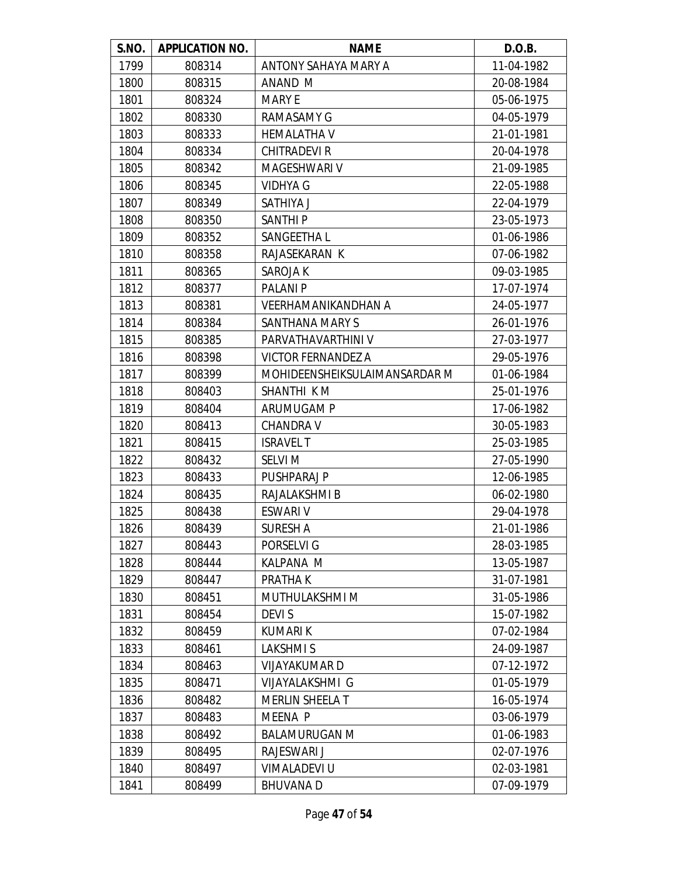| S.NO. | <b>APPLICATION NO.</b> | <b>NAME</b>                   | D.O.B.     |
|-------|------------------------|-------------------------------|------------|
| 1799  | 808314                 | ANTONY SAHAYA MARY A          | 11-04-1982 |
| 1800  | 808315                 | ANAND M                       | 20-08-1984 |
| 1801  | 808324                 | <b>MARY E</b>                 | 05-06-1975 |
| 1802  | 808330                 | RAMASAMY G                    | 04-05-1979 |
| 1803  | 808333                 | <b>HEMALATHA V</b>            | 21-01-1981 |
| 1804  | 808334                 | <b>CHITRADEVI R</b>           | 20-04-1978 |
| 1805  | 808342                 | MAGESHWARI V                  | 21-09-1985 |
| 1806  | 808345                 | <b>VIDHYA G</b>               | 22-05-1988 |
| 1807  | 808349                 | SATHIYA J                     | 22-04-1979 |
| 1808  | 808350                 | <b>SANTHIP</b>                | 23-05-1973 |
| 1809  | 808352                 | SANGEETHA L                   | 01-06-1986 |
| 1810  | 808358                 | RAJASEKARAN K                 | 07-06-1982 |
| 1811  | 808365                 | SAROJA K                      | 09-03-1985 |
| 1812  | 808377                 | <b>PALANI P</b>               | 17-07-1974 |
| 1813  | 808381                 | <b>VEERHAMANIKANDHAN A</b>    | 24-05-1977 |
| 1814  | 808384                 | SANTHANA MARY S               | 26-01-1976 |
| 1815  | 808385                 | PARVATHAVARTHINI V            | 27-03-1977 |
| 1816  | 808398                 | <b>VICTOR FERNANDEZ A</b>     | 29-05-1976 |
| 1817  | 808399                 | MOHIDEENSHEIKSULAIMANSARDAR M | 01-06-1984 |
| 1818  | 808403                 | SHANTHI K M                   | 25-01-1976 |
| 1819  | 808404                 | ARUMUGAM P                    | 17-06-1982 |
| 1820  | 808413                 | <b>CHANDRA V</b>              | 30-05-1983 |
| 1821  | 808415                 | <b>ISRAVEL T</b>              | 25-03-1985 |
| 1822  | 808432                 | <b>SELVI M</b>                | 27-05-1990 |
| 1823  | 808433                 | PUSHPARAJ P                   | 12-06-1985 |
| 1824  | 808435                 | RAJALAKSHMI B                 | 06-02-1980 |
| 1825  | 808438                 | <b>ESWARI V</b>               | 29-04-1978 |
| 1826  | 808439                 | <b>SURESH A</b>               | 21-01-1986 |
| 1827  | 808443                 | PORSELVI G                    | 28-03-1985 |
| 1828  | 808444                 | <b>KALPANA M</b>              | 13-05-1987 |
| 1829  | 808447                 | PRATHA K                      | 31-07-1981 |
| 1830  | 808451                 | MUTHULAKSHMI M                | 31-05-1986 |
| 1831  | 808454                 | <b>DEVIS</b>                  | 15-07-1982 |
| 1832  | 808459                 | <b>KUMARIK</b>                | 07-02-1984 |
| 1833  | 808461                 | LAKSHMI S                     | 24-09-1987 |
| 1834  | 808463                 | <b>VIJAYAKUMARD</b>           | 07-12-1972 |
| 1835  | 808471                 | VIJAYALAKSHMI G               | 01-05-1979 |
| 1836  | 808482                 | <b>MERLIN SHEELA T</b>        | 16-05-1974 |
| 1837  | 808483                 | MEENA P                       | 03-06-1979 |
| 1838  | 808492                 | <b>BALAMURUGAN M</b>          | 01-06-1983 |
| 1839  | 808495                 | <b>RAJESWARI J</b>            | 02-07-1976 |
| 1840  | 808497                 | <b>VIMALADEVI U</b>           | 02-03-1981 |
| 1841  | 808499                 | <b>BHUVANAD</b>               | 07-09-1979 |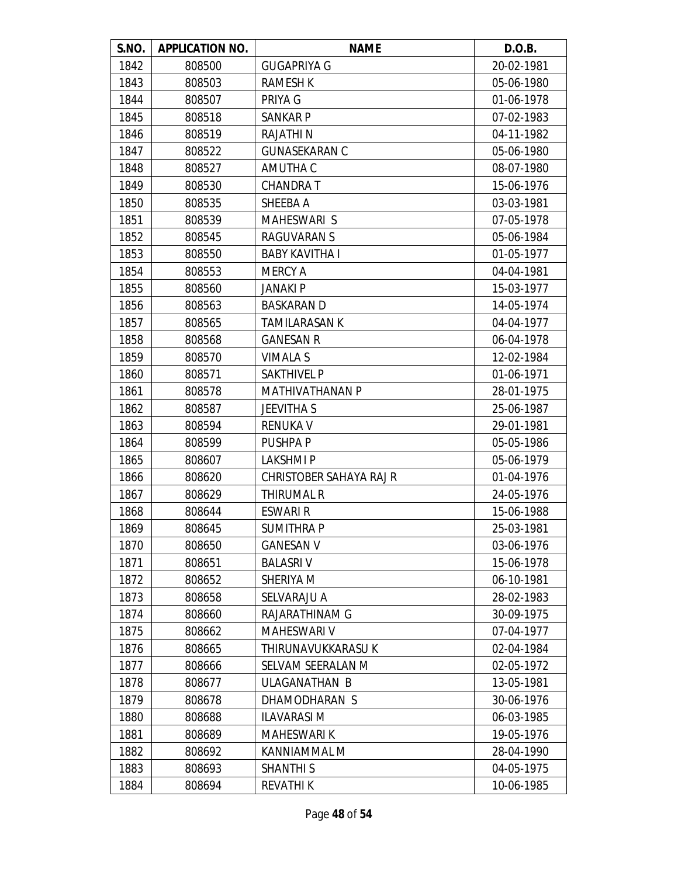| S.NO. | <b>APPLICATION NO.</b> | <b>NAME</b>                    | D.O.B.     |
|-------|------------------------|--------------------------------|------------|
| 1842  | 808500                 | <b>GUGAPRIYA G</b>             | 20-02-1981 |
| 1843  | 808503                 | <b>RAMESH K</b>                | 05-06-1980 |
| 1844  | 808507                 | PRIYA G                        | 01-06-1978 |
| 1845  | 808518                 | <b>SANKAR P</b>                | 07-02-1983 |
| 1846  | 808519                 | <b>RAJATHIN</b>                | 04-11-1982 |
| 1847  | 808522                 | <b>GUNASEKARAN C</b>           | 05-06-1980 |
| 1848  | 808527                 | AMUTHA C                       | 08-07-1980 |
| 1849  | 808530                 | <b>CHANDRAT</b>                | 15-06-1976 |
| 1850  | 808535                 | SHEEBA A                       | 03-03-1981 |
| 1851  | 808539                 | MAHESWARI S                    | 07-05-1978 |
| 1852  | 808545                 | <b>RAGUVARAN S</b>             | 05-06-1984 |
| 1853  | 808550                 | <b>BABY KAVITHA I</b>          | 01-05-1977 |
| 1854  | 808553                 | <b>MERCY A</b>                 | 04-04-1981 |
| 1855  | 808560                 | <b>JANAKI P</b>                | 15-03-1977 |
| 1856  | 808563                 | <b>BASKARAN D</b>              | 14-05-1974 |
| 1857  | 808565                 | <b>TAMILARASAN K</b>           | 04-04-1977 |
| 1858  | 808568                 | <b>GANESAN R</b>               | 06-04-1978 |
| 1859  | 808570                 | <b>VIMALA S</b>                | 12-02-1984 |
| 1860  | 808571                 | <b>SAKTHIVEL P</b>             | 01-06-1971 |
| 1861  | 808578                 | <b>MATHIVATHANAN P</b>         | 28-01-1975 |
| 1862  | 808587                 | <b>JEEVITHA S</b>              | 25-06-1987 |
| 1863  | 808594                 | <b>RENUKA V</b>                | 29-01-1981 |
| 1864  | 808599                 | PUSHPA P                       | 05-05-1986 |
| 1865  | 808607                 | <b>LAKSHMIP</b>                | 05-06-1979 |
| 1866  | 808620                 | <b>CHRISTOBER SAHAYA RAJ R</b> | 01-04-1976 |
| 1867  | 808629                 | <b>THIRUMAL R</b>              | 24-05-1976 |
| 1868  | 808644                 | <b>ESWARI R</b>                | 15-06-1988 |
| 1869  | 808645                 | <b>SUMITHRAP</b>               | 25-03-1981 |
| 1870  | 808650                 | <b>GANESAN V</b>               | 03-06-1976 |
| 1871  | 808651                 | <b>BALASRIV</b>                | 15-06-1978 |
| 1872  | 808652                 | SHERIYA M                      | 06-10-1981 |
| 1873  | 808658                 | <b>SELVARAJU A</b>             | 28-02-1983 |
| 1874  | 808660                 | RAJARATHINAM G                 | 30-09-1975 |
| 1875  | 808662                 | <b>MAHESWARI V</b>             | 07-04-1977 |
| 1876  | 808665                 | THIRUNAVUKKARASU K             | 02-04-1984 |
| 1877  | 808666                 | SELVAM SEERALAN M              | 02-05-1972 |
| 1878  | 808677                 | ULAGANATHAN B                  | 13-05-1981 |
| 1879  | 808678                 | DHAMODHARAN S                  | 30-06-1976 |
| 1880  | 808688                 | <b>ILAVARASIM</b>              | 06-03-1985 |
| 1881  | 808689                 | <b>MAHESWARI K</b>             | 19-05-1976 |
| 1882  | 808692                 | KANNIAMMAL M                   | 28-04-1990 |
| 1883  | 808693                 | <b>SHANTHI S</b>               | 04-05-1975 |
| 1884  | 808694                 | <b>REVATHIK</b>                | 10-06-1985 |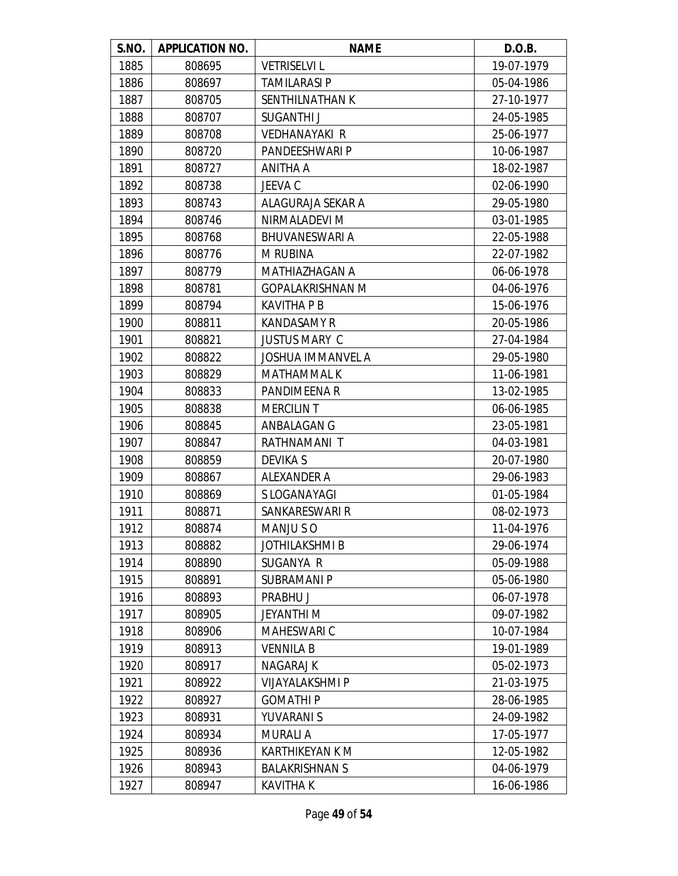| S.NO. | <b>APPLICATION NO.</b> | <b>NAME</b>              | D.O.B.     |
|-------|------------------------|--------------------------|------------|
| 1885  | 808695                 | <b>VETRISELVI L</b>      | 19-07-1979 |
| 1886  | 808697                 | <b>TAMILARASI P</b>      | 05-04-1986 |
| 1887  | 808705                 | SENTHILNATHAN K          | 27-10-1977 |
| 1888  | 808707                 | SUGANTHI J               | 24-05-1985 |
| 1889  | 808708                 | <b>VEDHANAYAKI R</b>     | 25-06-1977 |
| 1890  | 808720                 | PANDEESHWARI P           | 10-06-1987 |
| 1891  | 808727                 | ANITHA A                 | 18-02-1987 |
| 1892  | 808738                 | JEEVA C                  | 02-06-1990 |
| 1893  | 808743                 | ALAGURAJA SEKAR A        | 29-05-1980 |
| 1894  | 808746                 | NIRMALADEVI M            | 03-01-1985 |
| 1895  | 808768                 | <b>BHUVANESWARI A</b>    | 22-05-1988 |
| 1896  | 808776                 | <b>M RUBINA</b>          | 22-07-1982 |
| 1897  | 808779                 | MATHIAZHAGAN A           | 06-06-1978 |
| 1898  | 808781                 | <b>GOPALAKRISHNAN M</b>  | 04-06-1976 |
| 1899  | 808794                 | <b>KAVITHA P B</b>       | 15-06-1976 |
| 1900  | 808811                 | <b>KANDASAMY R</b>       | 20-05-1986 |
| 1901  | 808821                 | <b>JUSTUS MARY C</b>     | 27-04-1984 |
| 1902  | 808822                 | <b>JOSHUA IMMANVEL A</b> | 29-05-1980 |
| 1903  | 808829                 | <b>MATHAMMAL K</b>       | 11-06-1981 |
| 1904  | 808833                 | PANDIMEENA R             | 13-02-1985 |
| 1905  | 808838                 | <b>MERCILIN T</b>        | 06-06-1985 |
| 1906  | 808845                 | ANBALAGAN G              | 23-05-1981 |
| 1907  | 808847                 | RATHNAMANI T             | 04-03-1981 |
| 1908  | 808859                 | <b>DEVIKA S</b>          | 20-07-1980 |
| 1909  | 808867                 | ALEXANDER A              | 29-06-1983 |
| 1910  | 808869                 | S LOGANAYAGI             | 01-05-1984 |
| 1911  | 808871                 | SANKARESWARI R           | 08-02-1973 |
| 1912  | 808874                 | MANJU SO                 | 11-04-1976 |
| 1913  | 808882                 | <b>JOTHILAKSHMI B</b>    | 29-06-1974 |
| 1914  | 808890                 | SUGANYA R                | 05-09-1988 |
| 1915  | 808891                 | <b>SUBRAMANIP</b>        | 05-06-1980 |
| 1916  | 808893                 | PRABHU J                 | 06-07-1978 |
| 1917  | 808905                 | JEYANTHI M               | 09-07-1982 |
| 1918  | 808906                 | <b>MAHESWARI C</b>       | 10-07-1984 |
| 1919  | 808913                 | <b>VENNILA B</b>         | 19-01-1989 |
| 1920  | 808917                 | <b>NAGARAJ K</b>         | 05-02-1973 |
| 1921  | 808922                 | <b>VIJAYALAKSHMI P</b>   | 21-03-1975 |
| 1922  | 808927                 | <b>GOMATHIP</b>          | 28-06-1985 |
| 1923  | 808931                 | YUVARANI S               | 24-09-1982 |
| 1924  | 808934                 | <b>MURALI A</b>          | 17-05-1977 |
| 1925  | 808936                 | <b>KARTHIKEYAN K M</b>   | 12-05-1982 |
| 1926  | 808943                 | <b>BALAKRISHNAN S</b>    | 04-06-1979 |
| 1927  | 808947                 | <b>KAVITHA K</b>         | 16-06-1986 |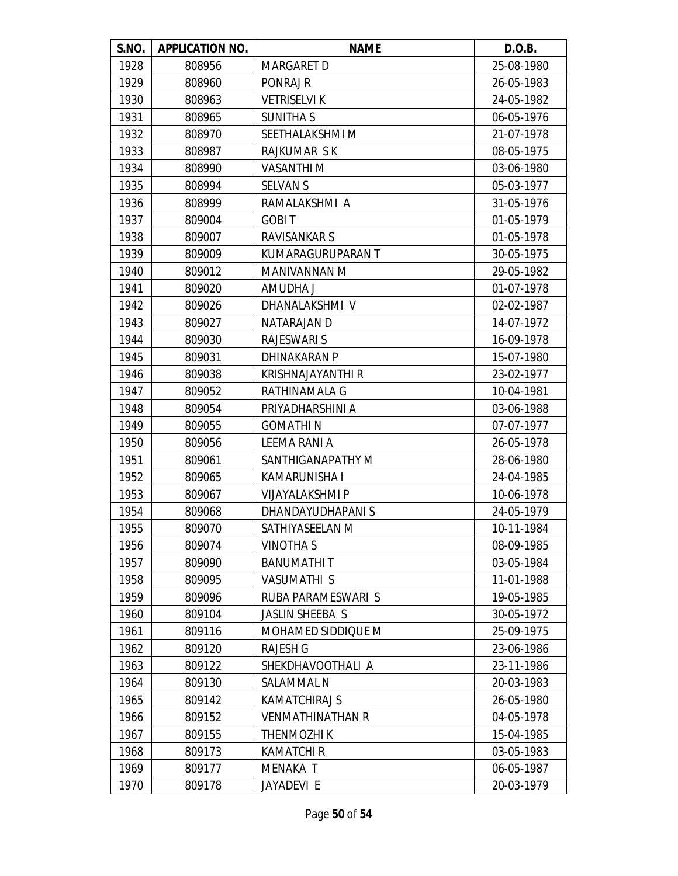| S.NO. | <b>APPLICATION NO.</b> | <b>NAME</b>              | D.O.B.     |
|-------|------------------------|--------------------------|------------|
| 1928  | 808956                 | <b>MARGARET D</b>        | 25-08-1980 |
| 1929  | 808960                 | PONRAJ R                 | 26-05-1983 |
| 1930  | 808963                 | <b>VETRISELVI K</b>      | 24-05-1982 |
| 1931  | 808965                 | <b>SUNITHA S</b>         | 06-05-1976 |
| 1932  | 808970                 | SEETHALAKSHMI M          | 21-07-1978 |
| 1933  | 808987                 | <b>RAJKUMAR SK</b>       | 08-05-1975 |
| 1934  | 808990                 | <b>VASANTHI M</b>        | 03-06-1980 |
| 1935  | 808994                 | <b>SELVAN S</b>          | 05-03-1977 |
| 1936  | 808999                 | RAMALAKSHMI A            | 31-05-1976 |
| 1937  | 809004                 | <b>GOBIT</b>             | 01-05-1979 |
| 1938  | 809007                 | RAVISANKAR S             | 01-05-1978 |
| 1939  | 809009                 | KUMARAGURUPARAN T        | 30-05-1975 |
| 1940  | 809012                 | MANIVANNAN M             | 29-05-1982 |
| 1941  | 809020                 | AMUDHA J                 | 01-07-1978 |
| 1942  | 809026                 | DHANALAKSHMI V           | 02-02-1987 |
| 1943  | 809027                 | NATARAJAN D              | 14-07-1972 |
| 1944  | 809030                 | <b>RAJESWARI S</b>       | 16-09-1978 |
| 1945  | 809031                 | <b>DHINAKARAN P</b>      | 15-07-1980 |
| 1946  | 809038                 | <b>KRISHNAJAYANTHI R</b> | 23-02-1977 |
| 1947  | 809052                 | RATHINAMALA G            | 10-04-1981 |
| 1948  | 809054                 | PRIYADHARSHINI A         | 03-06-1988 |
| 1949  | 809055                 | <b>GOMATHIN</b>          | 07-07-1977 |
| 1950  | 809056                 | LEEMA RANI A             | 26-05-1978 |
| 1951  | 809061                 | SANTHIGANAPATHY M        | 28-06-1980 |
| 1952  | 809065                 | KAMARUNISHA I            | 24-04-1985 |
| 1953  | 809067                 | <b>VIJAYALAKSHMI P</b>   | 10-06-1978 |
| 1954  | 809068                 | DHANDAYUDHAPANI S        | 24-05-1979 |
| 1955  | 809070                 | SATHIYASEELAN M          | 10-11-1984 |
| 1956  | 809074                 | <b>VINOTHAS</b>          | 08-09-1985 |
| 1957  | 809090                 | <b>BANUMATHIT</b>        | 03-05-1984 |
| 1958  | 809095                 | <b>VASUMATHI S</b>       | 11-01-1988 |
| 1959  | 809096                 | RUBA PARAMESWARI S       | 19-05-1985 |
| 1960  | 809104                 | JASLIN SHEEBA S          | 30-05-1972 |
| 1961  | 809116                 | MOHAMED SIDDIQUE M       | 25-09-1975 |
| 1962  | 809120                 | <b>RAJESH G</b>          | 23-06-1986 |
| 1963  | 809122                 | SHEKDHAVOOTHALI A        | 23-11-1986 |
| 1964  | 809130                 | SALAMMAL N               | 20-03-1983 |
| 1965  | 809142                 | <b>KAMATCHIRAJ S</b>     | 26-05-1980 |
| 1966  | 809152                 | <b>VENMATHINATHAN R</b>  | 04-05-1978 |
| 1967  | 809155                 | THENMOZHI K              | 15-04-1985 |
| 1968  | 809173                 | <b>KAMATCHI R</b>        | 03-05-1983 |
| 1969  | 809177                 | MENAKA T                 | 06-05-1987 |
| 1970  | 809178                 | JAYADEVI E               | 20-03-1979 |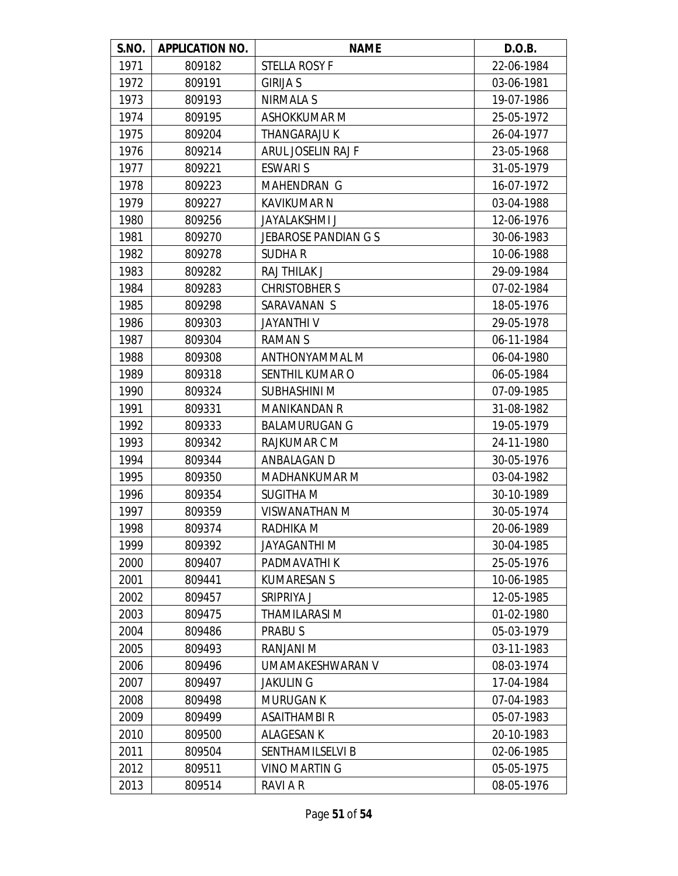| S.NO. | <b>APPLICATION NO.</b> | <b>NAME</b>                 | D.O.B.     |
|-------|------------------------|-----------------------------|------------|
| 1971  | 809182                 | STELLA ROSY F               | 22-06-1984 |
| 1972  | 809191                 | <b>GIRIJA S</b>             | 03-06-1981 |
| 1973  | 809193                 | NIRMALA S                   | 19-07-1986 |
| 1974  | 809195                 | <b>ASHOKKUMAR M</b>         | 25-05-1972 |
| 1975  | 809204                 | <b>THANGARAJU K</b>         | 26-04-1977 |
| 1976  | 809214                 | ARUL JOSELIN RAJ F          | 23-05-1968 |
| 1977  | 809221                 | <b>ESWARIS</b>              | 31-05-1979 |
| 1978  | 809223                 | <b>MAHENDRAN G</b>          | 16-07-1972 |
| 1979  | 809227                 | <b>KAVIKUMAR N</b>          | 03-04-1988 |
| 1980  | 809256                 | <b>JAYALAKSHMI J</b>        | 12-06-1976 |
| 1981  | 809270                 | <b>JEBAROSE PANDIAN G S</b> | 30-06-1983 |
| 1982  | 809278                 | <b>SUDHAR</b>               | 10-06-1988 |
| 1983  | 809282                 | RAJ THILAK J                | 29-09-1984 |
| 1984  | 809283                 | <b>CHRISTOBHER S</b>        | 07-02-1984 |
| 1985  | 809298                 | SARAVANAN S                 | 18-05-1976 |
| 1986  | 809303                 | JAYANTHI V                  | 29-05-1978 |
| 1987  | 809304                 | RAMAN S                     | 06-11-1984 |
| 1988  | 809308                 | <b>ANTHONYAMMAL M</b>       | 06-04-1980 |
| 1989  | 809318                 | SENTHIL KUMAR O             | 06-05-1984 |
| 1990  | 809324                 | SUBHASHINI M                | 07-09-1985 |
| 1991  | 809331                 | <b>MANIKANDAN R</b>         | 31-08-1982 |
| 1992  | 809333                 | <b>BALAMURUGAN G</b>        | 19-05-1979 |
| 1993  | 809342                 | RAJKUMAR C M                | 24-11-1980 |
| 1994  | 809344                 | ANBALAGAN D                 | 30-05-1976 |
| 1995  | 809350                 | <b>MADHANKUMAR M</b>        | 03-04-1982 |
| 1996  | 809354                 | <b>SUGITHA M</b>            | 30-10-1989 |
| 1997  | 809359                 | <b>VISWANATHAN M</b>        | 30-05-1974 |
| 1998  | 809374                 | RADHIKA M                   | 20-06-1989 |
| 1999  | 809392                 | <b>JAYAGANTHI M</b>         | 30-04-1985 |
| 2000  | 809407                 | PADMAVATHI K                | 25-05-1976 |
| 2001  | 809441                 | <b>KUMARESAN S</b>          | 10-06-1985 |
| 2002  | 809457                 | SRIPRIYA J                  | 12-05-1985 |
| 2003  | 809475                 | THAMILARASI M               | 01-02-1980 |
| 2004  | 809486                 | <b>PRABUS</b>               | 05-03-1979 |
| 2005  | 809493                 | RANJANI M                   | 03-11-1983 |
| 2006  | 809496                 | UMAMAKESHWARAN V            | 08-03-1974 |
| 2007  | 809497                 | <b>JAKULIN G</b>            | 17-04-1984 |
| 2008  | 809498                 | <b>MURUGAN K</b>            | 07-04-1983 |
| 2009  | 809499                 | ASAITHAMBI R                | 05-07-1983 |
| 2010  | 809500                 | <b>ALAGESAN K</b>           | 20-10-1983 |
| 2011  | 809504                 | <b>SENTHAMILSELVI B</b>     | 02-06-1985 |
| 2012  | 809511                 | <b>VINO MARTIN G</b>        | 05-05-1975 |
| 2013  | 809514                 | RAVI A R                    | 08-05-1976 |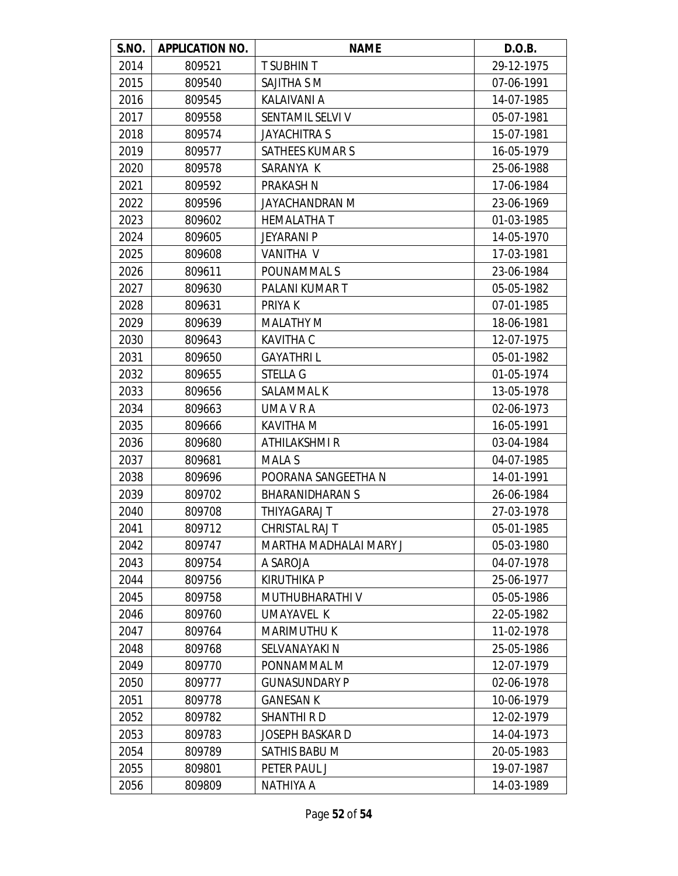| S.NO. | <b>APPLICATION NO.</b> | <b>NAME</b>            | D.O.B.     |
|-------|------------------------|------------------------|------------|
| 2014  | 809521                 | <b>T SUBHIN T</b>      | 29-12-1975 |
| 2015  | 809540                 | SAJITHA S M            | 07-06-1991 |
| 2016  | 809545                 | KALAIVANI A            | 14-07-1985 |
| 2017  | 809558                 | SENTAMIL SELVI V       | 05-07-1981 |
| 2018  | 809574                 | <b>JAYACHITRA S</b>    | 15-07-1981 |
| 2019  | 809577                 | <b>SATHEES KUMAR S</b> | 16-05-1979 |
| 2020  | 809578                 | SARANYA K              | 25-06-1988 |
| 2021  | 809592                 | <b>PRAKASH N</b>       | 17-06-1984 |
| 2022  | 809596                 | JAYACHANDRAN M         | 23-06-1969 |
| 2023  | 809602                 | <b>HEMALATHAT</b>      | 01-03-1985 |
| 2024  | 809605                 | JEYARANI P             | 14-05-1970 |
| 2025  | 809608                 | <b>VANITHA V</b>       | 17-03-1981 |
| 2026  | 809611                 | POUNAMMAL S            | 23-06-1984 |
| 2027  | 809630                 | PALANI KUMAR T         | 05-05-1982 |
| 2028  | 809631                 | PRIYA K                | 07-01-1985 |
| 2029  | 809639                 | <b>MALATHY M</b>       | 18-06-1981 |
| 2030  | 809643                 | <b>KAVITHA C</b>       | 12-07-1975 |
| 2031  | 809650                 | <b>GAYATHRIL</b>       | 05-01-1982 |
| 2032  | 809655                 | <b>STELLA G</b>        | 01-05-1974 |
| 2033  | 809656                 | SALAMMAL K             | 13-05-1978 |
| 2034  | 809663                 | UMA V R A              | 02-06-1973 |
| 2035  | 809666                 | KAVITHA M              | 16-05-1991 |
| 2036  | 809680                 | <b>ATHILAKSHMI R</b>   | 03-04-1984 |
| 2037  | 809681                 | <b>MALA S</b>          | 04-07-1985 |
| 2038  | 809696                 | POORANA SANGEETHA N    | 14-01-1991 |
| 2039  | 809702                 | <b>BHARANIDHARAN S</b> | 26-06-1984 |
| 2040  | 809708                 | THIYAGARAJ T           | 27-03-1978 |
| 2041  | 809712                 | <b>CHRISTAL RAJ T</b>  | 05-01-1985 |
| 2042  | 809747                 | MARTHA MADHALAI MARY J | 05-03-1980 |
| 2043  | 809754                 | A SAROJA               | 04-07-1978 |
| 2044  | 809756                 | <b>KIRUTHIKA P</b>     | 25-06-1977 |
| 2045  | 809758                 | MUTHUBHARATHI V        | 05-05-1986 |
| 2046  | 809760                 | UMAYAVEL K             | 22-05-1982 |
| 2047  | 809764                 | <b>MARIMUTHU K</b>     | 11-02-1978 |
| 2048  | 809768                 | SELVANAYAKI N          | 25-05-1986 |
| 2049  | 809770                 | PONNAMMAL M            | 12-07-1979 |
| 2050  | 809777                 | <b>GUNASUNDARY P</b>   | 02-06-1978 |
| 2051  | 809778                 | <b>GANESAN K</b>       | 10-06-1979 |
| 2052  | 809782                 | <b>SHANTHI R D</b>     | 12-02-1979 |
| 2053  | 809783                 | JOSEPH BASKAR D        | 14-04-1973 |
| 2054  | 809789                 | SATHIS BABU M          | 20-05-1983 |
| 2055  | 809801                 | PETER PAUL J           | 19-07-1987 |
| 2056  | 809809                 | NATHIYA A              | 14-03-1989 |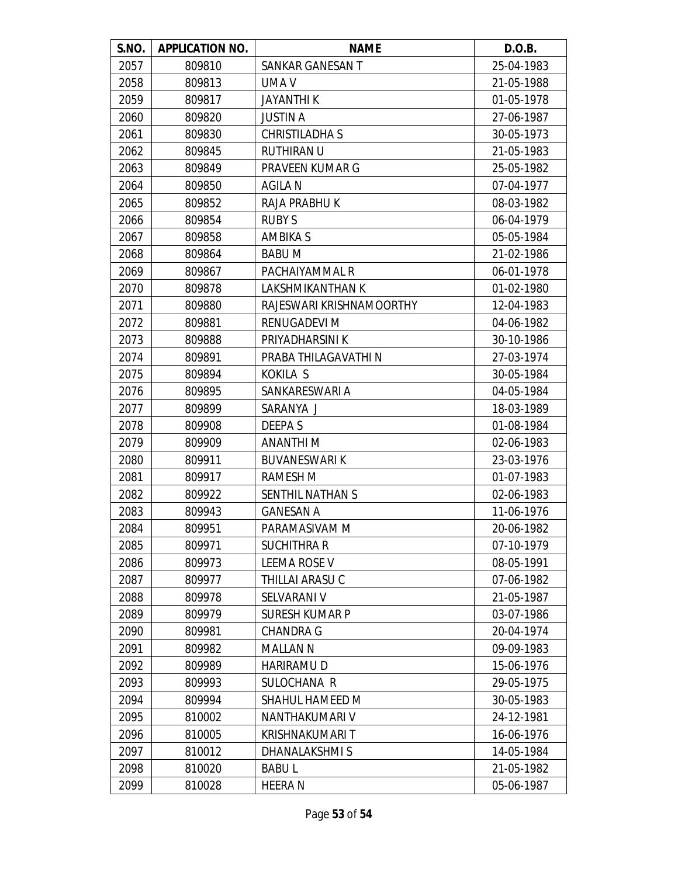| S.NO. | <b>APPLICATION NO.</b> | <b>NAME</b>              | D.O.B.     |
|-------|------------------------|--------------------------|------------|
| 2057  | 809810                 | SANKAR GANESAN T         | 25-04-1983 |
| 2058  | 809813                 | UMA V                    | 21-05-1988 |
| 2059  | 809817                 | <b>JAYANTHI K</b>        | 01-05-1978 |
| 2060  | 809820                 | <b>JUSTIN A</b>          | 27-06-1987 |
| 2061  | 809830                 | <b>CHRISTILADHA S</b>    | 30-05-1973 |
| 2062  | 809845                 | <b>RUTHIRAN U</b>        | 21-05-1983 |
| 2063  | 809849                 | PRAVEEN KUMAR G          | 25-05-1982 |
| 2064  | 809850                 | <b>AGILA N</b>           | 07-04-1977 |
| 2065  | 809852                 | RAJA PRABHU K            | 08-03-1982 |
| 2066  | 809854                 | <b>RUBY S</b>            | 06-04-1979 |
| 2067  | 809858                 | <b>AMBIKA S</b>          | 05-05-1984 |
| 2068  | 809864                 | <b>BABUM</b>             | 21-02-1986 |
| 2069  | 809867                 | PACHAIYAMMAL R           | 06-01-1978 |
| 2070  | 809878                 | LAKSHMIKANTHAN K         | 01-02-1980 |
| 2071  | 809880                 | RAJESWARI KRISHNAMOORTHY | 12-04-1983 |
| 2072  | 809881                 | RENUGADEVI M             | 04-06-1982 |
| 2073  | 809888                 | PRIYADHARSINI K          | 30-10-1986 |
| 2074  | 809891                 | PRABA THILAGAVATHI N     | 27-03-1974 |
| 2075  | 809894                 | <b>KOKILA S</b>          | 30-05-1984 |
| 2076  | 809895                 | SANKARESWARI A           | 04-05-1984 |
| 2077  | 809899                 | SARANYA J                | 18-03-1989 |
| 2078  | 809908                 | <b>DEEPAS</b>            | 01-08-1984 |
| 2079  | 809909                 | <b>ANANTHIM</b>          | 02-06-1983 |
| 2080  | 809911                 | <b>BUVANESWARIK</b>      | 23-03-1976 |
| 2081  | 809917                 | <b>RAMESH M</b>          | 01-07-1983 |
| 2082  | 809922                 | SENTHIL NATHAN S         | 02-06-1983 |
| 2083  | 809943                 | <b>GANESAN A</b>         | 11-06-1976 |
| 2084  | 809951                 | PARAMASIVAM M            | 20-06-1982 |
| 2085  | 809971                 | <b>SUCHITHRA R</b>       | 07-10-1979 |
| 2086  | 809973                 | <b>LEEMA ROSE V</b>      | 08-05-1991 |
| 2087  | 809977                 | THILLAI ARASU C          | 07-06-1982 |
| 2088  | 809978                 | SELVARANI V              | 21-05-1987 |
| 2089  | 809979                 | <b>SURESH KUMAR P</b>    | 03-07-1986 |
| 2090  | 809981                 | <b>CHANDRA G</b>         | 20-04-1974 |
| 2091  | 809982                 | <b>MALLAN N</b>          | 09-09-1983 |
| 2092  | 809989                 | <b>HARIRAMUD</b>         | 15-06-1976 |
| 2093  | 809993                 | SULOCHANA R              | 29-05-1975 |
| 2094  | 809994                 | SHAHUL HAMEED M          | 30-05-1983 |
| 2095  | 810002                 | NANTHAKUMARI V           | 24-12-1981 |
| 2096  | 810005                 | <b>KRISHNAKUMARI T</b>   | 16-06-1976 |
| 2097  | 810012                 | DHANALAKSHMIS            | 14-05-1984 |
| 2098  | 810020                 | <b>BABUL</b>             | 21-05-1982 |
| 2099  | 810028                 | <b>HEERAN</b>            | 05-06-1987 |